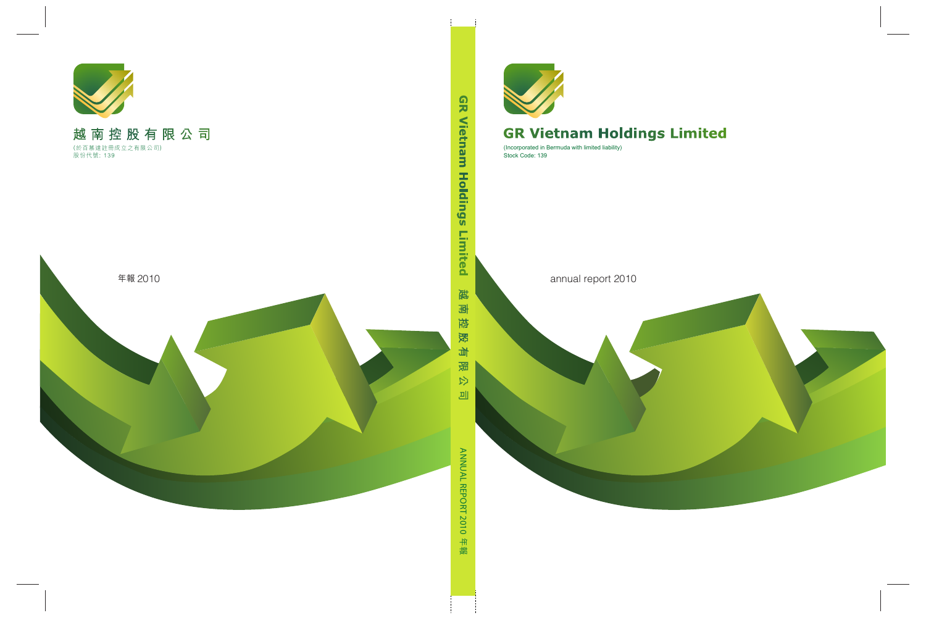

# **GR Vietnam Holdings Limited**

**(Incorporated in Bermuda with limited liability) Stock Code: 139**

annual report 2010

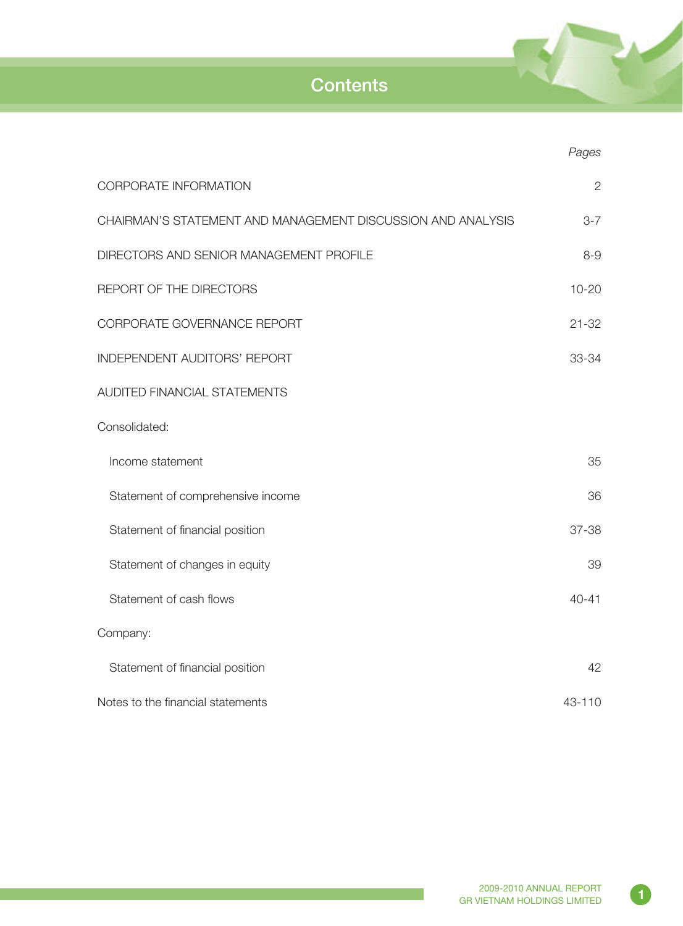

## **Contents**

|                                                             | Pages        |
|-------------------------------------------------------------|--------------|
| CORPORATE INFORMATION                                       | $\mathbf{2}$ |
| CHAIRMAN'S STATEMENT AND MANAGEMENT DISCUSSION AND ANALYSIS | $3 - 7$      |
| DIRECTORS AND SENIOR MANAGEMENT PROFILE                     | $8 - 9$      |
| REPORT OF THE DIRECTORS                                     | $10 - 20$    |
| CORPORATE GOVERNANCE REPORT                                 | $21 - 32$    |
| <b>INDEPENDENT AUDITORS' REPORT</b>                         | 33-34        |
| AUDITED FINANCIAL STATEMENTS                                |              |
| Consolidated:                                               |              |
| Income statement                                            | 35           |
| Statement of comprehensive income                           | 36           |
| Statement of financial position                             | 37-38        |
| Statement of changes in equity                              | 39           |
| Statement of cash flows                                     | $40 - 41$    |
| Company:                                                    |              |
| Statement of financial position                             | 42           |
| Notes to the financial statements                           | 43-110       |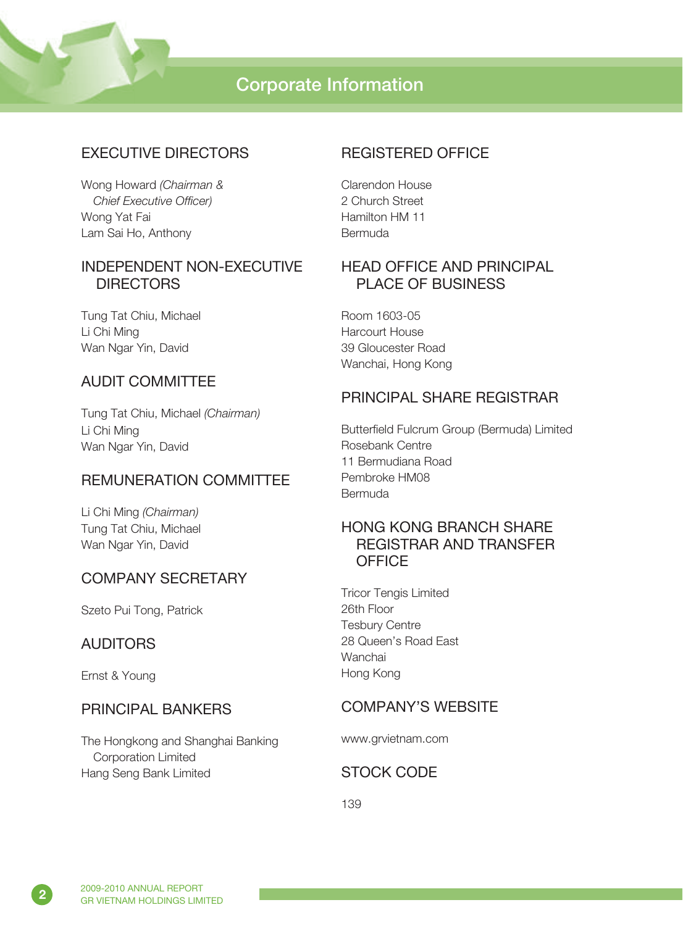

## EXECUTIVE DIRECTORS

Wong Howard (Chairman & Chief Executive Officer) Wong Yat Fai Lam Sai Ho, Anthony

### INDEPENDENT NON-EXECUTIVE **DIRECTORS**

Tung Tat Chiu, Michael Li Chi Ming Wan Ngar Yin, David

### AUDIT COMMITTEE

Tung Tat Chiu, Michael (Chairman) Li Chi Ming Wan Ngar Yin, David

### REMUNERATION COMMITTEE

Li Chi Ming (Chairman) Tung Tat Chiu, Michael Wan Ngar Yin, David

### COMPANY SECRETARY

Szeto Pui Tong, Patrick

### AUDITORS

Ernst & Young

### PRINCIPAL BANKERS

The Hongkong and Shanghai Banking Corporation Limited Hang Seng Bank Limited

### REGISTERED OFFICE

Clarendon House 2 Church Street Hamilton HM 11 **Bermuda** 

### HEAD OFFICE AND PRINCIPAL PLACE OF BUSINESS

Room 1603-05 Harcourt House 39 Gloucester Road Wanchai, Hong Kong

### PRINCIPAL SHARE REGISTRAR

Butterfield Fulcrum Group (Bermuda) Limited Rosebank Centre 11 Bermudiana Road Pembroke HM08 Bermuda

### HONG KONG BRANCH SHARE REGISTRAR AND TRANSFER **OFFICE**

Tricor Tengis Limited 26th Floor Tesbury Centre 28 Queen's Road East Wanchai Hong Kong

## COMPANY'S WEBSITE

www.grvietnam.com

## STOCK CODE

139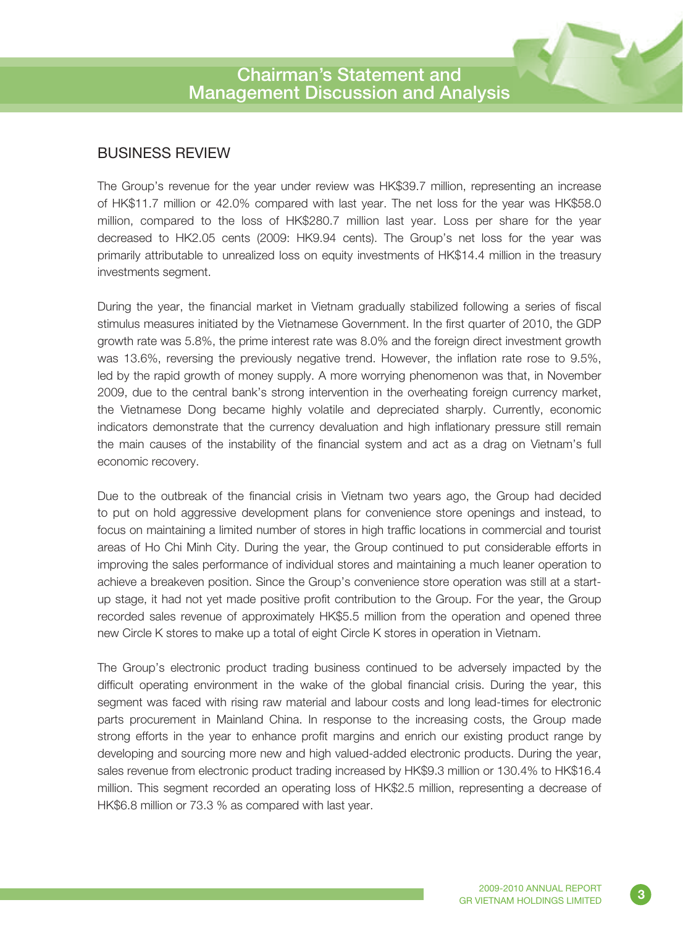### BUSINESS REVIEW

The Group's revenue for the year under review was HK\$39.7 million, representing an increase of HK\$11.7 million or 42.0% compared with last year. The net loss for the year was HK\$58.0 million, compared to the loss of HK\$280.7 million last year. Loss per share for the year decreased to HK2.05 cents (2009: HK9.94 cents). The Group's net loss for the year was primarily attributable to unrealized loss on equity investments of HK\$14.4 million in the treasury investments segment.

During the year, the financial market in Vietnam gradually stabilized following a series of fiscal stimulus measures initiated by the Vietnamese Government. In the first quarter of 2010, the GDP growth rate was 5.8%, the prime interest rate was 8.0% and the foreign direct investment growth was 13.6%, reversing the previously negative trend. However, the inflation rate rose to 9.5%, led by the rapid growth of money supply. A more worrying phenomenon was that, in November 2009, due to the central bank's strong intervention in the overheating foreign currency market, the Vietnamese Dong became highly volatile and depreciated sharply. Currently, economic indicators demonstrate that the currency devaluation and high inflationary pressure still remain the main causes of the instability of the financial system and act as a drag on Vietnam's full economic recovery.

Due to the outbreak of the financial crisis in Vietnam two years ago, the Group had decided to put on hold aggressive development plans for convenience store openings and instead, to focus on maintaining a limited number of stores in high traffic locations in commercial and tourist areas of Ho Chi Minh City. During the year, the Group continued to put considerable efforts in improving the sales performance of individual stores and maintaining a much leaner operation to achieve a breakeven position. Since the Group's convenience store operation was still at a startup stage, it had not yet made positive profit contribution to the Group. For the year, the Group recorded sales revenue of approximately HK\$5.5 million from the operation and opened three new Circle K stores to make up a total of eight Circle K stores in operation in Vietnam.

The Group's electronic product trading business continued to be adversely impacted by the difficult operating environment in the wake of the global financial crisis. During the year, this segment was faced with rising raw material and labour costs and long lead-times for electronic parts procurement in Mainland China. In response to the increasing costs, the Group made strong efforts in the year to enhance profit margins and enrich our existing product range by developing and sourcing more new and high valued-added electronic products. During the year, sales revenue from electronic product trading increased by HK\$9.3 million or 130.4% to HK\$16.4 million. This segment recorded an operating loss of HK\$2.5 million, representing a decrease of HK\$6.8 million or 73.3 % as compared with last year.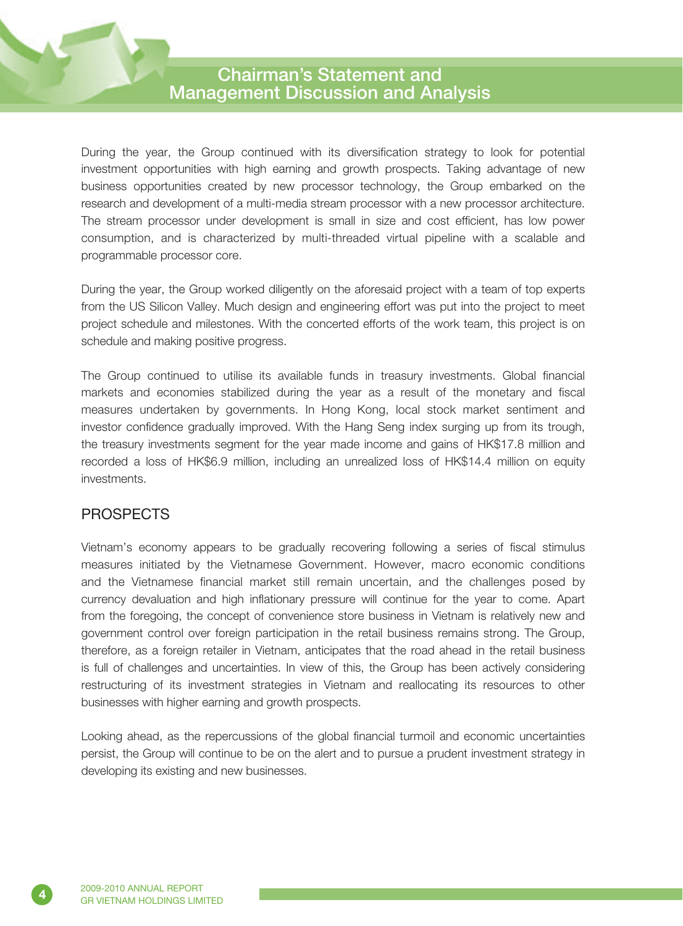

During the year, the Group continued with its diversification strategy to look for potential investment opportunities with high earning and growth prospects. Taking advantage of new business opportunities created by new processor technology, the Group embarked on the research and development of a multi-media stream processor with a new processor architecture. The stream processor under development is small in size and cost efficient, has low power consumption, and is characterized by multi-threaded virtual pipeline with a scalable and programmable processor core.

During the year, the Group worked diligently on the aforesaid project with a team of top experts from the US Silicon Valley. Much design and engineering effort was put into the project to meet project schedule and milestones. With the concerted efforts of the work team, this project is on schedule and making positive progress.

The Group continued to utilise its available funds in treasury investments. Global financial markets and economies stabilized during the year as a result of the monetary and fiscal measures undertaken by governments. In Hong Kong, local stock market sentiment and investor confidence gradually improved. With the Hang Seng index surging up from its trough, the treasury investments segment for the year made income and gains of HK\$17.8 million and recorded a loss of HK\$6.9 million, including an unrealized loss of HK\$14.4 million on equity investments.

### PROSPECTS

Vietnam's economy appears to be gradually recovering following a series of fiscal stimulus measures initiated by the Vietnamese Government. However, macro economic conditions and the Vietnamese financial market still remain uncertain, and the challenges posed by currency devaluation and high inflationary pressure will continue for the year to come. Apart from the foregoing, the concept of convenience store business in Vietnam is relatively new and government control over foreign participation in the retail business remains strong. The Group, therefore, as a foreign retailer in Vietnam, anticipates that the road ahead in the retail business is full of challenges and uncertainties. In view of this, the Group has been actively considering restructuring of its investment strategies in Vietnam and reallocating its resources to other businesses with higher earning and growth prospects.

Looking ahead, as the repercussions of the global financial turmoil and economic uncertainties persist, the Group will continue to be on the alert and to pursue a prudent investment strategy in developing its existing and new businesses.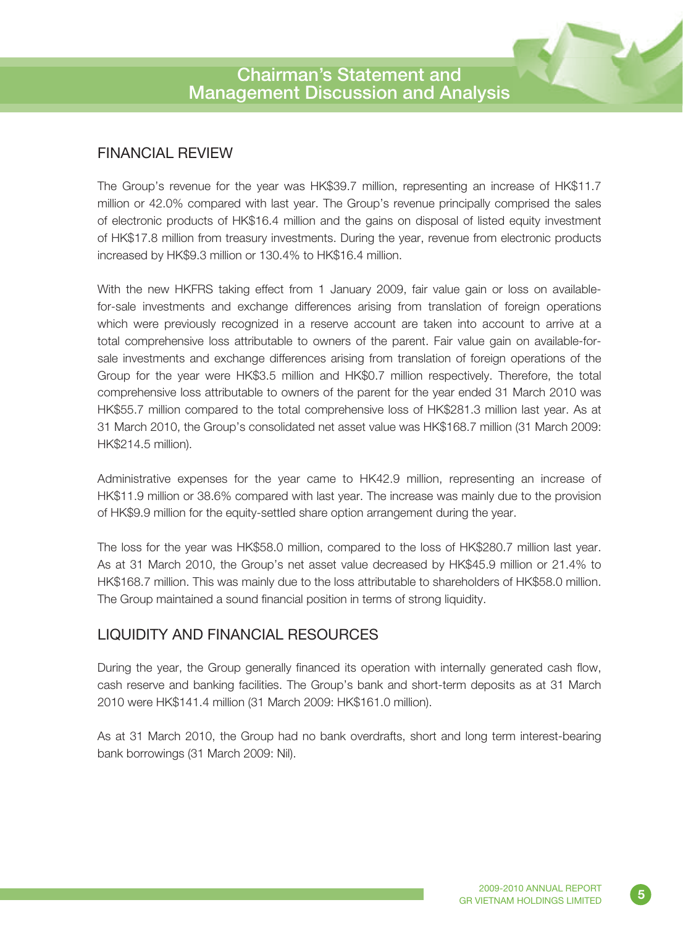

The Group's revenue for the year was HK\$39.7 million, representing an increase of HK\$11.7 million or 42.0% compared with last year. The Group's revenue principally comprised the sales of electronic products of HK\$16.4 million and the gains on disposal of listed equity investment of HK\$17.8 million from treasury investments. During the year, revenue from electronic products increased by HK\$9.3 million or 130.4% to HK\$16.4 million.

With the new HKFRS taking effect from 1 January 2009, fair value gain or loss on availablefor-sale investments and exchange differences arising from translation of foreign operations which were previously recognized in a reserve account are taken into account to arrive at a total comprehensive loss attributable to owners of the parent. Fair value gain on available-forsale investments and exchange differences arising from translation of foreign operations of the Group for the year were HK\$3.5 million and HK\$0.7 million respectively. Therefore, the total comprehensive loss attributable to owners of the parent for the year ended 31 March 2010 was HK\$55.7 million compared to the total comprehensive loss of HK\$281.3 million last year. As at 31 March 2010, the Group's consolidated net asset value was HK\$168.7 million (31 March 2009: HK\$214.5 million).

Administrative expenses for the year came to HK42.9 million, representing an increase of HK\$11.9 million or 38.6% compared with last year. The increase was mainly due to the provision of HK\$9.9 million for the equity-settled share option arrangement during the year.

The loss for the year was HK\$58.0 million, compared to the loss of HK\$280.7 million last year. As at 31 March 2010, the Group's net asset value decreased by HK\$45.9 million or 21.4% to HK\$168.7 million. This was mainly due to the loss attributable to shareholders of HK\$58.0 million. The Group maintained a sound financial position in terms of strong liquidity.

## LIQUIDITY AND FINANCIAL RESOURCES

During the year, the Group generally financed its operation with internally generated cash flow, cash reserve and banking facilities. The Group's bank and short-term deposits as at 31 March 2010 were HK\$141.4 million (31 March 2009: HK\$161.0 million).

As at 31 March 2010, the Group had no bank overdrafts, short and long term interest-bearing bank borrowings (31 March 2009: Nil).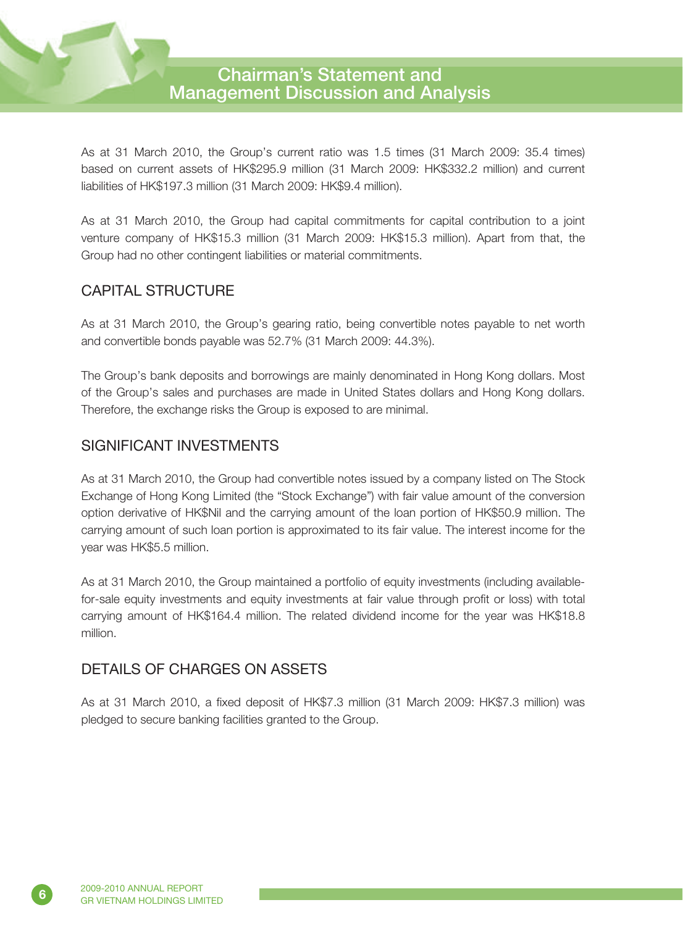

**Chairman's Statement and Management Discussion and Analysis**

As at 31 March 2010, the Group's current ratio was 1.5 times (31 March 2009: 35.4 times) based on current assets of HK\$295.9 million (31 March 2009: HK\$332.2 million) and current liabilities of HK\$197.3 million (31 March 2009: HK\$9.4 million).

As at 31 March 2010, the Group had capital commitments for capital contribution to a joint venture company of HK\$15.3 million (31 March 2009: HK\$15.3 million). Apart from that, the Group had no other contingent liabilities or material commitments.

## CAPITAL STRUCTURE

As at 31 March 2010, the Group's gearing ratio, being convertible notes payable to net worth and convertible bonds payable was 52.7% (31 March 2009: 44.3%).

The Group's bank deposits and borrowings are mainly denominated in Hong Kong dollars. Most of the Group's sales and purchases are made in United States dollars and Hong Kong dollars. Therefore, the exchange risks the Group is exposed to are minimal.

### SIGNIFICANT INVESTMENTS

As at 31 March 2010, the Group had convertible notes issued by a company listed on The Stock Exchange of Hong Kong Limited (the "Stock Exchange") with fair value amount of the conversion option derivative of HK\$Nil and the carrying amount of the loan portion of HK\$50.9 million. The carrying amount of such loan portion is approximated to its fair value. The interest income for the year was HK\$5.5 million.

As at 31 March 2010, the Group maintained a portfolio of equity investments (including availablefor-sale equity investments and equity investments at fair value through profit or loss) with total carrying amount of HK\$164.4 million. The related dividend income for the year was HK\$18.8 million.

### DETAILS OF CHARGES ON ASSETS

As at 31 March 2010, a fixed deposit of HK\$7.3 million (31 March 2009: HK\$7.3 million) was pledged to secure banking facilities granted to the Group.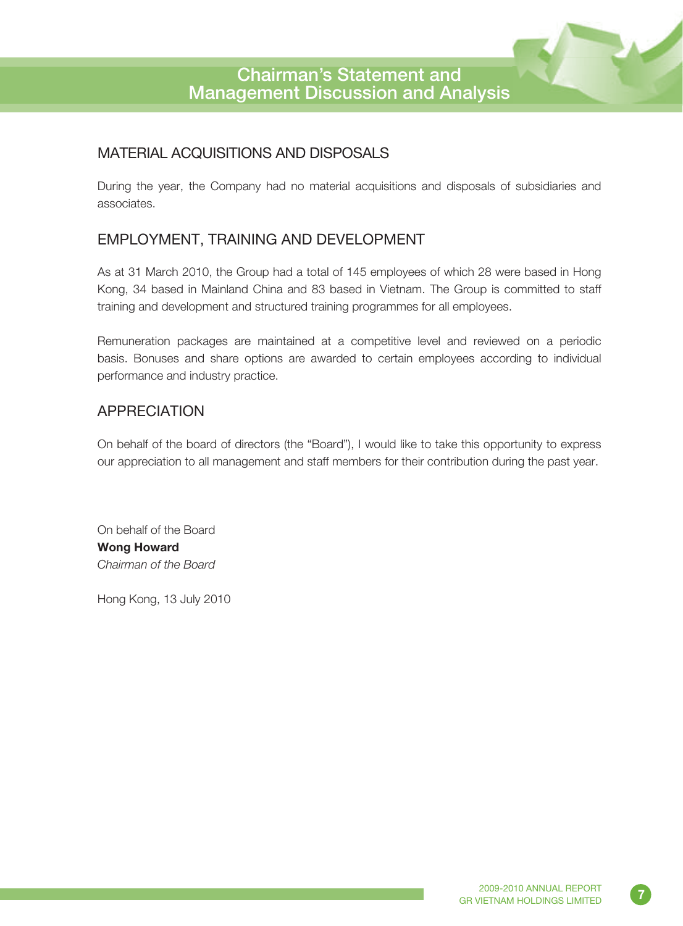## **Chairman's Statement and Management Discussion and Analysis**

## MATERIAL ACQUISITIONS AND DISPOSALS

During the year, the Company had no material acquisitions and disposals of subsidiaries and associates.

## EMPLOYMENT, TRAINING AND DEVELOPMENT

As at 31 March 2010, the Group had a total of 145 employees of which 28 were based in Hong Kong, 34 based in Mainland China and 83 based in Vietnam. The Group is committed to staff training and development and structured training programmes for all employees.

Remuneration packages are maintained at a competitive level and reviewed on a periodic basis. Bonuses and share options are awarded to certain employees according to individual performance and industry practice.

### APPRECIATION

On behalf of the board of directors (the "Board"), I would like to take this opportunity to express our appreciation to all management and staff members for their contribution during the past year.

On behalf of the Board **Wong Howard** Chairman of the Board

Hong Kong, 13 July 2010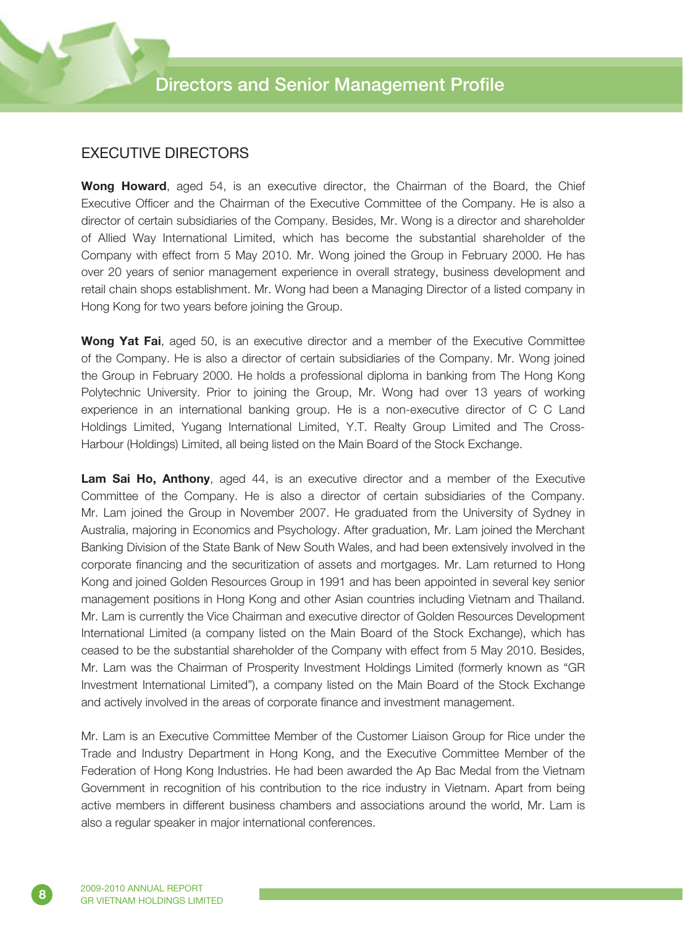

### EXECUTIVE DIRECTORS

**Wong Howard**, aged 54, is an executive director, the Chairman of the Board, the Chief Executive Officer and the Chairman of the Executive Committee of the Company. He is also a director of certain subsidiaries of the Company. Besides, Mr. Wong is a director and shareholder of Allied Way International Limited, which has become the substantial shareholder of the Company with effect from 5 May 2010. Mr. Wong joined the Group in February 2000. He has over 20 years of senior management experience in overall strategy, business development and retail chain shops establishment. Mr. Wong had been a Managing Director of a listed company in Hong Kong for two years before joining the Group.

**Wong Yat Fai**, aged 50, is an executive director and a member of the Executive Committee of the Company. He is also a director of certain subsidiaries of the Company. Mr. Wong joined the Group in February 2000. He holds a professional diploma in banking from The Hong Kong Polytechnic University. Prior to joining the Group, Mr. Wong had over 13 years of working experience in an international banking group. He is a non-executive director of C C Land Holdings Limited, Yugang International Limited, Y.T. Realty Group Limited and The Cross-Harbour (Holdings) Limited, all being listed on the Main Board of the Stock Exchange.

**Lam Sai Ho, Anthony**, aged 44, is an executive director and a member of the Executive Committee of the Company. He is also a director of certain subsidiaries of the Company. Mr. Lam joined the Group in November 2007. He graduated from the University of Sydney in Australia, majoring in Economics and Psychology. After graduation, Mr. Lam joined the Merchant Banking Division of the State Bank of New South Wales, and had been extensively involved in the corporate financing and the securitization of assets and mortgages. Mr. Lam returned to Hong Kong and joined Golden Resources Group in 1991 and has been appointed in several key senior management positions in Hong Kong and other Asian countries including Vietnam and Thailand. Mr. Lam is currently the Vice Chairman and executive director of Golden Resources Development International Limited (a company listed on the Main Board of the Stock Exchange), which has ceased to be the substantial shareholder of the Company with effect from 5 May 2010. Besides, Mr. Lam was the Chairman of Prosperity Investment Holdings Limited (formerly known as "GR Investment International Limited"), a company listed on the Main Board of the Stock Exchange and actively involved in the areas of corporate finance and investment management.

Mr. Lam is an Executive Committee Member of the Customer Liaison Group for Rice under the Trade and Industry Department in Hong Kong, and the Executive Committee Member of the Federation of Hong Kong Industries. He had been awarded the Ap Bac Medal from the Vietnam Government in recognition of his contribution to the rice industry in Vietnam. Apart from being active members in different business chambers and associations around the world, Mr. Lam is also a regular speaker in major international conferences.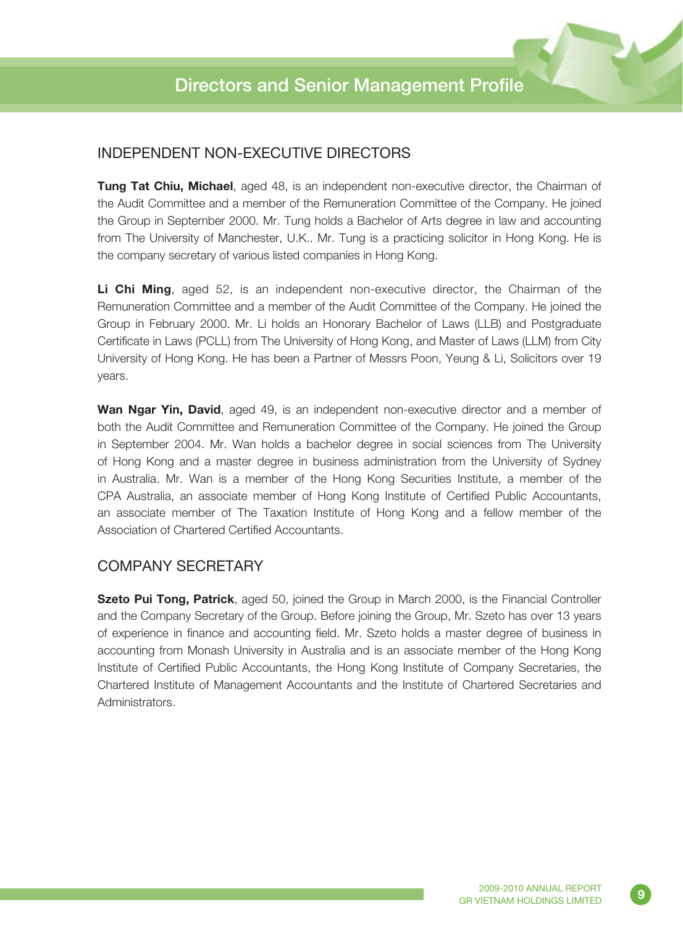## INDEPENDENT NON-EXECUTIVE DIRECTORS

**Tung Tat Chiu, Michael**, aged 48, is an independent non-executive director, the Chairman of the Audit Committee and a member of the Remuneration Committee of the Company. He joined the Group in September 2000. Mr. Tung holds a Bachelor of Arts degree in law and accounting from The University of Manchester, U.K.. Mr. Tung is a practicing solicitor in Hong Kong. He is the company secretary of various listed companies in Hong Kong.

**Li Chi Ming**, aged 52, is an independent non-executive director, the Chairman of the Remuneration Committee and a member of the Audit Committee of the Company. He joined the Group in February 2000. Mr. Li holds an Honorary Bachelor of Laws (LLB) and Postgraduate Certificate in Laws (PCLL) from The University of Hong Kong, and Master of Laws (LLM) from City University of Hong Kong. He has been a Partner of Messrs Poon, Yeung & Li, Solicitors over 19 years.

**Wan Ngar Yin, David**, aged 49, is an independent non-executive director and a member of both the Audit Committee and Remuneration Committee of the Company. He joined the Group in September 2004. Mr. Wan holds a bachelor degree in social sciences from The University of Hong Kong and a master degree in business administration from the University of Sydney in Australia. Mr. Wan is a member of the Hong Kong Securities Institute, a member of the CPA Australia, an associate member of Hong Kong Institute of Certified Public Accountants, an associate member of The Taxation Institute of Hong Kong and a fellow member of the Association of Chartered Certified Accountants.

## COMPANY SECRETARY

**Szeto Pui Tong, Patrick**, aged 50, joined the Group in March 2000, is the Financial Controller and the Company Secretary of the Group. Before joining the Group, Mr. Szeto has over 13 years of experience in finance and accounting field. Mr. Szeto holds a master degree of business in accounting from Monash University in Australia and is an associate member of the Hong Kong Institute of Certified Public Accountants, the Hong Kong Institute of Company Secretaries, the Chartered Institute of Management Accountants and the Institute of Chartered Secretaries and **Administrators**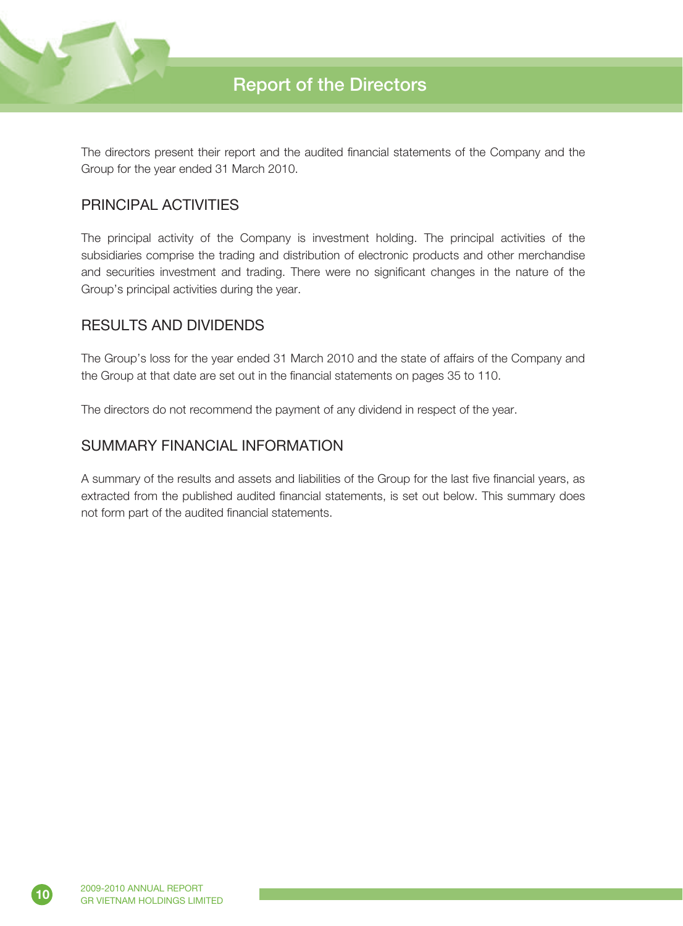

The directors present their report and the audited financial statements of the Company and the Group for the year ended 31 March 2010.

## PRINCIPAL ACTIVITIES

The principal activity of the Company is investment holding. The principal activities of the subsidiaries comprise the trading and distribution of electronic products and other merchandise and securities investment and trading. There were no significant changes in the nature of the Group's principal activities during the year.

### RESULTS AND DIVIDENDS

The Group's loss for the year ended 31 March 2010 and the state of affairs of the Company and the Group at that date are set out in the financial statements on pages 35 to 110.

The directors do not recommend the payment of any dividend in respect of the year.

### SUMMARY FINANCIAL INFORMATION

A summary of the results and assets and liabilities of the Group for the last five financial years, as extracted from the published audited financial statements, is set out below. This summary does not form part of the audited financial statements.

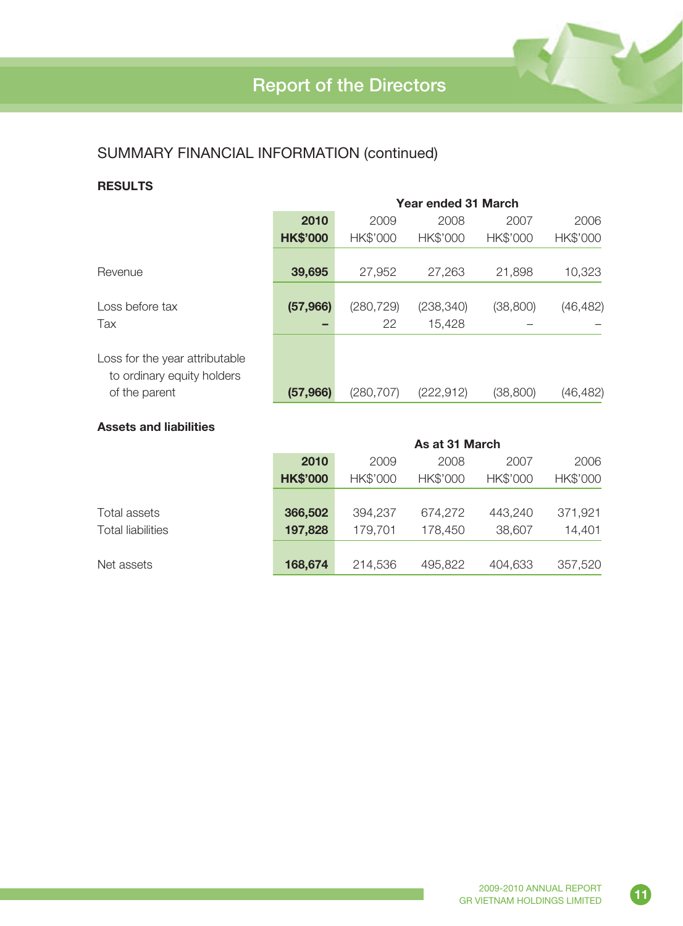## SUMMARY FINANCIAL INFORMATION (continued)

### **RESULTS**

|                                                                               | <b>Year ended 31 March</b> |                  |                      |           |           |  |
|-------------------------------------------------------------------------------|----------------------------|------------------|----------------------|-----------|-----------|--|
|                                                                               | 2010                       | 2009             | 2008                 | 2007      | 2006      |  |
|                                                                               | <b>HK\$'000</b>            | HK\$'000         | HK\$'000             | HK\$'000  | HK\$'000  |  |
| Revenue                                                                       | 39,695                     | 27,952           | 27,263               | 21,898    | 10,323    |  |
| Loss before tax<br>Tax                                                        | (57, 966)                  | (280, 729)<br>22 | (238, 340)<br>15,428 | (38, 800) | (46, 482) |  |
| Loss for the year attributable<br>to ordinary equity holders<br>of the parent | (57, 966)                  | (280,707)        | (222, 912)           | (38, 800) | (46, 482) |  |

### **Assets and liabilities**

|                          |                 | As at 31 March |          |          |          |  |  |
|--------------------------|-----------------|----------------|----------|----------|----------|--|--|
|                          | 2010            | 2009           | 2008     | 2007     | 2006     |  |  |
|                          | <b>HK\$'000</b> | HK\$'000       | HK\$'000 | HK\$'000 | HK\$'000 |  |  |
|                          |                 |                |          |          |          |  |  |
| Total assets             | 366,502         | 394,237        | 674,272  | 443,240  | 371,921  |  |  |
| <b>Total liabilities</b> | 197,828         | 179,701        | 178,450  | 38,607   | 14,401   |  |  |
|                          |                 |                |          |          |          |  |  |
| Net assets               | 168,674         | 214,536        | 495,822  | 404,633  | 357,520  |  |  |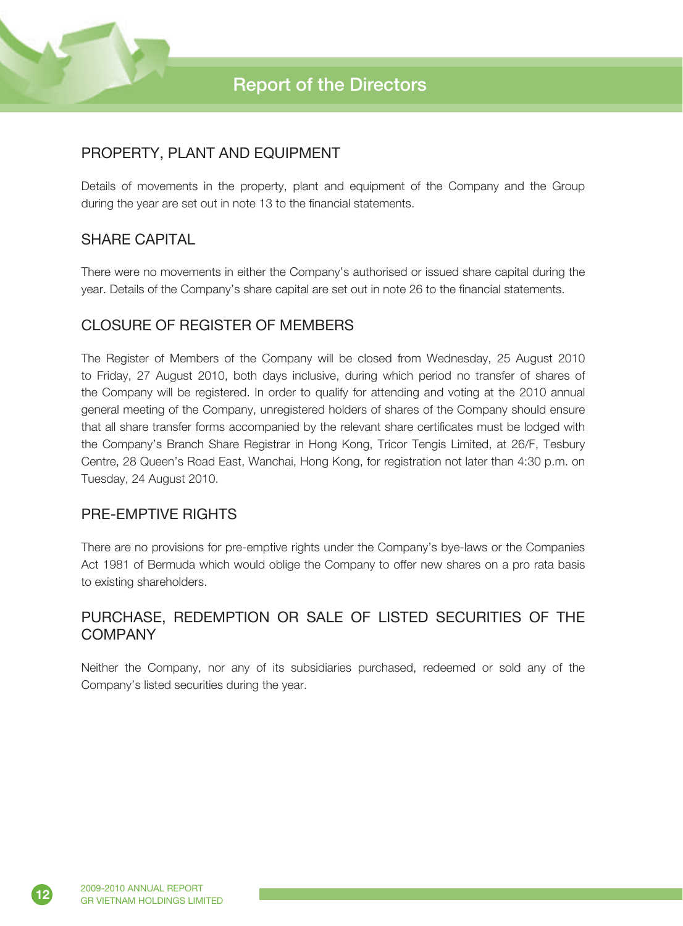

## PROPERTY, PLANT AND EQUIPMENT

Details of movements in the property, plant and equipment of the Company and the Group during the year are set out in note 13 to the financial statements.

### SHARE CAPITAL

There were no movements in either the Company's authorised or issued share capital during the year. Details of the Company's share capital are set out in note 26 to the financial statements.

### CLOSURE OF REGISTER OF MEMBERS

The Register of Members of the Company will be closed from Wednesday, 25 August 2010 to Friday, 27 August 2010, both days inclusive, during which period no transfer of shares of the Company will be registered. In order to qualify for attending and voting at the 2010 annual general meeting of the Company, unregistered holders of shares of the Company should ensure that all share transfer forms accompanied by the relevant share certificates must be lodged with the Company's Branch Share Registrar in Hong Kong, Tricor Tengis Limited, at 26/F, Tesbury Centre, 28 Queen's Road East, Wanchai, Hong Kong, for registration not later than 4:30 p.m. on Tuesday, 24 August 2010.

### PRE-EMPTIVE RIGHTS

There are no provisions for pre-emptive rights under the Company's bye-laws or the Companies Act 1981 of Bermuda which would oblige the Company to offer new shares on a pro rata basis to existing shareholders.

### PURCHASE, REDEMPTION OR SALE OF LISTED SECURITIES OF THE COMPANY

Neither the Company, nor any of its subsidiaries purchased, redeemed or sold any of the Company's listed securities during the year.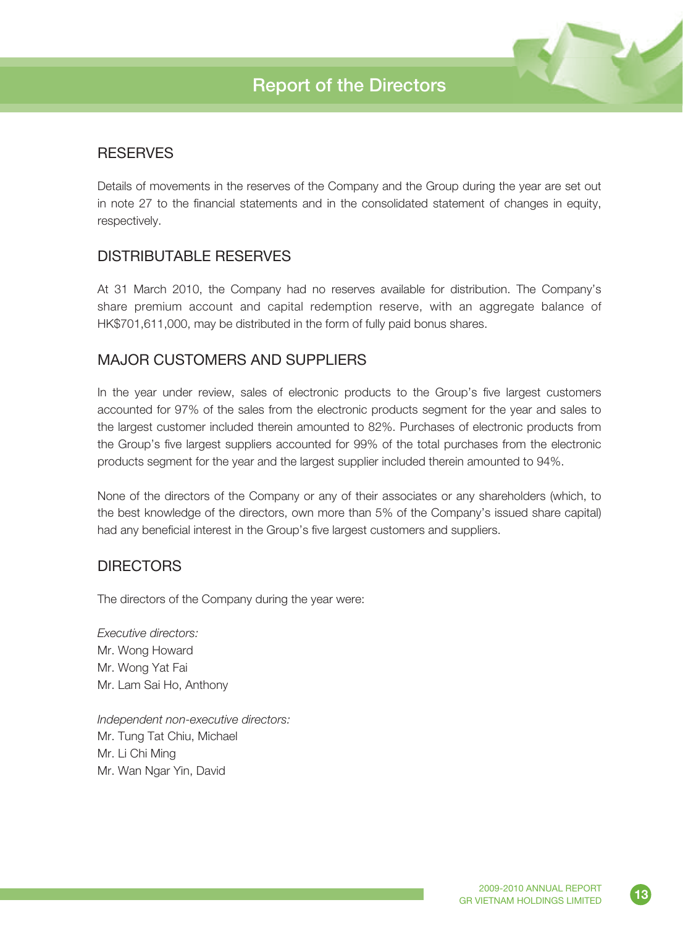### **RESERVES**

Details of movements in the reserves of the Company and the Group during the year are set out in note 27 to the financial statements and in the consolidated statement of changes in equity, respectively.

### DISTRIBUTABLE RESERVES

At 31 March 2010, the Company had no reserves available for distribution. The Company's share premium account and capital redemption reserve, with an aggregate balance of HK\$701,611,000, may be distributed in the form of fully paid bonus shares.

### MAJOR CUSTOMERS AND SUPPLIERS

In the year under review, sales of electronic products to the Group's five largest customers accounted for 97% of the sales from the electronic products segment for the year and sales to the largest customer included therein amounted to 82%. Purchases of electronic products from the Group's five largest suppliers accounted for 99% of the total purchases from the electronic products segment for the year and the largest supplier included therein amounted to 94%.

None of the directors of the Company or any of their associates or any shareholders (which, to the best knowledge of the directors, own more than 5% of the Company's issued share capital) had any beneficial interest in the Group's five largest customers and suppliers.

### **DIRECTORS**

The directors of the Company during the year were:

Executive directors: Mr. Wong Howard Mr. Wong Yat Fai Mr. Lam Sai Ho, Anthony

Independent non-executive directors: Mr. Tung Tat Chiu, Michael Mr. Li Chi Ming Mr. Wan Ngar Yin, David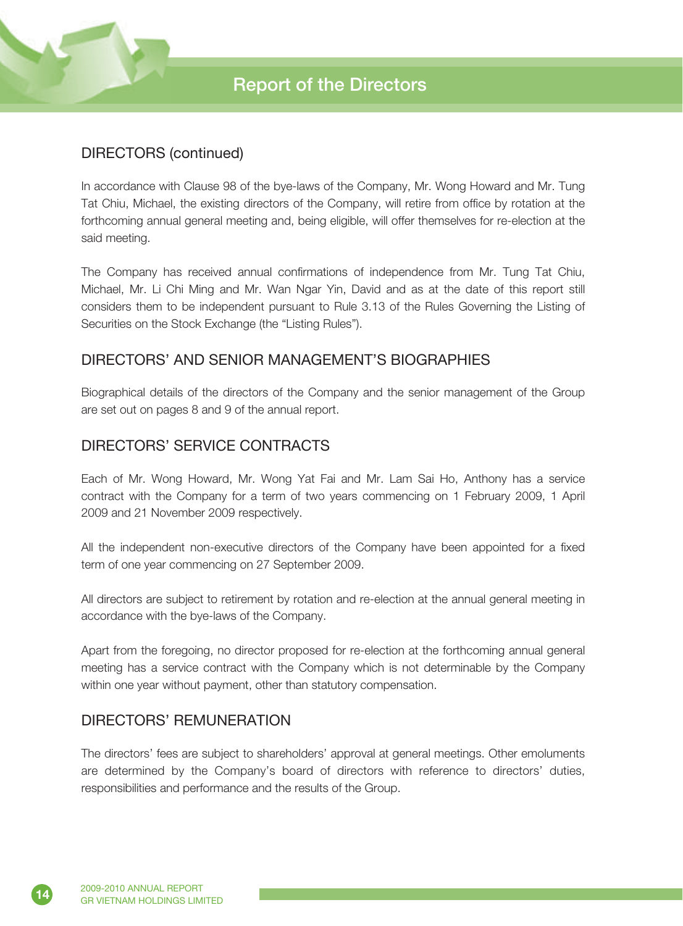

### DIRECTORS (continued)

In accordance with Clause 98 of the bye-laws of the Company, Mr. Wong Howard and Mr. Tung Tat Chiu, Michael, the existing directors of the Company, will retire from office by rotation at the forthcoming annual general meeting and, being eligible, will offer themselves for re-election at the said meeting.

The Company has received annual confirmations of independence from Mr. Tung Tat Chiu, Michael, Mr. Li Chi Ming and Mr. Wan Ngar Yin, David and as at the date of this report still considers them to be independent pursuant to Rule 3.13 of the Rules Governing the Listing of Securities on the Stock Exchange (the "Listing Rules").

### DIRECTORS' AND SENIOR MANAGEMENT'S BIOGRAPHIES

Biographical details of the directors of the Company and the senior management of the Group are set out on pages 8 and 9 of the annual report.

### DIRECTORS' SERVICE CONTRACTS

Each of Mr. Wong Howard, Mr. Wong Yat Fai and Mr. Lam Sai Ho, Anthony has a service contract with the Company for a term of two years commencing on 1 February 2009, 1 April 2009 and 21 November 2009 respectively.

All the independent non-executive directors of the Company have been appointed for a fixed term of one year commencing on 27 September 2009.

All directors are subject to retirement by rotation and re-election at the annual general meeting in accordance with the bye-laws of the Company.

Apart from the foregoing, no director proposed for re-election at the forthcoming annual general meeting has a service contract with the Company which is not determinable by the Company within one year without payment, other than statutory compensation.

### DIRECTORS' REMUNERATION

The directors' fees are subject to shareholders' approval at general meetings. Other emoluments are determined by the Company's board of directors with reference to directors' duties, responsibilities and performance and the results of the Group.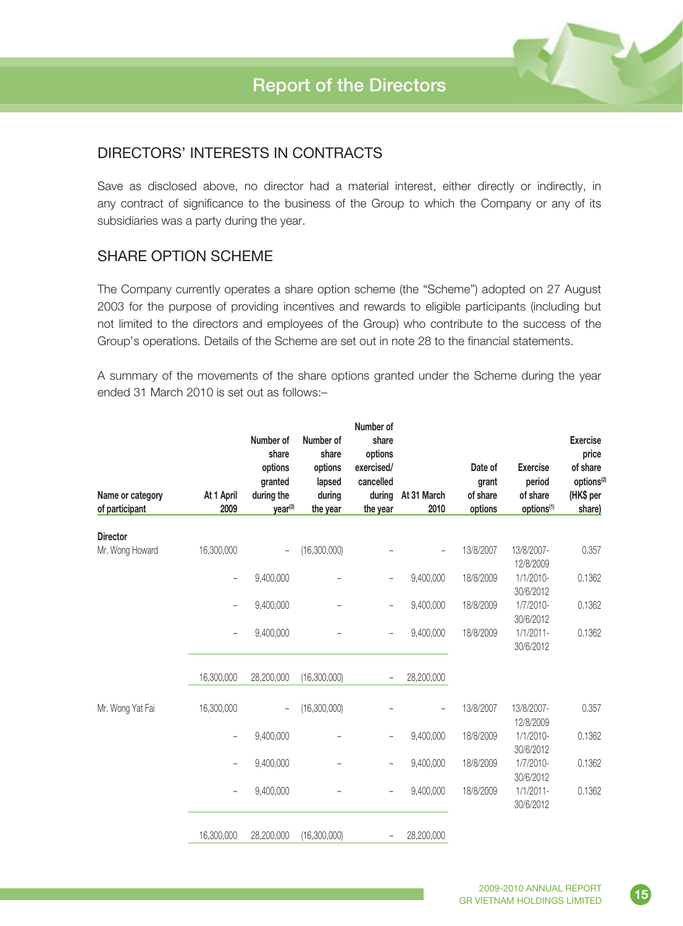## **Report of the Directors**

## DIRECTORS' INTERESTS IN CONTRACTS

Save as disclosed above, no director had a material interest, either directly or indirectly, in any contract of significance to the business of the Group to which the Company or any of its subsidiaries was a party during the year.

## SHARE OPTION SCHEME

The Company currently operates a share option scheme (the "Scheme") adopted on 27 August 2003 for the purpose of providing incentives and rewards to eligible participants (including but not limited to the directors and employees of the Group) who contribute to the success of the Group's operations. Details of the Scheme are set out in note 28 to the financial statements.

A summary of the movements of the share options granted under the Scheme during the year ended 31 March 2010 is set out as follows:–

| Name or category<br>of participant | At 1 April<br>2009       | Number of<br>share<br>options<br>granted<br>during the<br>year <sup>(3)</sup> | Number of<br>share<br>options<br>lapsed<br>during<br>the year | Number of<br>share<br>options<br>exercised/<br>cancelled<br>during<br>the year | At 31 March<br>2010 | Date of<br>grant<br>of share<br>options | <b>Exercise</b><br>period<br>of share<br>options <sup>(1)</sup> | <b>Exercise</b><br>price<br>of share<br>options <sup>(2)</sup><br>(HK\$ per<br>share) |
|------------------------------------|--------------------------|-------------------------------------------------------------------------------|---------------------------------------------------------------|--------------------------------------------------------------------------------|---------------------|-----------------------------------------|-----------------------------------------------------------------|---------------------------------------------------------------------------------------|
| <b>Director</b><br>Mr. Wong Howard | 16,300,000               |                                                                               | (16,300,000)                                                  |                                                                                |                     | 13/8/2007                               | 13/8/2007-                                                      | 0.357                                                                                 |
|                                    | $\overline{\phantom{0}}$ | 9,400,000                                                                     |                                                               | $\overline{\phantom{0}}$                                                       | 9,400,000           | 18/8/2009                               | 12/8/2009<br>1/1/2010-<br>30/6/2012                             | 0.1362                                                                                |
|                                    | $\overline{\phantom{0}}$ | 9,400,000                                                                     |                                                               | $\overline{\phantom{0}}$                                                       | 9,400,000           | 18/8/2009                               | 1/7/2010-<br>30/6/2012                                          | 0.1362                                                                                |
|                                    | $\overline{a}$           | 9,400,000                                                                     |                                                               | $\overline{\phantom{0}}$                                                       | 9,400,000           | 18/8/2009                               | $1/1/2011 -$<br>30/6/2012                                       | 0.1362                                                                                |
|                                    | 16,300,000               | 28,200,000                                                                    | (16,300,000)                                                  | -                                                                              | 28,200,000          |                                         |                                                                 |                                                                                       |
| Mr. Wong Yat Fai                   | 16,300,000               |                                                                               | (16,300,000)                                                  |                                                                                |                     | 13/8/2007                               | 13/8/2007-<br>12/8/2009                                         | 0.357                                                                                 |
|                                    | $\overline{\phantom{0}}$ | 9,400,000                                                                     |                                                               | ÷                                                                              | 9,400,000           | 18/8/2009                               | 1/1/2010-<br>30/6/2012                                          | 0.1362                                                                                |
|                                    | $\overline{\phantom{0}}$ | 9,400,000                                                                     |                                                               | $\overline{\phantom{0}}$                                                       | 9,400,000           | 18/8/2009                               | 1/7/2010-<br>30/6/2012                                          | 0.1362                                                                                |
|                                    | $\overline{\phantom{0}}$ | 9,400,000                                                                     |                                                               | $\qquad \qquad -$                                                              | 9,400,000           | 18/8/2009                               | $1/1/2011 -$<br>30/6/2012                                       | 0.1362                                                                                |
|                                    | 16,300,000               | 28,200,000                                                                    | (16,300,000)                                                  | -                                                                              | 28,200,000          |                                         |                                                                 |                                                                                       |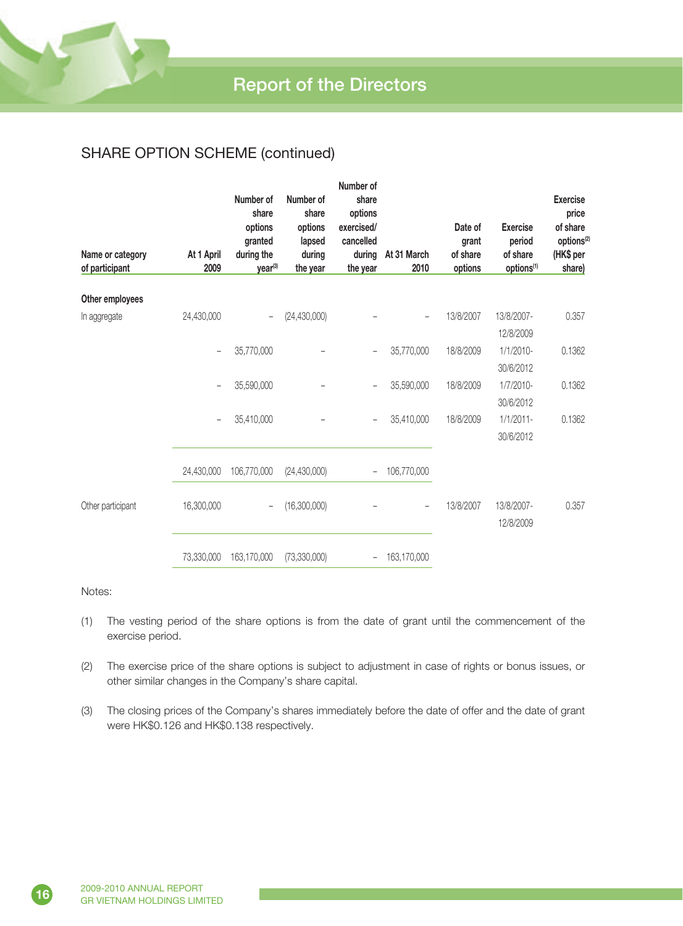

## SHARE OPTION SCHEME (continued)

| Name or category<br>of participant | At 1 April<br>2009 | Number of<br>share<br>options<br>granted<br>during the<br>year(3) | Number of<br>share<br>options<br>lapsed<br>during<br>the year | Number of<br>share<br>options<br>exercised/<br>cancelled<br>during<br>the year | At 31 March<br>2010 | Date of<br>grant<br>of share<br>options | <b>Exercise</b><br>period<br>of share<br>options <sup>(1)</sup> | <b>Exercise</b><br>price<br>of share<br>options <sup>(2)</sup><br>(HK\$ per<br>share) |
|------------------------------------|--------------------|-------------------------------------------------------------------|---------------------------------------------------------------|--------------------------------------------------------------------------------|---------------------|-----------------------------------------|-----------------------------------------------------------------|---------------------------------------------------------------------------------------|
| Other employees                    |                    |                                                                   |                                                               |                                                                                |                     |                                         |                                                                 |                                                                                       |
| In aggregate                       | 24,430,000         |                                                                   | (24, 430, 000)                                                |                                                                                |                     | 13/8/2007                               | 13/8/2007-<br>12/8/2009                                         | 0.357                                                                                 |
|                                    | $\overline{a}$     | 35,770,000                                                        |                                                               |                                                                                | 35,770,000          | 18/8/2009                               | 1/1/2010-<br>30/6/2012                                          | 0.1362                                                                                |
|                                    | $\overline{a}$     | 35,590,000                                                        |                                                               | ÷                                                                              | 35,590,000          | 18/8/2009                               | 1/7/2010-<br>30/6/2012                                          | 0.1362                                                                                |
|                                    | $\qquad \qquad -$  | 35,410,000                                                        |                                                               | $\overline{\phantom{0}}$                                                       | 35,410,000          | 18/8/2009                               | $1/1/2011$ -<br>30/6/2012                                       | 0.1362                                                                                |
|                                    | 24,430,000         | 106,770,000                                                       | (24, 430, 000)                                                | $\overline{\phantom{a}}$                                                       | 106,770,000         |                                         |                                                                 |                                                                                       |
| Other participant                  | 16,300,000         |                                                                   | (16,300,000)                                                  |                                                                                |                     | 13/8/2007                               | 13/8/2007-<br>12/8/2009                                         | 0.357                                                                                 |
|                                    | 73,330,000         | 163,170,000                                                       | (73, 330, 000)                                                | $\overline{\phantom{0}}$                                                       | 163,170,000         |                                         |                                                                 |                                                                                       |

Notes:

- (1) The vesting period of the share options is from the date of grant until the commencement of the exercise period.
- (2) The exercise price of the share options is subject to adjustment in case of rights or bonus issues, or other similar changes in the Company's share capital.
- (3) The closing prices of the Company's shares immediately before the date of offer and the date of grant were HK\$0.126 and HK\$0.138 respectively.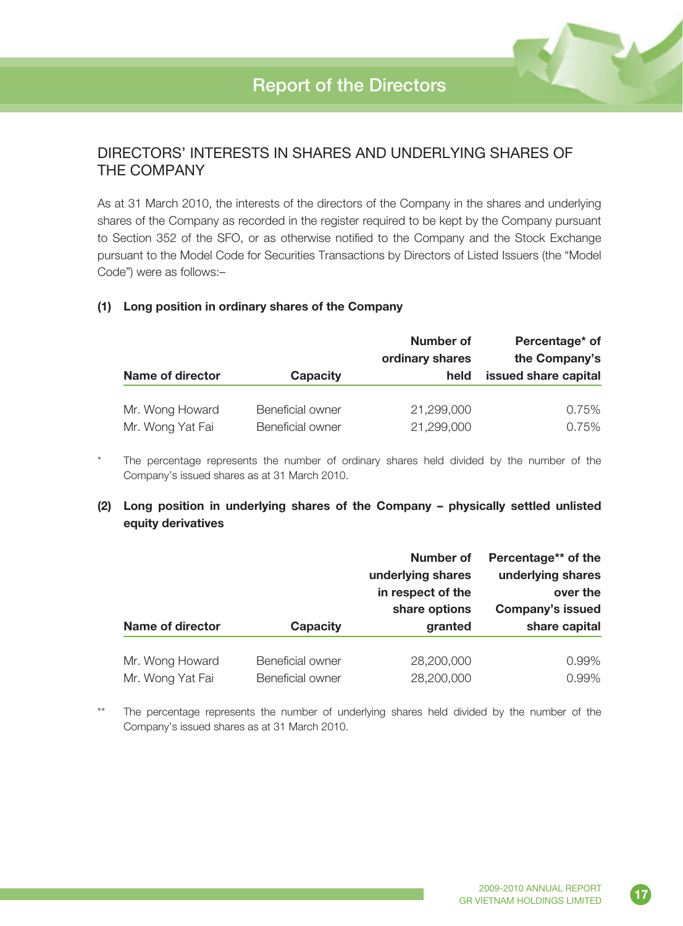

As at 31 March 2010, the interests of the directors of the Company in the shares and underlying shares of the Company as recorded in the register required to be kept by the Company pursuant to Section 352 of the SFO, or as otherwise notified to the Company and the Stock Exchange pursuant to the Model Code for Securities Transactions by Directors of Listed Issuers (the "Model Code") were as follows:–

#### **(1) Long position in ordinary shares of the Company**

|                  |                  | Number of<br>ordinary shares | Percentage* of<br>the Company's |
|------------------|------------------|------------------------------|---------------------------------|
| Name of director | <b>Capacity</b>  | held                         | issued share capital            |
| Mr. Wong Howard  | Beneficial owner | 21,299,000                   | 0.75%                           |
| Mr. Wong Yat Fai | Beneficial owner | 21,299,000                   | 0.75%                           |

The percentage represents the number of ordinary shares held divided by the number of the Company's issued shares as at 31 March 2010.

### **(2) Long position in underlying shares of the Company – physically settled unlisted equity derivatives**

|                  |                  | Number of<br>underlying shares<br>in respect of the<br>share options | Percentage** of the<br>underlying shares<br>over the<br><b>Company's issued</b> |
|------------------|------------------|----------------------------------------------------------------------|---------------------------------------------------------------------------------|
| Name of director | <b>Capacity</b>  | granted                                                              | share capital                                                                   |
| Mr. Wong Howard  | Beneficial owner | 28,200,000                                                           | 0.99%                                                                           |
| Mr. Wong Yat Fai | Beneficial owner | 28,200,000                                                           | 0.99%                                                                           |

The percentage represents the number of underlying shares held divided by the number of the Company's issued shares as at 31 March 2010.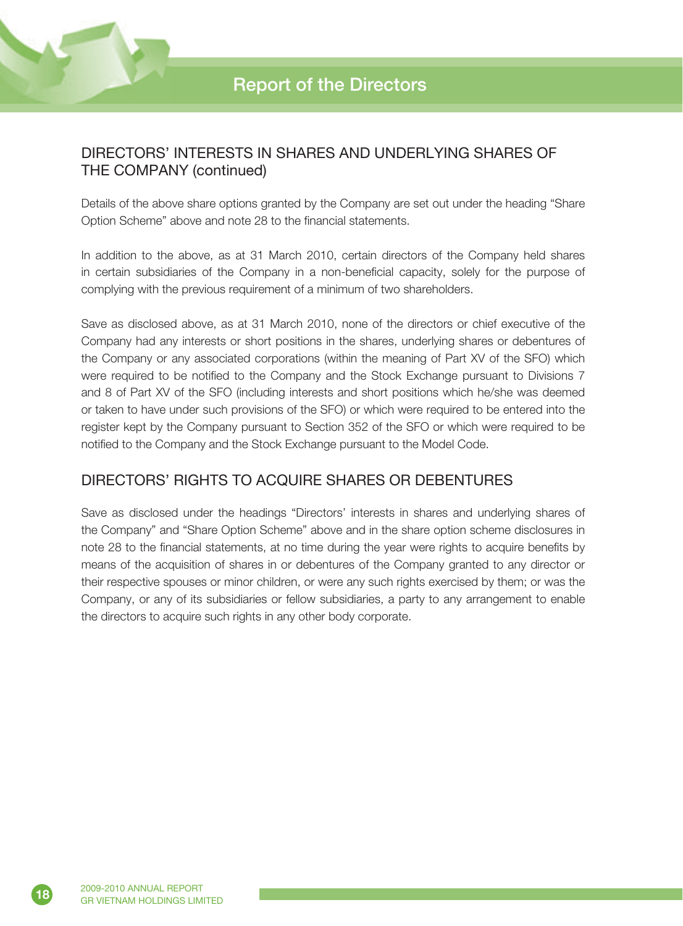

### DIRECTORS' INTERESTS IN SHARES AND UNDERLYING SHARES OF THE COMPANY (continued)

Details of the above share options granted by the Company are set out under the heading "Share Option Scheme" above and note 28 to the financial statements.

In addition to the above, as at 31 March 2010, certain directors of the Company held shares in certain subsidiaries of the Company in a non-beneficial capacity, solely for the purpose of complying with the previous requirement of a minimum of two shareholders.

Save as disclosed above, as at 31 March 2010, none of the directors or chief executive of the Company had any interests or short positions in the shares, underlying shares or debentures of the Company or any associated corporations (within the meaning of Part XV of the SFO) which were required to be notified to the Company and the Stock Exchange pursuant to Divisions 7 and 8 of Part XV of the SFO (including interests and short positions which he/she was deemed or taken to have under such provisions of the SFO) or which were required to be entered into the register kept by the Company pursuant to Section 352 of the SFO or which were required to be notified to the Company and the Stock Exchange pursuant to the Model Code.

### DIRECTORS' RIGHTS TO ACQUIRE SHARES OR DEBENTURES

Save as disclosed under the headings "Directors' interests in shares and underlying shares of the Company" and "Share Option Scheme" above and in the share option scheme disclosures in note 28 to the financial statements, at no time during the year were rights to acquire benefits by means of the acquisition of shares in or debentures of the Company granted to any director or their respective spouses or minor children, or were any such rights exercised by them; or was the Company, or any of its subsidiaries or fellow subsidiaries, a party to any arrangement to enable the directors to acquire such rights in any other body corporate.

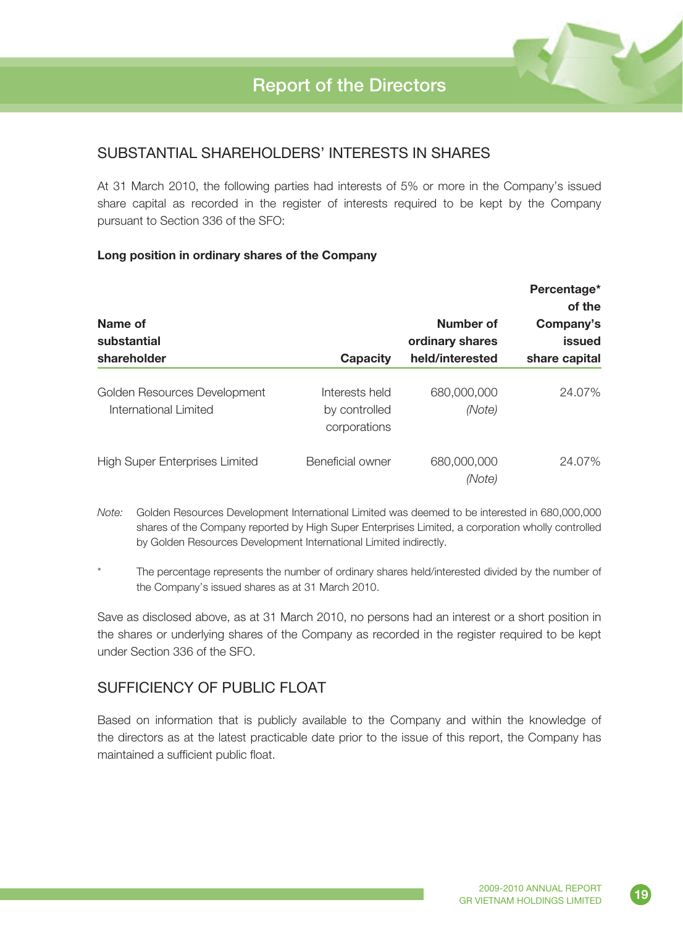

## SUBSTANTIAL SHAREHOLDERS' INTERESTS IN SHARES

At 31 March 2010, the following parties had interests of 5% or more in the Company's issued share capital as recorded in the register of interests required to be kept by the Company pursuant to Section 336 of the SFO:

### **Long position in ordinary shares of the Company**

|                                                       |                                                 |                              | Percentage*<br>of the |
|-------------------------------------------------------|-------------------------------------------------|------------------------------|-----------------------|
| Name of<br>substantial                                |                                                 | Number of<br>ordinary shares | Company's<br>issued   |
| shareholder                                           | <b>Capacity</b>                                 | held/interested              | share capital         |
| Golden Resources Development<br>International Limited | Interests held<br>by controlled<br>corporations | 680,000,000<br>(Note)        | 24.07%                |
| <b>High Super Enterprises Limited</b>                 | Beneficial owner                                | 680,000,000<br>(Note)        | 24.07%                |

- Note: Golden Resources Development International Limited was deemed to be interested in 680,000,000 shares of the Company reported by High Super Enterprises Limited, a corporation wholly controlled by Golden Resources Development International Limited indirectly.
- The percentage represents the number of ordinary shares held/interested divided by the number of the Company's issued shares as at 31 March 2010.

Save as disclosed above, as at 31 March 2010, no persons had an interest or a short position in the shares or underlying shares of the Company as recorded in the register required to be kept under Section 336 of the SFO.

## SUFFICIENCY OF PUBLIC FLOAT

Based on information that is publicly available to the Company and within the knowledge of the directors as at the latest practicable date prior to the issue of this report, the Company has maintained a sufficient public float.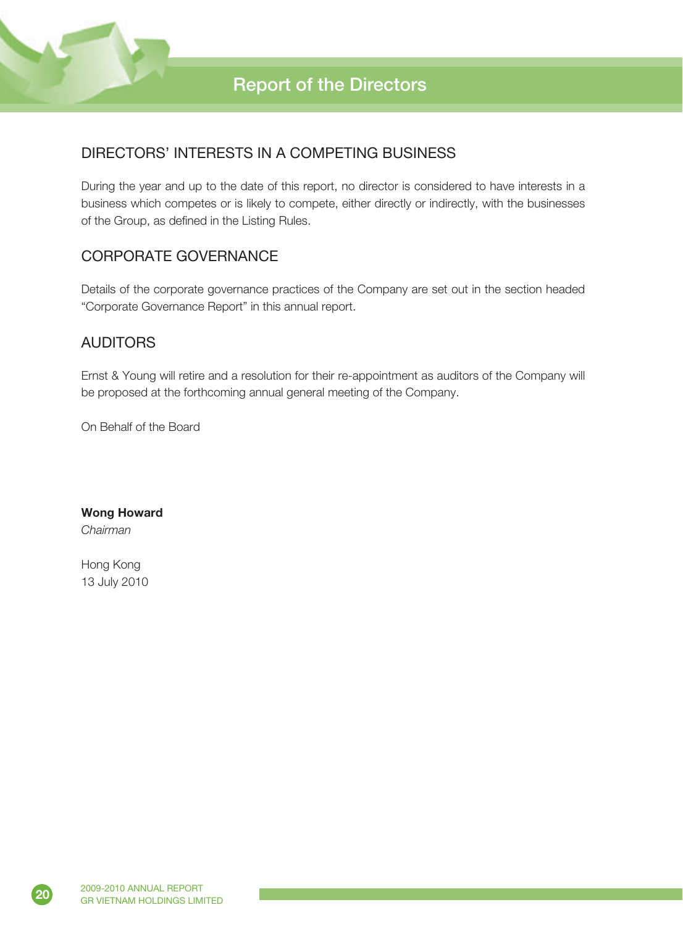

## DIRECTORS' INTERESTS IN A COMPETING BUSINESS

During the year and up to the date of this report, no director is considered to have interests in a business which competes or is likely to compete, either directly or indirectly, with the businesses of the Group, as defined in the Listing Rules.

### CORPORATE GOVERNANCE

Details of the corporate governance practices of the Company are set out in the section headed "Corporate Governance Report" in this annual report.

## AUDITORS

Ernst & Young will retire and a resolution for their re-appointment as auditors of the Company will be proposed at the forthcoming annual general meeting of the Company.

On Behalf of the Board

**Wong Howard** Chairman

Hong Kong 13 July 2010

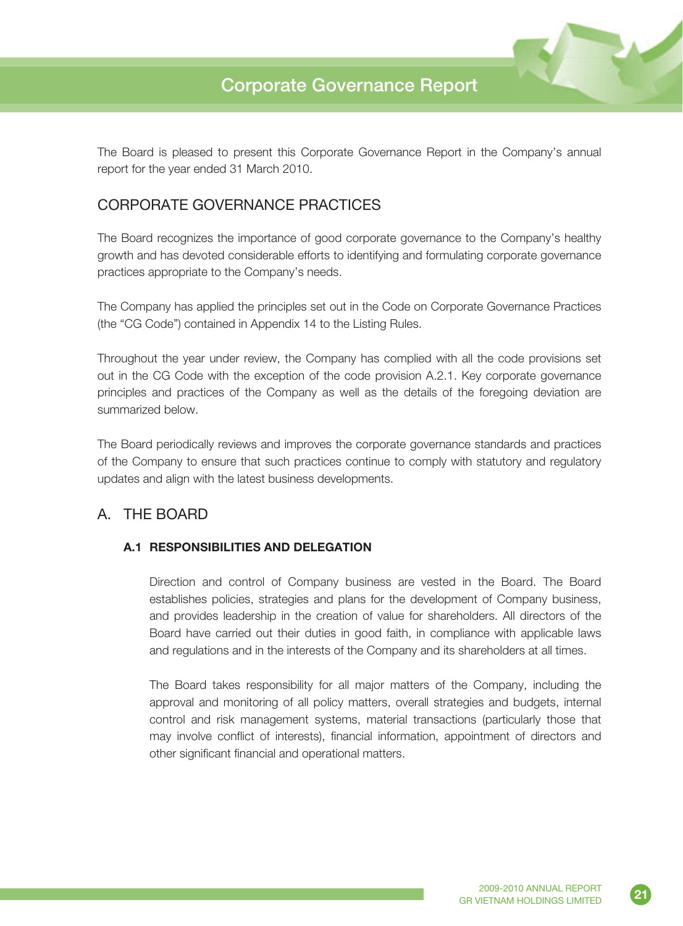The Board is pleased to present this Corporate Governance Report in the Company's annual report for the year ended 31 March 2010.

### CORPORATE GOVERNANCE PRACTICES

The Board recognizes the importance of good corporate governance to the Company's healthy growth and has devoted considerable efforts to identifying and formulating corporate governance practices appropriate to the Company's needs.

The Company has applied the principles set out in the Code on Corporate Governance Practices (the "CG Code") contained in Appendix 14 to the Listing Rules.

Throughout the year under review, the Company has complied with all the code provisions set out in the CG Code with the exception of the code provision A.2.1. Key corporate governance principles and practices of the Company as well as the details of the foregoing deviation are summarized below.

The Board periodically reviews and improves the corporate governance standards and practices of the Company to ensure that such practices continue to comply with statutory and regulatory updates and align with the latest business developments.

### A. THE BOARD

### **A.1 RESPONSIBILITIES AND DELEGATION**

Direction and control of Company business are vested in the Board. The Board establishes policies, strategies and plans for the development of Company business, and provides leadership in the creation of value for shareholders. All directors of the Board have carried out their duties in good faith, in compliance with applicable laws and regulations and in the interests of the Company and its shareholders at all times.

The Board takes responsibility for all major matters of the Company, including the approval and monitoring of all policy matters, overall strategies and budgets, internal control and risk management systems, material transactions (particularly those that may involve conflict of interests), financial information, appointment of directors and other significant financial and operational matters.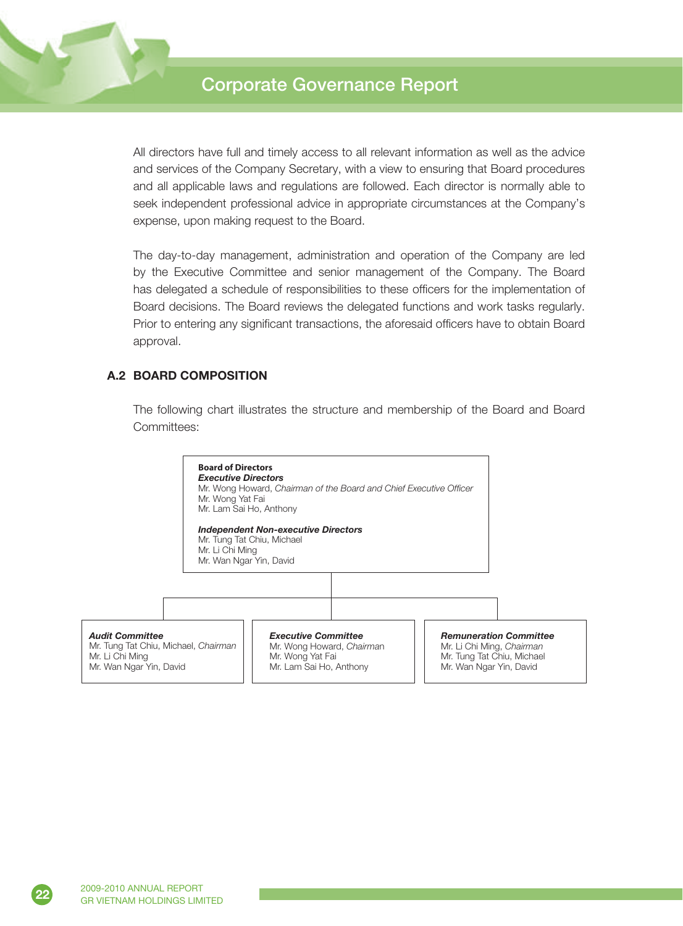All directors have full and timely access to all relevant information as well as the advice and services of the Company Secretary, with a view to ensuring that Board procedures and all applicable laws and regulations are followed. Each director is normally able to seek independent professional advice in appropriate circumstances at the Company's expense, upon making request to the Board.

The day-to-day management, administration and operation of the Company are led by the Executive Committee and senior management of the Company. The Board has delegated a schedule of responsibilities to these officers for the implementation of Board decisions. The Board reviews the delegated functions and work tasks regularly. Prior to entering any significant transactions, the aforesaid officers have to obtain Board approval.

### **A.2 BOARD COMPOSITION**

The following chart illustrates the structure and membership of the Board and Board Committees:

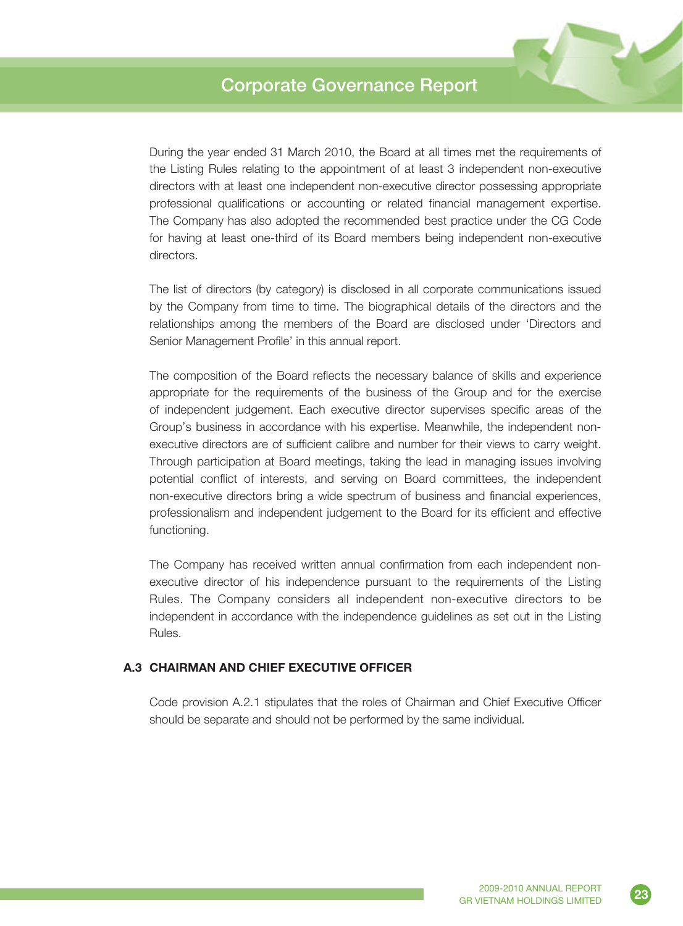During the year ended 31 March 2010, the Board at all times met the requirements of the Listing Rules relating to the appointment of at least 3 independent non-executive directors with at least one independent non-executive director possessing appropriate professional qualifications or accounting or related financial management expertise. The Company has also adopted the recommended best practice under the CG Code for having at least one-third of its Board members being independent non-executive directors.

The list of directors (by category) is disclosed in all corporate communications issued by the Company from time to time. The biographical details of the directors and the relationships among the members of the Board are disclosed under 'Directors and Senior Management Profile' in this annual report.

The composition of the Board reflects the necessary balance of skills and experience appropriate for the requirements of the business of the Group and for the exercise of independent judgement. Each executive director supervises specific areas of the Group's business in accordance with his expertise. Meanwhile, the independent nonexecutive directors are of sufficient calibre and number for their views to carry weight. Through participation at Board meetings, taking the lead in managing issues involving potential conflict of interests, and serving on Board committees, the independent non-executive directors bring a wide spectrum of business and financial experiences, professionalism and independent judgement to the Board for its efficient and effective functioning.

The Company has received written annual confirmation from each independent nonexecutive director of his independence pursuant to the requirements of the Listing Rules. The Company considers all independent non-executive directors to be independent in accordance with the independence guidelines as set out in the Listing Rules.

### **A.3 CHAIRMAN AND CHIEF EXECUTIVE OFFICER**

Code provision A.2.1 stipulates that the roles of Chairman and Chief Executive Officer should be separate and should not be performed by the same individual.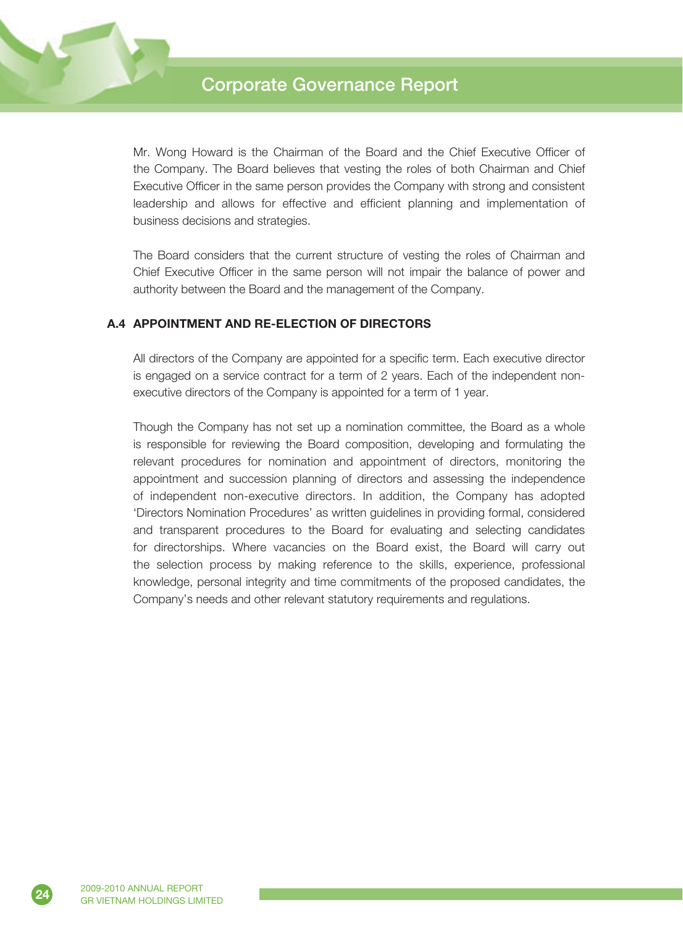Mr. Wong Howard is the Chairman of the Board and the Chief Executive Officer of the Company. The Board believes that vesting the roles of both Chairman and Chief Executive Officer in the same person provides the Company with strong and consistent leadership and allows for effective and efficient planning and implementation of business decisions and strategies.

The Board considers that the current structure of vesting the roles of Chairman and Chief Executive Officer in the same person will not impair the balance of power and authority between the Board and the management of the Company.

### **A.4 APPOINTMENT AND RE-ELECTION OF DIRECTORS**

All directors of the Company are appointed for a specific term. Each executive director is engaged on a service contract for a term of 2 years. Each of the independent nonexecutive directors of the Company is appointed for a term of 1 year.

Though the Company has not set up a nomination committee, the Board as a whole is responsible for reviewing the Board composition, developing and formulating the relevant procedures for nomination and appointment of directors, monitoring the appointment and succession planning of directors and assessing the independence of independent non-executive directors. In addition, the Company has adopted 'Directors Nomination Procedures' as written guidelines in providing formal, considered and transparent procedures to the Board for evaluating and selecting candidates for directorships. Where vacancies on the Board exist, the Board will carry out the selection process by making reference to the skills, experience, professional knowledge, personal integrity and time commitments of the proposed candidates, the Company's needs and other relevant statutory requirements and regulations.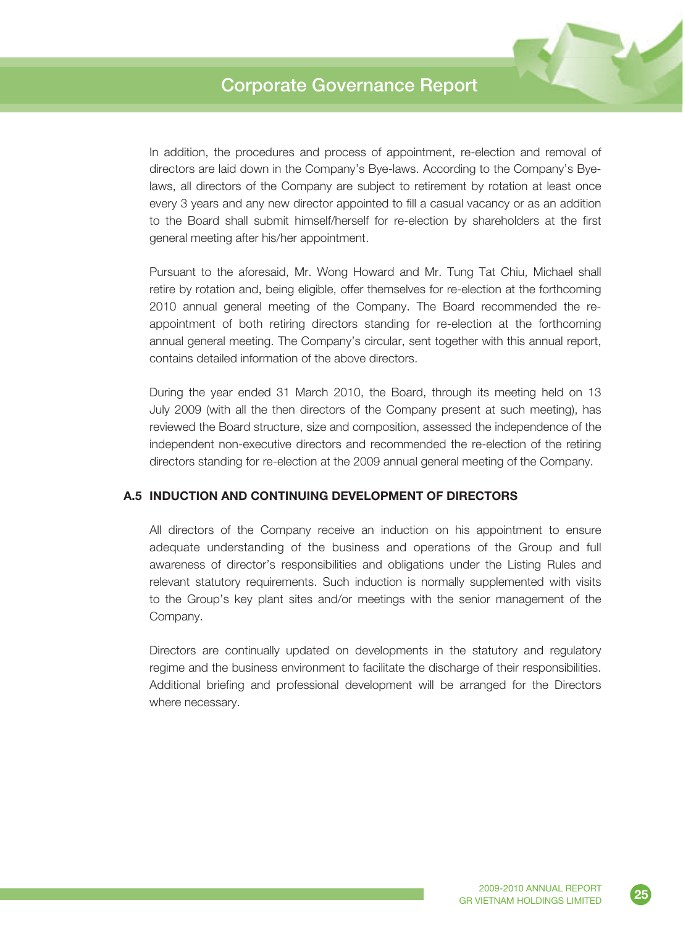In addition, the procedures and process of appointment, re-election and removal of directors are laid down in the Company's Bye-laws. According to the Company's Byelaws, all directors of the Company are subject to retirement by rotation at least once every 3 years and any new director appointed to fill a casual vacancy or as an addition to the Board shall submit himself/herself for re-election by shareholders at the first general meeting after his/her appointment.

Pursuant to the aforesaid, Mr. Wong Howard and Mr. Tung Tat Chiu, Michael shall retire by rotation and, being eligible, offer themselves for re-election at the forthcoming 2010 annual general meeting of the Company. The Board recommended the reappointment of both retiring directors standing for re-election at the forthcoming annual general meeting. The Company's circular, sent together with this annual report, contains detailed information of the above directors.

During the year ended 31 March 2010, the Board, through its meeting held on 13 July 2009 (with all the then directors of the Company present at such meeting), has reviewed the Board structure, size and composition, assessed the independence of the independent non-executive directors and recommended the re-election of the retiring directors standing for re-election at the 2009 annual general meeting of the Company.

### **A.5 INDUCTION AND CONTINUING DEVELOPMENT OF DIRECTORS**

All directors of the Company receive an induction on his appointment to ensure adequate understanding of the business and operations of the Group and full awareness of director's responsibilities and obligations under the Listing Rules and relevant statutory requirements. Such induction is normally supplemented with visits to the Group's key plant sites and/or meetings with the senior management of the Company.

Directors are continually updated on developments in the statutory and regulatory regime and the business environment to facilitate the discharge of their responsibilities. Additional briefing and professional development will be arranged for the Directors where necessary.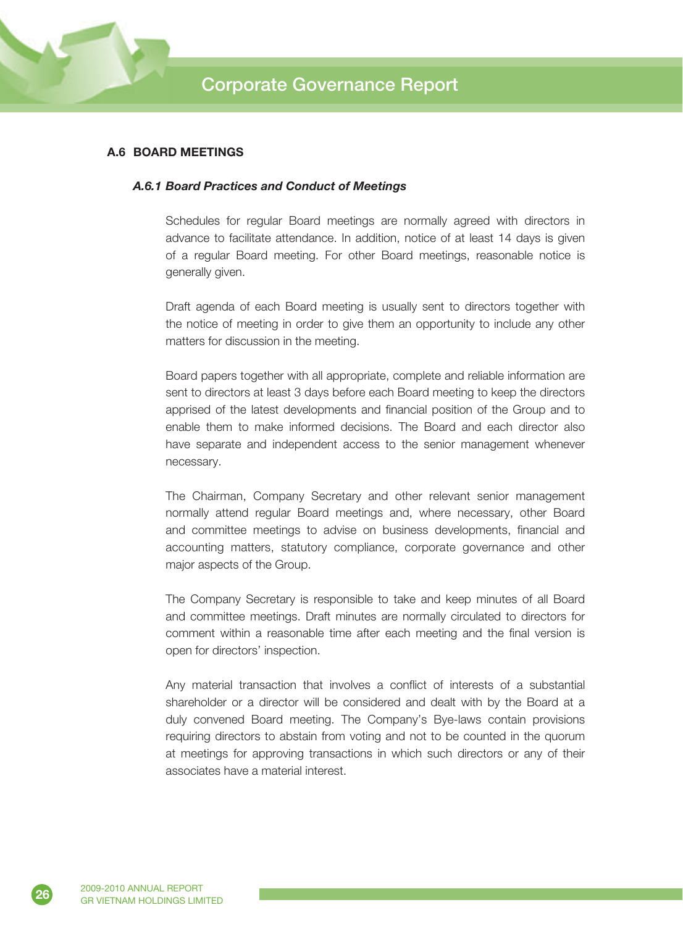

#### **A.6 BOARD MEETINGS**

#### *A.6.1 Board Practices and Conduct of Meetings*

Schedules for regular Board meetings are normally agreed with directors in advance to facilitate attendance. In addition, notice of at least 14 days is given of a regular Board meeting. For other Board meetings, reasonable notice is generally given.

Draft agenda of each Board meeting is usually sent to directors together with the notice of meeting in order to give them an opportunity to include any other matters for discussion in the meeting.

Board papers together with all appropriate, complete and reliable information are sent to directors at least 3 days before each Board meeting to keep the directors apprised of the latest developments and financial position of the Group and to enable them to make informed decisions. The Board and each director also have separate and independent access to the senior management whenever necessary.

The Chairman, Company Secretary and other relevant senior management normally attend regular Board meetings and, where necessary, other Board and committee meetings to advise on business developments, financial and accounting matters, statutory compliance, corporate governance and other major aspects of the Group.

The Company Secretary is responsible to take and keep minutes of all Board and committee meetings. Draft minutes are normally circulated to directors for comment within a reasonable time after each meeting and the final version is open for directors' inspection.

Any material transaction that involves a conflict of interests of a substantial shareholder or a director will be considered and dealt with by the Board at a duly convened Board meeting. The Company's Bye-laws contain provisions requiring directors to abstain from voting and not to be counted in the quorum at meetings for approving transactions in which such directors or any of their associates have a material interest.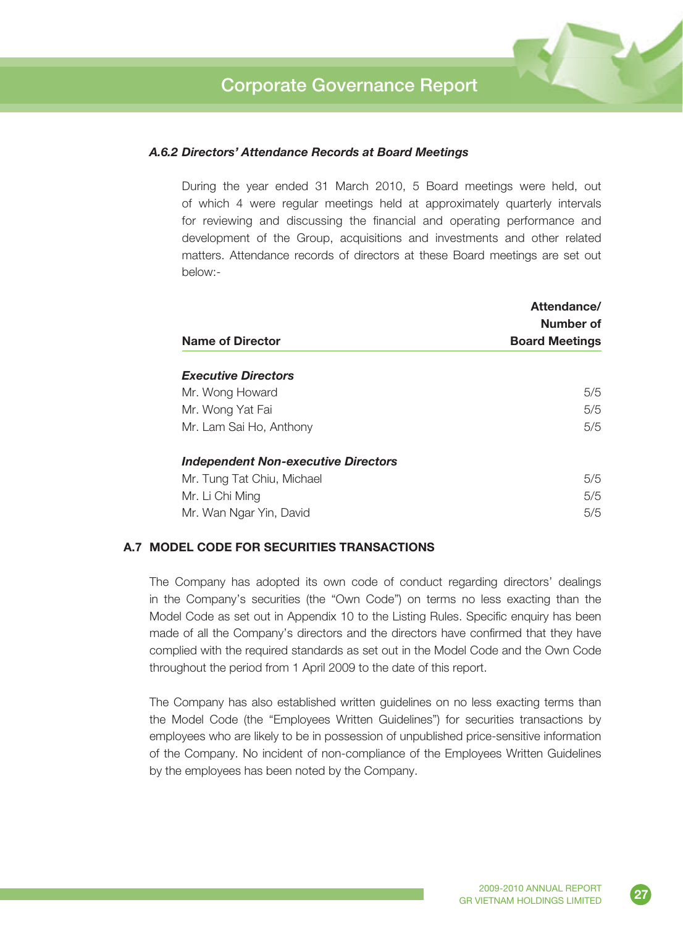### *A.6.2 Directors' Attendance Records at Board Meetings*

During the year ended 31 March 2010, 5 Board meetings were held, out of which 4 were regular meetings held at approximately quarterly intervals for reviewing and discussing the financial and operating performance and development of the Group, acquisitions and investments and other related matters. Attendance records of directors at these Board meetings are set out below:-

|                                            | Attendance/           |
|--------------------------------------------|-----------------------|
|                                            | Number of             |
| <b>Name of Director</b>                    | <b>Board Meetings</b> |
| <b>Executive Directors</b>                 |                       |
| Mr. Wong Howard                            | 5/5                   |
| Mr. Wong Yat Fai                           | 5/5                   |
| Mr. Lam Sai Ho, Anthony                    | 5/5                   |
| <b>Independent Non-executive Directors</b> |                       |
| Mr. Tung Tat Chiu, Michael                 | 5/5                   |
| Mr. Li Chi Ming                            | 5/5                   |
| Mr. Wan Ngar Yin, David                    | 5/5                   |

### **A.7 MODEL CODE FOR SECURITIES TRANSACTIONS**

The Company has adopted its own code of conduct regarding directors' dealings in the Company's securities (the "Own Code") on terms no less exacting than the Model Code as set out in Appendix 10 to the Listing Rules. Specific enquiry has been made of all the Company's directors and the directors have confirmed that they have complied with the required standards as set out in the Model Code and the Own Code throughout the period from 1 April 2009 to the date of this report.

The Company has also established written guidelines on no less exacting terms than the Model Code (the "Employees Written Guidelines") for securities transactions by employees who are likely to be in possession of unpublished price-sensitive information of the Company. No incident of non-compliance of the Employees Written Guidelines by the employees has been noted by the Company.

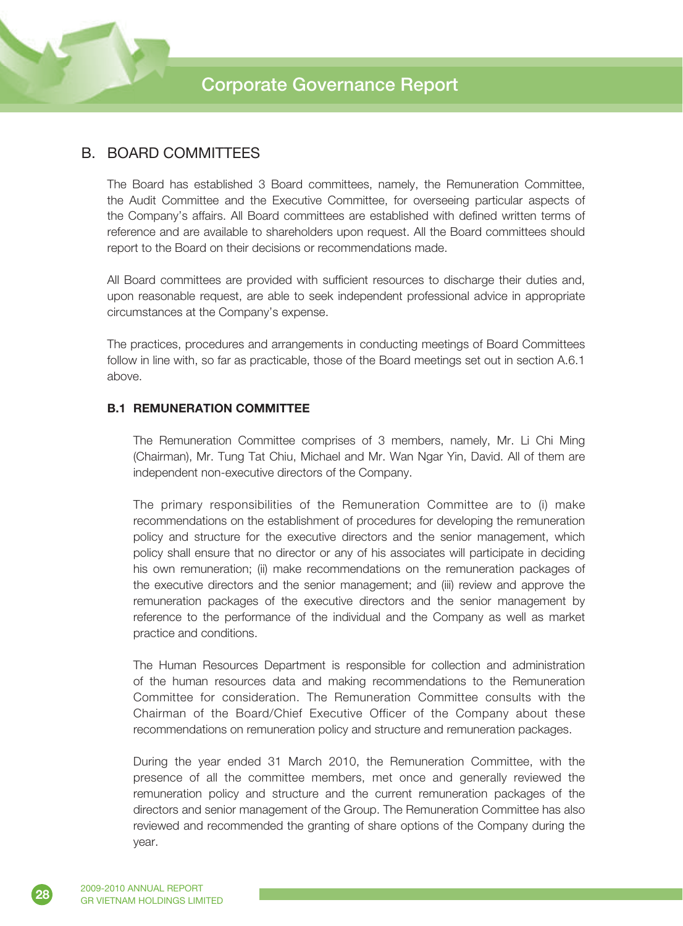

### B. BOARD COMMITTEES

The Board has established 3 Board committees, namely, the Remuneration Committee, the Audit Committee and the Executive Committee, for overseeing particular aspects of the Company's affairs. All Board committees are established with defined written terms of reference and are available to shareholders upon request. All the Board committees should report to the Board on their decisions or recommendations made.

All Board committees are provided with sufficient resources to discharge their duties and, upon reasonable request, are able to seek independent professional advice in appropriate circumstances at the Company's expense.

The practices, procedures and arrangements in conducting meetings of Board Committees follow in line with, so far as practicable, those of the Board meetings set out in section A.6.1 above.

### **B.1 REMUNERATION COMMITTEE**

The Remuneration Committee comprises of 3 members, namely, Mr. Li Chi Ming (Chairman), Mr. Tung Tat Chiu, Michael and Mr. Wan Ngar Yin, David. All of them are independent non-executive directors of the Company.

The primary responsibilities of the Remuneration Committee are to (i) make recommendations on the establishment of procedures for developing the remuneration policy and structure for the executive directors and the senior management, which policy shall ensure that no director or any of his associates will participate in deciding his own remuneration; (ii) make recommendations on the remuneration packages of the executive directors and the senior management; and (iii) review and approve the remuneration packages of the executive directors and the senior management by reference to the performance of the individual and the Company as well as market practice and conditions.

The Human Resources Department is responsible for collection and administration of the human resources data and making recommendations to the Remuneration Committee for consideration. The Remuneration Committee consults with the Chairman of the Board/Chief Executive Officer of the Company about these recommendations on remuneration policy and structure and remuneration packages.

During the year ended 31 March 2010, the Remuneration Committee, with the presence of all the committee members, met once and generally reviewed the remuneration policy and structure and the current remuneration packages of the directors and senior management of the Group. The Remuneration Committee has also reviewed and recommended the granting of share options of the Company during the year.

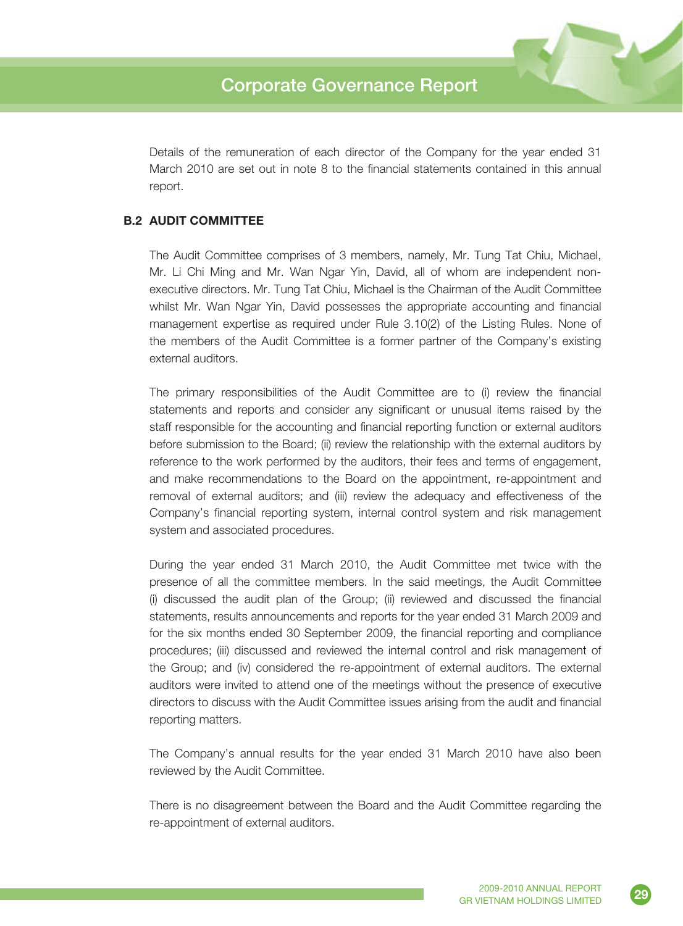Details of the remuneration of each director of the Company for the year ended 31 March 2010 are set out in note 8 to the financial statements contained in this annual report.

### **B.2 AUDIT COMMITTEE**

The Audit Committee comprises of 3 members, namely, Mr. Tung Tat Chiu, Michael, Mr. Li Chi Ming and Mr. Wan Ngar Yin, David, all of whom are independent nonexecutive directors. Mr. Tung Tat Chiu, Michael is the Chairman of the Audit Committee whilst Mr. Wan Ngar Yin, David possesses the appropriate accounting and financial management expertise as required under Rule 3.10(2) of the Listing Rules. None of the members of the Audit Committee is a former partner of the Company's existing external auditors.

The primary responsibilities of the Audit Committee are to (i) review the financial statements and reports and consider any significant or unusual items raised by the staff responsible for the accounting and financial reporting function or external auditors before submission to the Board; (ii) review the relationship with the external auditors by reference to the work performed by the auditors, their fees and terms of engagement, and make recommendations to the Board on the appointment, re-appointment and removal of external auditors; and (iii) review the adequacy and effectiveness of the Company's financial reporting system, internal control system and risk management system and associated procedures.

During the year ended 31 March 2010, the Audit Committee met twice with the presence of all the committee members. In the said meetings, the Audit Committee (i) discussed the audit plan of the Group; (ii) reviewed and discussed the financial statements, results announcements and reports for the year ended 31 March 2009 and for the six months ended 30 September 2009, the financial reporting and compliance procedures; (iii) discussed and reviewed the internal control and risk management of the Group; and (iv) considered the re-appointment of external auditors. The external auditors were invited to attend one of the meetings without the presence of executive directors to discuss with the Audit Committee issues arising from the audit and financial reporting matters.

The Company's annual results for the year ended 31 March 2010 have also been reviewed by the Audit Committee.

There is no disagreement between the Board and the Audit Committee regarding the re-appointment of external auditors.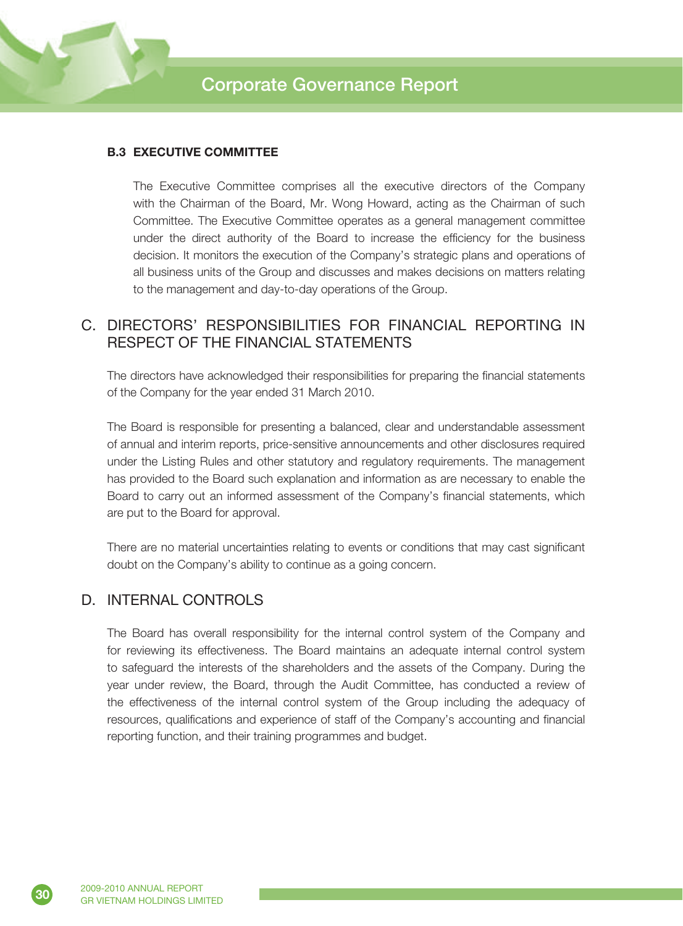

### **B.3 EXECUTIVE COMMITTEE**

The Executive Committee comprises all the executive directors of the Company with the Chairman of the Board, Mr. Wong Howard, acting as the Chairman of such Committee. The Executive Committee operates as a general management committee under the direct authority of the Board to increase the efficiency for the business decision. It monitors the execution of the Company's strategic plans and operations of all business units of the Group and discusses and makes decisions on matters relating to the management and day-to-day operations of the Group.

### C. DIRECTORS' RESPONSIBILITIES FOR FINANCIAL REPORTING IN RESPECT OF THE FINANCIAL STATEMENTS

The directors have acknowledged their responsibilities for preparing the financial statements of the Company for the year ended 31 March 2010.

The Board is responsible for presenting a balanced, clear and understandable assessment of annual and interim reports, price-sensitive announcements and other disclosures required under the Listing Rules and other statutory and regulatory requirements. The management has provided to the Board such explanation and information as are necessary to enable the Board to carry out an informed assessment of the Company's financial statements, which are put to the Board for approval.

There are no material uncertainties relating to events or conditions that may cast significant doubt on the Company's ability to continue as a going concern.

### D. INTERNAL CONTROLS

The Board has overall responsibility for the internal control system of the Company and for reviewing its effectiveness. The Board maintains an adequate internal control system to safeguard the interests of the shareholders and the assets of the Company. During the year under review, the Board, through the Audit Committee, has conducted a review of the effectiveness of the internal control system of the Group including the adequacy of resources, qualifications and experience of staff of the Company's accounting and financial reporting function, and their training programmes and budget.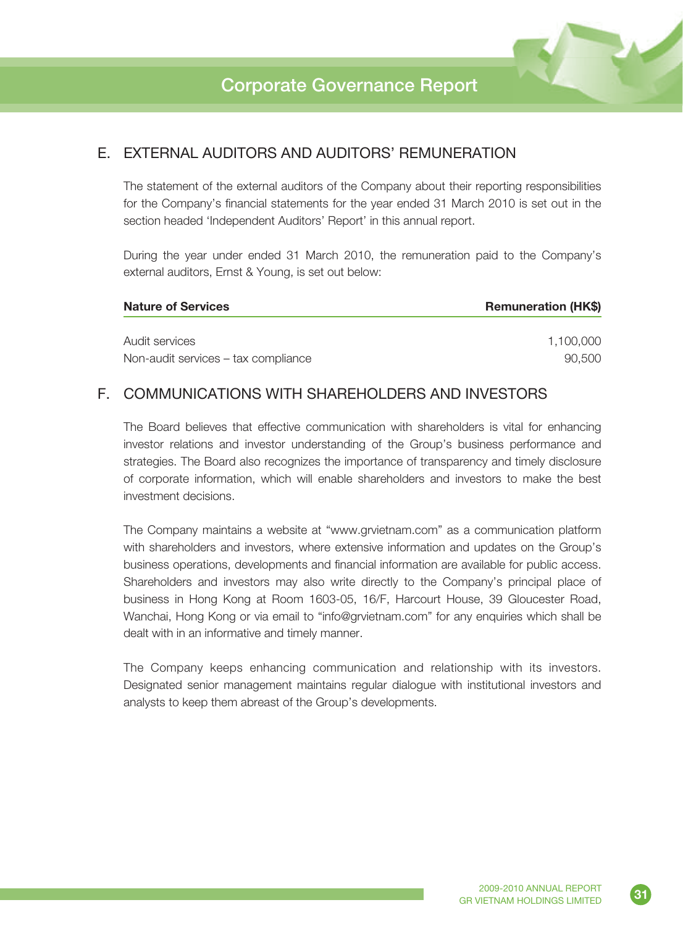## E. EXTERNAL AUDITORS AND AUDITORS' REMUNERATION

The statement of the external auditors of the Company about their reporting responsibilities for the Company's financial statements for the year ended 31 March 2010 is set out in the section headed 'Independent Auditors' Report' in this annual report.

During the year under ended 31 March 2010, the remuneration paid to the Company's external auditors, Ernst & Young, is set out below:

| <b>Nature of Services</b>           | <b>Remuneration (HK\$)</b> |  |  |  |
|-------------------------------------|----------------------------|--|--|--|
|                                     |                            |  |  |  |
| Audit services                      | 1.100.000                  |  |  |  |
| Non-audit services – tax compliance | 90.500                     |  |  |  |

### F. COMMUNICATIONS WITH SHAREHOLDERS AND INVESTORS

The Board believes that effective communication with shareholders is vital for enhancing investor relations and investor understanding of the Group's business performance and strategies. The Board also recognizes the importance of transparency and timely disclosure of corporate information, which will enable shareholders and investors to make the best investment decisions.

The Company maintains a website at "www.grvietnam.com" as a communication platform with shareholders and investors, where extensive information and updates on the Group's business operations, developments and financial information are available for public access. Shareholders and investors may also write directly to the Company's principal place of business in Hong Kong at Room 1603-05, 16/F, Harcourt House, 39 Gloucester Road, Wanchai, Hong Kong or via email to "info@grvietnam.com" for any enquiries which shall be dealt with in an informative and timely manner.

The Company keeps enhancing communication and relationship with its investors. Designated senior management maintains regular dialogue with institutional investors and analysts to keep them abreast of the Group's developments.

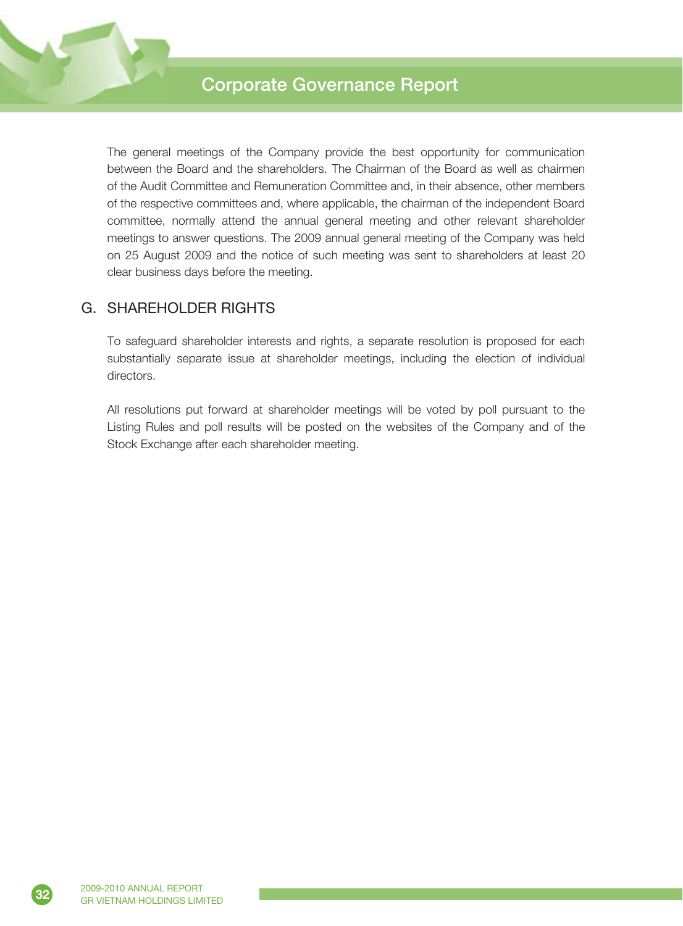

The general meetings of the Company provide the best opportunity for communication between the Board and the shareholders. The Chairman of the Board as well as chairmen of the Audit Committee and Remuneration Committee and, in their absence, other members of the respective committees and, where applicable, the chairman of the independent Board committee, normally attend the annual general meeting and other relevant shareholder meetings to answer questions. The 2009 annual general meeting of the Company was held on 25 August 2009 and the notice of such meeting was sent to shareholders at least 20 clear business days before the meeting.

### G. SHAREHOLDER RIGHTS

To safeguard shareholder interests and rights, a separate resolution is proposed for each substantially separate issue at shareholder meetings, including the election of individual directors.

All resolutions put forward at shareholder meetings will be voted by poll pursuant to the Listing Rules and poll results will be posted on the websites of the Company and of the Stock Exchange after each shareholder meeting.

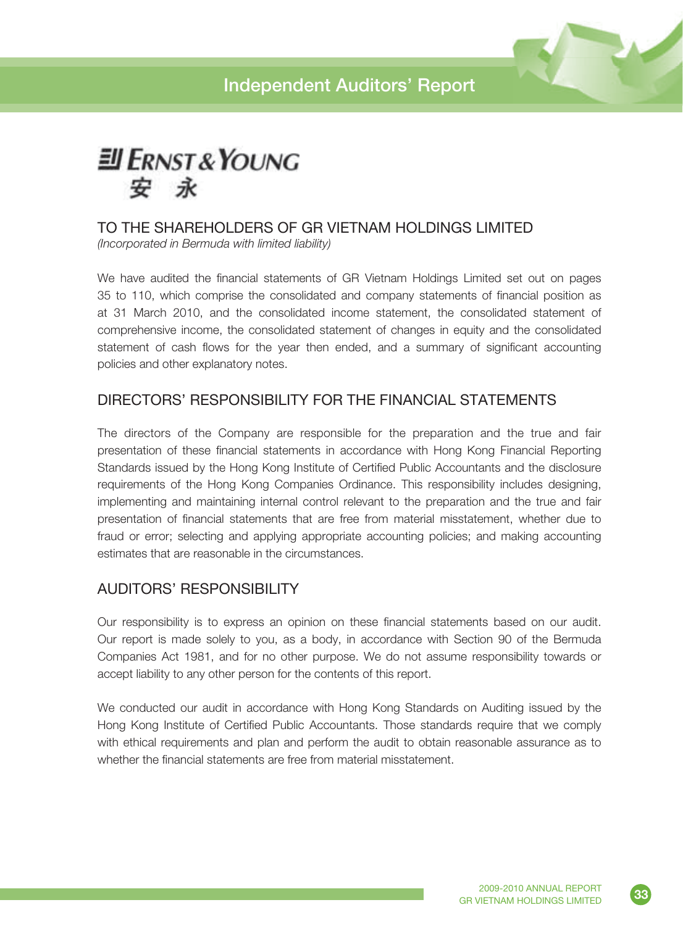



### TO THE SHAREHOLDERS OF GR VIETNAM HOLDINGS LIMITED (Incorporated in Bermuda with limited liability)

We have audited the financial statements of GR Vietnam Holdings Limited set out on pages 35 to 110, which comprise the consolidated and company statements of financial position as at 31 March 2010, and the consolidated income statement, the consolidated statement of comprehensive income, the consolidated statement of changes in equity and the consolidated statement of cash flows for the year then ended, and a summary of significant accounting policies and other explanatory notes.

### DIRECTORS' RESPONSIBILITY FOR THE FINANCIAL STATEMENTS

The directors of the Company are responsible for the preparation and the true and fair presentation of these financial statements in accordance with Hong Kong Financial Reporting Standards issued by the Hong Kong Institute of Certified Public Accountants and the disclosure requirements of the Hong Kong Companies Ordinance. This responsibility includes designing, implementing and maintaining internal control relevant to the preparation and the true and fair presentation of financial statements that are free from material misstatement, whether due to fraud or error; selecting and applying appropriate accounting policies; and making accounting estimates that are reasonable in the circumstances.

### AUDITORS' RESPONSIBILITY

Our responsibility is to express an opinion on these financial statements based on our audit. Our report is made solely to you, as a body, in accordance with Section 90 of the Bermuda Companies Act 1981, and for no other purpose. We do not assume responsibility towards or accept liability to any other person for the contents of this report.

We conducted our audit in accordance with Hong Kong Standards on Auditing issued by the Hong Kong Institute of Certified Public Accountants. Those standards require that we comply with ethical requirements and plan and perform the audit to obtain reasonable assurance as to whether the financial statements are free from material misstatement.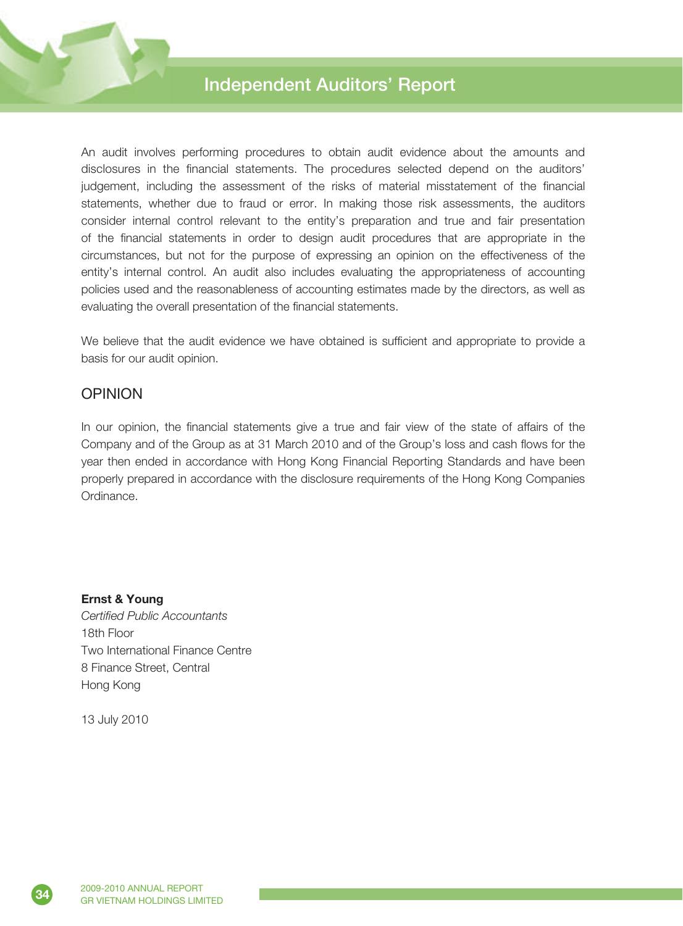

An audit involves performing procedures to obtain audit evidence about the amounts and disclosures in the financial statements. The procedures selected depend on the auditors' judgement, including the assessment of the risks of material misstatement of the financial statements, whether due to fraud or error. In making those risk assessments, the auditors consider internal control relevant to the entity's preparation and true and fair presentation of the financial statements in order to design audit procedures that are appropriate in the circumstances, but not for the purpose of expressing an opinion on the effectiveness of the entity's internal control. An audit also includes evaluating the appropriateness of accounting policies used and the reasonableness of accounting estimates made by the directors, as well as evaluating the overall presentation of the financial statements.

We believe that the audit evidence we have obtained is sufficient and appropriate to provide a basis for our audit opinion.

### OPINION

In our opinion, the financial statements give a true and fair view of the state of affairs of the Company and of the Group as at 31 March 2010 and of the Group's loss and cash flows for the year then ended in accordance with Hong Kong Financial Reporting Standards and have been properly prepared in accordance with the disclosure requirements of the Hong Kong Companies Ordinance.

**Ernst & Young** Certified Public Accountants 18th Floor Two International Finance Centre 8 Finance Street, Central Hong Kong

13 July 2010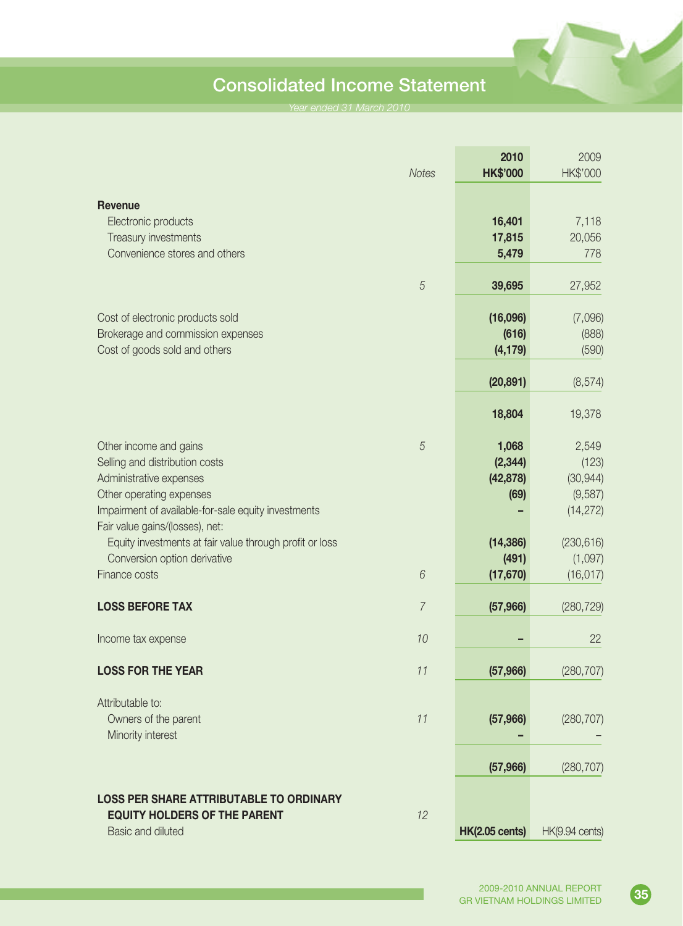## **Consolidated Income Statement**

|                                                                                                                                                                                                           | <b>Notes</b>   | 2010<br><b>HK\$'000</b>                | 2009<br>HK\$'000                                    |
|-----------------------------------------------------------------------------------------------------------------------------------------------------------------------------------------------------------|----------------|----------------------------------------|-----------------------------------------------------|
|                                                                                                                                                                                                           |                |                                        |                                                     |
| <b>Revenue</b><br>Electronic products<br>Treasury investments<br>Convenience stores and others                                                                                                            |                | 16,401<br>17,815<br>5,479              | 7,118<br>20,056<br>778                              |
|                                                                                                                                                                                                           | 5              | 39,695                                 | 27,952                                              |
| Cost of electronic products sold<br>Brokerage and commission expenses<br>Cost of goods sold and others                                                                                                    |                | (16,096)<br>(616)<br>(4, 179)          | (7,096)<br>(888)<br>(590)                           |
|                                                                                                                                                                                                           |                | (20, 891)                              | (8, 574)                                            |
|                                                                                                                                                                                                           |                | 18,804                                 | 19,378                                              |
| Other income and gains<br>Selling and distribution costs<br>Administrative expenses<br>Other operating expenses<br>Impairment of available-for-sale equity investments<br>Fair value gains/(losses), net: | 5              | 1,068<br>(2, 344)<br>(42, 878)<br>(69) | 2,549<br>(123)<br>(30, 944)<br>(9,587)<br>(14, 272) |
| Equity investments at fair value through profit or loss<br>Conversion option derivative<br>Finance costs                                                                                                  | 6              | (14, 386)<br>(491)<br>(17, 670)        | (230, 616)<br>(1,097)<br>(16, 017)                  |
| <b>LOSS BEFORE TAX</b>                                                                                                                                                                                    | $\overline{7}$ | (57, 966)                              | (280, 729)                                          |
| Income tax expense                                                                                                                                                                                        | 10             |                                        | 22                                                  |
| <b>LOSS FOR THE YEAR</b>                                                                                                                                                                                  | 11             | (57,966)                               | (280, 707)                                          |
| Attributable to:<br>Owners of the parent<br>Minority interest                                                                                                                                             | 11             | (57, 966)                              | (280, 707)                                          |
|                                                                                                                                                                                                           |                | (57, 966)                              | (280, 707)                                          |
| <b>LOSS PER SHARE ATTRIBUTABLE TO ORDINARY</b><br><b>EQUITY HOLDERS OF THE PARENT</b><br><b>Basic and diluted</b>                                                                                         | 12             | <b>HK(2.05 cents)</b>                  | <b>HK(9.94 cents)</b>                               |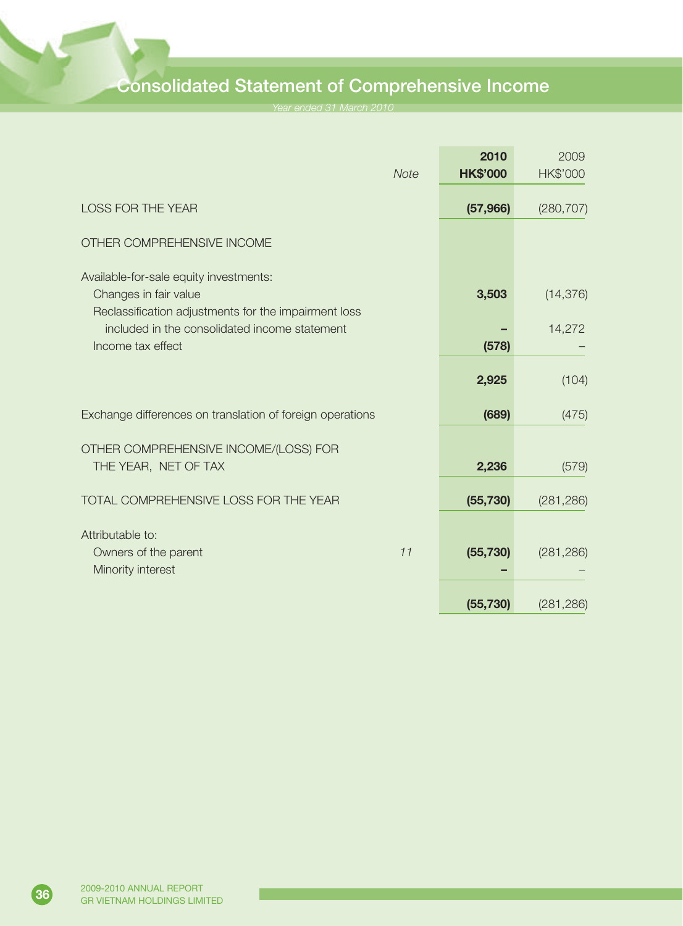**Consolidated Statement of Comprehensive Income**

|                                                                                                                         |      | 2010            | 2009            |
|-------------------------------------------------------------------------------------------------------------------------|------|-----------------|-----------------|
|                                                                                                                         | Note | <b>HK\$'000</b> | <b>HK\$'000</b> |
| <b>LOSS FOR THE YEAR</b>                                                                                                |      | (57, 966)       | (280, 707)      |
| OTHER COMPREHENSIVE INCOME                                                                                              |      |                 |                 |
| Available-for-sale equity investments:<br>Changes in fair value<br>Reclassification adjustments for the impairment loss |      | 3,503           | (14, 376)       |
| included in the consolidated income statement<br>Income tax effect                                                      |      | (578)           | 14,272          |
|                                                                                                                         |      | 2,925           | (104)           |
| Exchange differences on translation of foreign operations                                                               |      | (689)           | (475)           |
| OTHER COMPREHENSIVE INCOME/(LOSS) FOR<br>THE YEAR, NET OF TAX                                                           |      | 2,236           | (579)           |
| TOTAL COMPREHENSIVE LOSS FOR THE YEAR                                                                                   |      | (55, 730)       | (281, 286)      |
| Attributable to:<br>Owners of the parent<br>Minority interest                                                           | 11   | (55, 730)       | (281, 286)      |
|                                                                                                                         |      | (55, 730)       | (281, 286)      |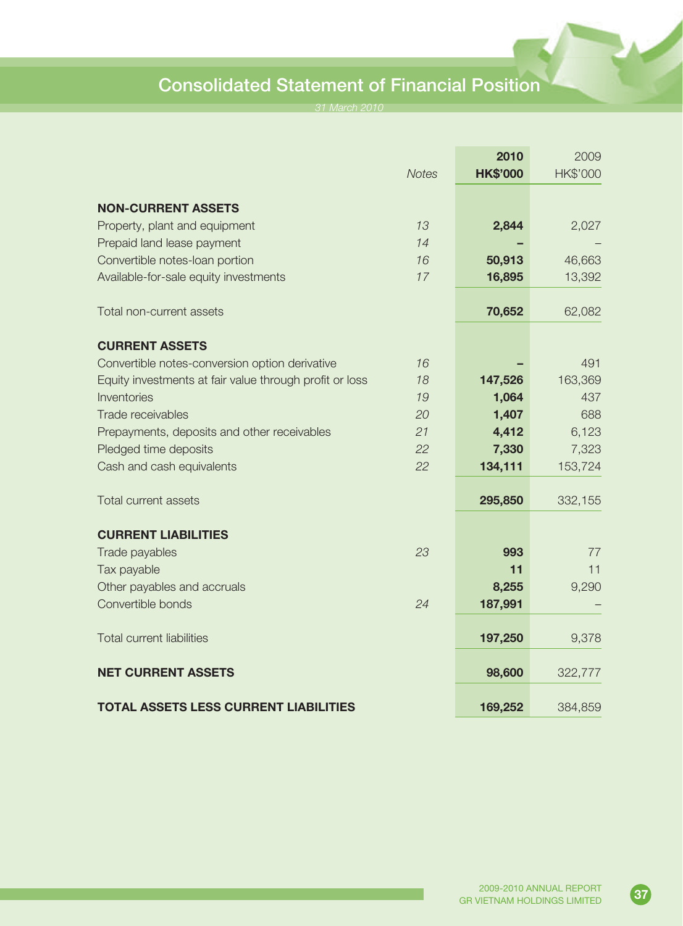# **Consolidated Statement of Financial Position**

|                                                         |              | 2010            | 2009            |
|---------------------------------------------------------|--------------|-----------------|-----------------|
|                                                         | <b>Notes</b> | <b>HK\$'000</b> | <b>HK\$'000</b> |
| <b>NON-CURRENT ASSETS</b>                               |              |                 |                 |
| Property, plant and equipment                           | 13           | 2,844           | 2,027           |
| Prepaid land lease payment                              | 14           |                 |                 |
| Convertible notes-loan portion                          | 16           | 50,913          | 46,663          |
| Available-for-sale equity investments                   | 17           | 16,895          | 13,392          |
| Total non-current assets                                |              | 70,652          | 62,082          |
|                                                         |              |                 |                 |
| <b>CURRENT ASSETS</b>                                   |              |                 |                 |
| Convertible notes-conversion option derivative          | 16           |                 | 491             |
| Equity investments at fair value through profit or loss | 18           | 147,526         | 163,369         |
| Inventories                                             | 19           | 1,064           | 437             |
| Trade receivables                                       | 20           | 1,407           | 688             |
| Prepayments, deposits and other receivables             | 21           | 4,412           | 6,123           |
| Pledged time deposits                                   | 22           | 7,330           | 7,323           |
| Cash and cash equivalents                               | 22           | 134,111         | 153,724         |
| <b>Total current assets</b>                             |              | 295,850         | 332,155         |
| <b>CURRENT LIABILITIES</b>                              |              |                 |                 |
| Trade payables                                          | 23           | 993             | 77              |
| Tax payable                                             |              | 11              | 11              |
| Other payables and accruals                             |              | 8,255           | 9,290           |
| Convertible bonds                                       | 24           | 187,991         |                 |
| <b>Total current liabilities</b>                        |              | 197,250         | 9,378           |
| <b>NET CURRENT ASSETS</b>                               |              | 98,600          | 322,777         |
| <b>TOTAL ASSETS LESS CURRENT LIABILITIES</b>            |              | 169,252         | 384,859         |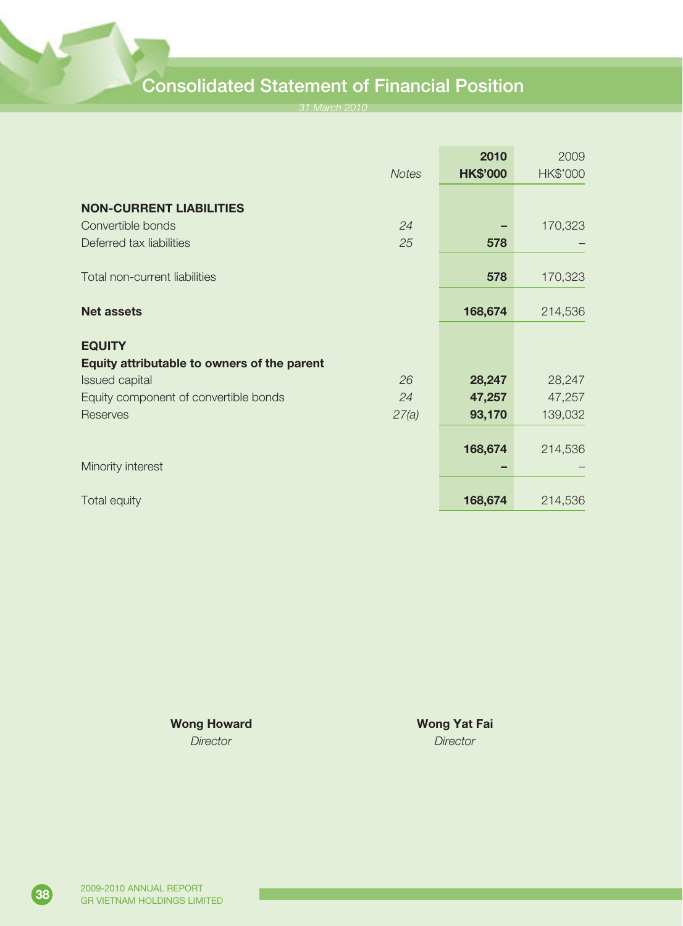**Consolidated Statement of Financial Position**

|                                             |              | 2010            | 2009            |
|---------------------------------------------|--------------|-----------------|-----------------|
|                                             | <b>Notes</b> | <b>HK\$'000</b> | <b>HK\$'000</b> |
|                                             |              |                 |                 |
| <b>NON-CURRENT LIABILITIES</b>              |              |                 |                 |
| Convertible bonds                           | 24           |                 | 170,323         |
| Deferred tax liabilities                    | 25           | 578             |                 |
|                                             |              |                 |                 |
| Total non-current liabilities               |              | 578             | 170,323         |
| <b>Net assets</b>                           |              | 168,674         | 214,536         |
|                                             |              |                 |                 |
| <b>EQUITY</b>                               |              |                 |                 |
| Equity attributable to owners of the parent |              |                 |                 |
| <b>Issued capital</b>                       | 26           | 28,247          | 28,247          |
| Equity component of convertible bonds       | 24           | 47,257          | 47,257          |
| Reserves                                    | 27(a)        | 93,170          | 139,032         |
|                                             |              |                 |                 |
|                                             |              | 168,674         | 214,536         |
| Minority interest                           |              |                 |                 |
|                                             |              |                 |                 |
| <b>Total equity</b>                         |              | 168,674         | 214,536         |

Director Director

**Wong Howard Wong Yat Fai**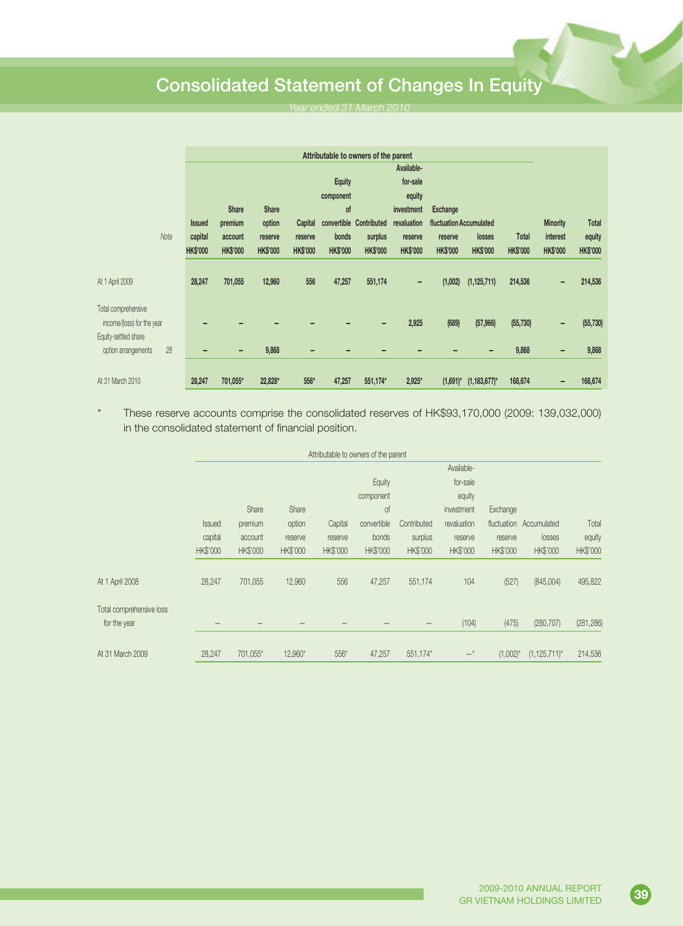# **Consolidated Statement of Changes In Equity**

|                            |                 | Attributable to owners of the parent |                 |                 |                 |                         |                 |                         |                 |                 |                 |                 |
|----------------------------|-----------------|--------------------------------------|-----------------|-----------------|-----------------|-------------------------|-----------------|-------------------------|-----------------|-----------------|-----------------|-----------------|
|                            |                 |                                      |                 |                 |                 |                         | Available-      |                         |                 |                 |                 |                 |
|                            |                 |                                      |                 |                 | <b>Equity</b>   |                         | for-sale        |                         |                 |                 |                 |                 |
|                            |                 |                                      |                 |                 | component       |                         | equity          |                         |                 |                 |                 |                 |
|                            |                 | <b>Share</b>                         | <b>Share</b>    |                 | <b>of</b>       |                         | investment      | <b>Exchange</b>         |                 |                 |                 |                 |
|                            | <b>Issued</b>   | premium                              | option          | Capital         |                 | convertible Contributed | revaluation     | fluctuation Accumulated |                 |                 | <b>Minority</b> | Total           |
| Note                       | capital         | account                              | reserve         | reserve         | bonds           | surplus                 | reserve         | reserve                 | losses          | Total           | interest        | equity          |
|                            | <b>HK\$'000</b> | <b>HK\$'000</b>                      | <b>HK\$'000</b> | <b>HK\$'000</b> | <b>HK\$'000</b> | <b>HK\$'000</b>         | <b>HK\$'000</b> | <b>HK\$'000</b>         | <b>HK\$'000</b> | <b>HK\$'000</b> | <b>HK\$'000</b> | <b>HK\$'000</b> |
|                            |                 |                                      |                 |                 |                 |                         |                 |                         |                 |                 |                 |                 |
| At 1 April 2009            | 28,247          | 701,055                              | 12,960          | 556             | 47,257          | 551,174                 | -               | (1,002)                 | (1, 125, 711)   | 214,536         | ۰               | 214,536         |
| Total comprehensive        |                 |                                      |                 |                 |                 |                         |                 |                         |                 |                 |                 |                 |
| income/(loss) for the year |                 |                                      |                 |                 |                 |                         | 2,925           | (689)                   | (57,966)        | (55, 730)       | ۰               | (55, 730)       |
| Equity-settled share       |                 |                                      |                 |                 |                 |                         |                 |                         |                 |                 |                 |                 |
| 28<br>option arrangements  |                 |                                      | 9,868           |                 |                 |                         |                 |                         | -               | 9,868           | ٠               | 9,868           |
|                            |                 |                                      |                 |                 |                 |                         |                 |                         |                 |                 |                 |                 |
| At 31 March 2010           | 28,247          | 701,055*                             | 22,828*         | 556*            | 47,257          | 551,174*                | 2,925*          | $(1,691)^*$             | $(1,183,677)^*$ | 168,674         | -               | 168,674         |

These reserve accounts comprise the consolidated reserves of HK\$93,170,000 (2009: 139,032,000) in the consolidated statement of financial position.

|                          | Attributable to owners of the parent |                 |                 |                 |                 |                 |                 |                 |                     |                 |
|--------------------------|--------------------------------------|-----------------|-----------------|-----------------|-----------------|-----------------|-----------------|-----------------|---------------------|-----------------|
|                          |                                      |                 |                 |                 |                 |                 | Available-      |                 |                     |                 |
|                          |                                      |                 |                 |                 | Equity          | for-sale        |                 |                 |                     |                 |
|                          |                                      |                 |                 |                 | component       |                 | equity          |                 |                     |                 |
|                          |                                      | Share           | Share           |                 | <sub>of</sub>   |                 | investment      | Exchange        |                     |                 |
|                          | <b>Issued</b>                        | premium         | option          | Capital         | convertible     | Contributed     | revaluation     | fluctuation     | Accumulated         | Total           |
|                          | capital                              | account         | reserve         | reserve         | bonds           | surplus         | reserve         | reserve         | losses              | equity          |
|                          | <b>HK\$'000</b>                      | <b>HK\$'000</b> | <b>HK\$'000</b> | <b>HK\$'000</b> | <b>HK\$'000</b> | <b>HK\$'000</b> | <b>HK\$'000</b> | <b>HK\$'000</b> | <b>HK\$'000</b>     | <b>HK\$'000</b> |
|                          |                                      |                 |                 |                 |                 |                 |                 |                 |                     |                 |
| At 1 April 2008          | 28,247                               | 701,055         | 12,960          | 556             | 47,257          | 551,174         | 104             | (527)           | (845,004)           | 495,822         |
|                          |                                      |                 |                 |                 |                 |                 |                 |                 |                     |                 |
| Total comprehensive loss |                                      |                 |                 |                 |                 |                 |                 |                 |                     |                 |
| for the year             |                                      |                 |                 |                 |                 |                 | (104)           | (475)           | (280, 707)          | (281, 286)      |
|                          |                                      |                 |                 |                 |                 |                 |                 |                 |                     |                 |
| At 31 March 2009         | 28,247                               | 701,055*        | 12,960*         | $556*$          | 47,257          | 551,174*        | $-$ *           | $(1,002)^{*}$   | $(1, 125, 711)^{*}$ | 214,536         |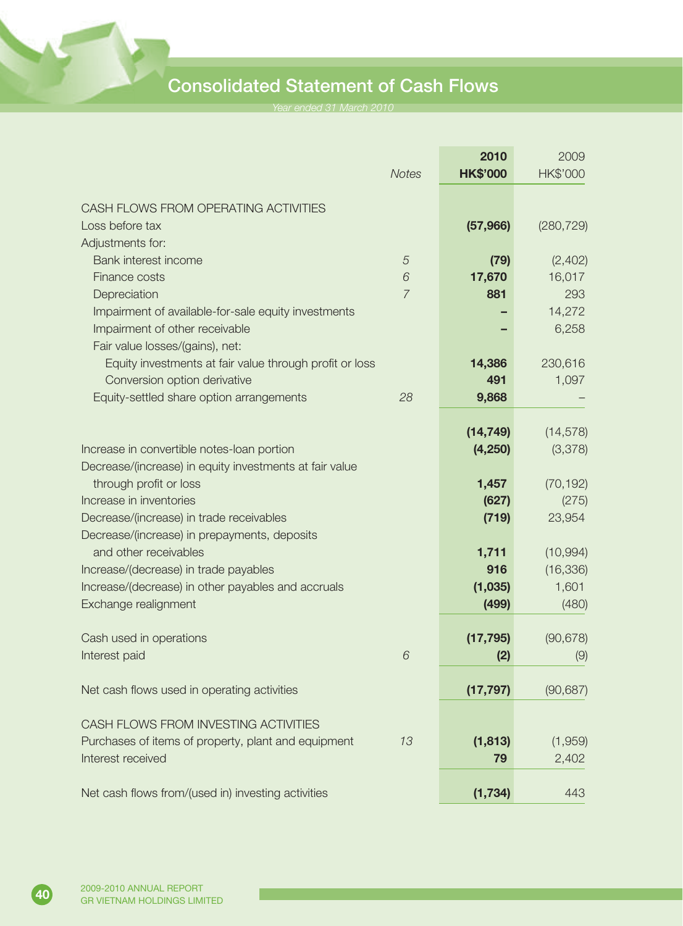

# **Consolidated Statement of Cash Flows**

Year ended 31 March 2010

|                                                                             | <b>Notes</b> | 2010<br><b>HK\$'000</b> | 2009<br><b>HK\$'000</b> |
|-----------------------------------------------------------------------------|--------------|-------------------------|-------------------------|
|                                                                             |              |                         |                         |
| CASH FLOWS FROM OPERATING ACTIVITIES<br>Loss before tax<br>Adjustments for: |              | (57, 966)               | (280, 729)              |
| Bank interest income                                                        | 5            | (79)                    | (2,402)                 |
| Finance costs                                                               | 6            | 17,670                  | 16,017                  |
| Depreciation                                                                | 7            | 881                     | 293                     |
| Impairment of available-for-sale equity investments                         |              |                         | 14,272                  |
| Impairment of other receivable                                              |              |                         | 6,258                   |
| Fair value losses/(gains), net:                                             |              |                         |                         |
| Equity investments at fair value through profit or loss                     |              | 14,386                  | 230,616                 |
| Conversion option derivative                                                |              | 491                     | 1,097                   |
| Equity-settled share option arrangements                                    | 28           | 9,868                   |                         |
|                                                                             |              |                         |                         |
|                                                                             |              | (14, 749)               | (14, 578)               |
| Increase in convertible notes-loan portion                                  |              | (4,250)                 | (3,378)                 |
| Decrease/(increase) in equity investments at fair value                     |              |                         |                         |
| through profit or loss<br>Increase in inventories                           |              | 1,457                   | (70, 192)               |
| Decrease/(increase) in trade receivables                                    |              | (627)<br>(719)          | (275)<br>23,954         |
| Decrease/(increase) in prepayments, deposits                                |              |                         |                         |
| and other receivables                                                       |              | 1,711                   | (10, 994)               |
| Increase/(decrease) in trade payables                                       |              | 916                     | (16, 336)               |
| Increase/(decrease) in other payables and accruals                          |              | (1,035)                 | 1,601                   |
| Exchange realignment                                                        |              | (499)                   | (480)                   |
|                                                                             |              |                         |                         |
| Cash used in operations                                                     |              | (17, 795)               | (90, 678)               |
| Interest paid                                                               | 6            | (2)                     | (9)                     |
|                                                                             |              |                         |                         |
| Net cash flows used in operating activities                                 |              | (17, 797)               | (90, 687)               |
|                                                                             |              |                         |                         |
| CASH FLOWS FROM INVESTING ACTIVITIES                                        | 13           |                         |                         |
| Purchases of items of property, plant and equipment<br>Interest received    |              | (1, 813)<br>79          | (1,959)<br>2,402        |
|                                                                             |              |                         |                         |
| Net cash flows from/(used in) investing activities                          |              | (1,734)                 | 443                     |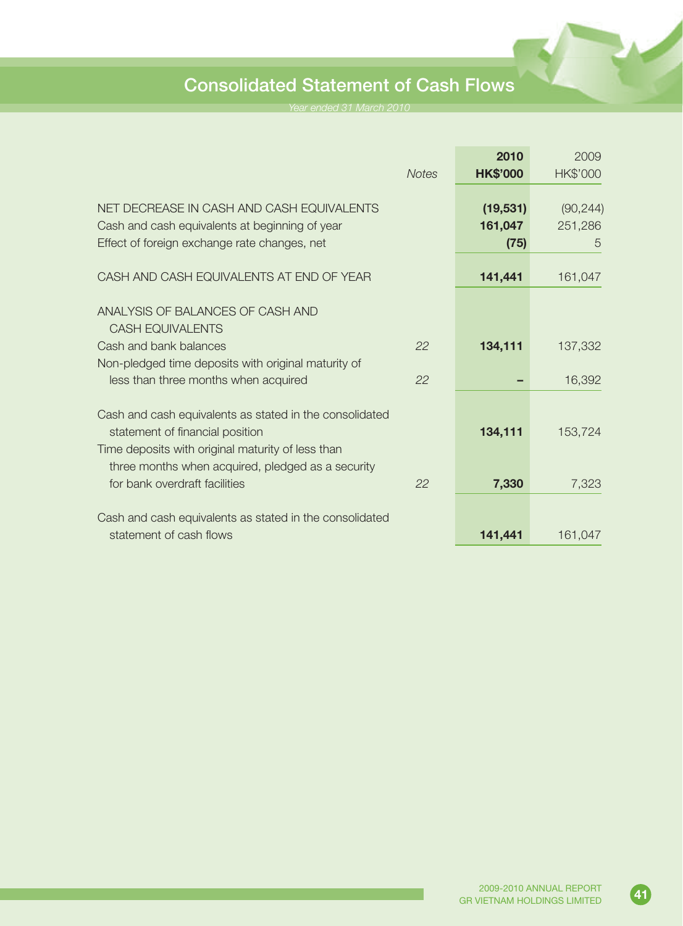# **Consolidated Statement of Cash Flows**

Year ended 31 March 2010

|                                                         |              | 2010            | 2009            |
|---------------------------------------------------------|--------------|-----------------|-----------------|
|                                                         | <b>Notes</b> | <b>HK\$'000</b> | <b>HK\$'000</b> |
|                                                         |              |                 |                 |
| NET DECREASE IN CASH AND CASH EQUIVALENTS               |              | (19, 531)       | (90, 244)       |
| Cash and cash equivalents at beginning of year          |              | 161,047         | 251,286         |
| Effect of foreign exchange rate changes, net            |              | (75)            | 5               |
|                                                         |              |                 |                 |
| CASH AND CASH EQUIVALENTS AT END OF YEAR                |              | 141,441         | 161,047         |
| ANALYSIS OF BALANCES OF CASH AND                        |              |                 |                 |
| <b>CASH EQUIVALENTS</b>                                 |              |                 |                 |
| Cash and bank balances                                  | 22           | 134,111         | 137,332         |
| Non-pledged time deposits with original maturity of     |              |                 |                 |
| less than three months when acquired                    | 22           |                 | 16,392          |
|                                                         |              |                 |                 |
| Cash and cash equivalents as stated in the consolidated |              |                 |                 |
| statement of financial position                         |              | 134,111         | 153,724         |
| Time deposits with original maturity of less than       |              |                 |                 |
| three months when acquired, pledged as a security       |              |                 |                 |
| for bank overdraft facilities                           | 22           | 7,330           | 7,323           |
|                                                         |              |                 |                 |
| Cash and cash equivalents as stated in the consolidated |              |                 |                 |
| statement of cash flows                                 |              | 141,441         | 161,047         |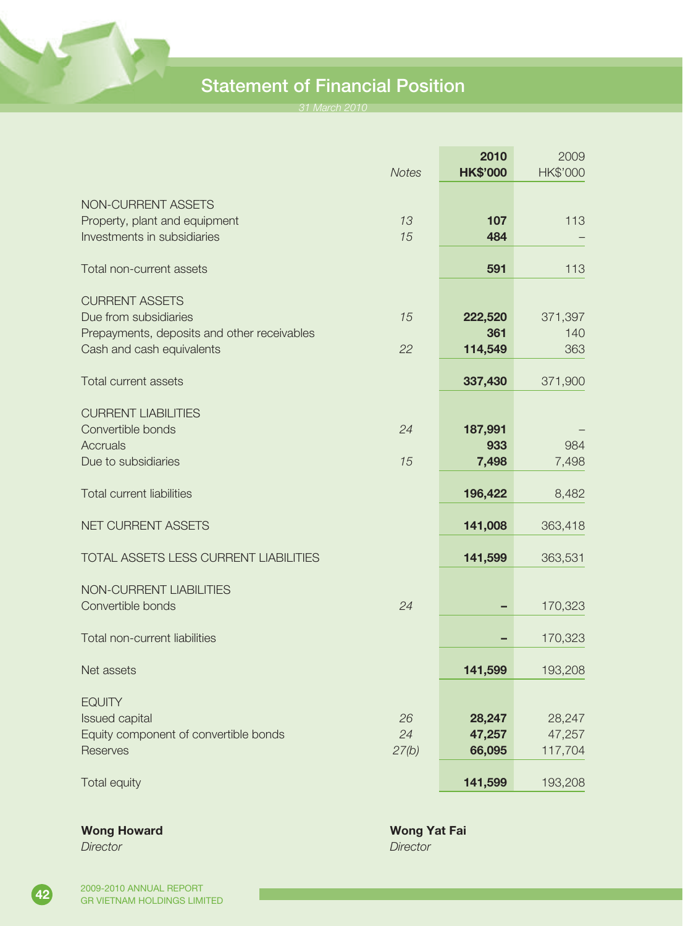

# **Statement of Financial Position**

|                                                                          | <b>Notes</b> | 2010<br><b>HK\$'000</b> | 2009<br><b>HK\$'000</b> |
|--------------------------------------------------------------------------|--------------|-------------------------|-------------------------|
| NON-CURRENT ASSETS                                                       |              |                         |                         |
| Property, plant and equipment<br>Investments in subsidiaries             | 13<br>15     | 107<br>484              | 113                     |
| Total non-current assets                                                 |              | 591                     | 113                     |
| <b>CURRENT ASSETS</b>                                                    |              |                         |                         |
| Due from subsidiaries                                                    | 15           | 222,520                 | 371,397                 |
| Prepayments, deposits and other receivables<br>Cash and cash equivalents | 22           | 361<br>114,549          | 140<br>363              |
| <b>Total current assets</b>                                              |              | 337,430                 | 371,900                 |
| <b>CURRENT LIABILITIES</b>                                               |              |                         |                         |
| Convertible bonds                                                        | 24           | 187,991                 |                         |
| <b>Accruals</b><br>Due to subsidiaries                                   | 15           | 933<br>7,498            | 984<br>7,498            |
| <b>Total current liabilities</b>                                         |              | 196,422                 | 8,482                   |
| NET CURRENT ASSETS                                                       |              | 141,008                 | 363,418                 |
| <b>TOTAL ASSETS LESS CURRENT LIABILITIES</b>                             |              | 141,599                 | 363,531                 |
| NON-CURRENT LIABILITIES                                                  |              |                         |                         |
| Convertible bonds                                                        | 24           |                         | 170,323                 |
| Total non-current liabilities                                            |              |                         | 170,323                 |
| Net assets                                                               |              | 141,599                 | 193,208                 |
| <b>EQUITY</b>                                                            |              |                         |                         |
| <b>Issued capital</b>                                                    | 26           | 28,247                  | 28,247                  |
| Equity component of convertible bonds<br>Reserves                        | 24<br>27(b)  | 47,257<br>66,095        | 47,257<br>117,704       |
| Total equity                                                             |              | 141,599                 | 193,208                 |

### **Wong Howard Wong Yat Fai**

Director **Director** Director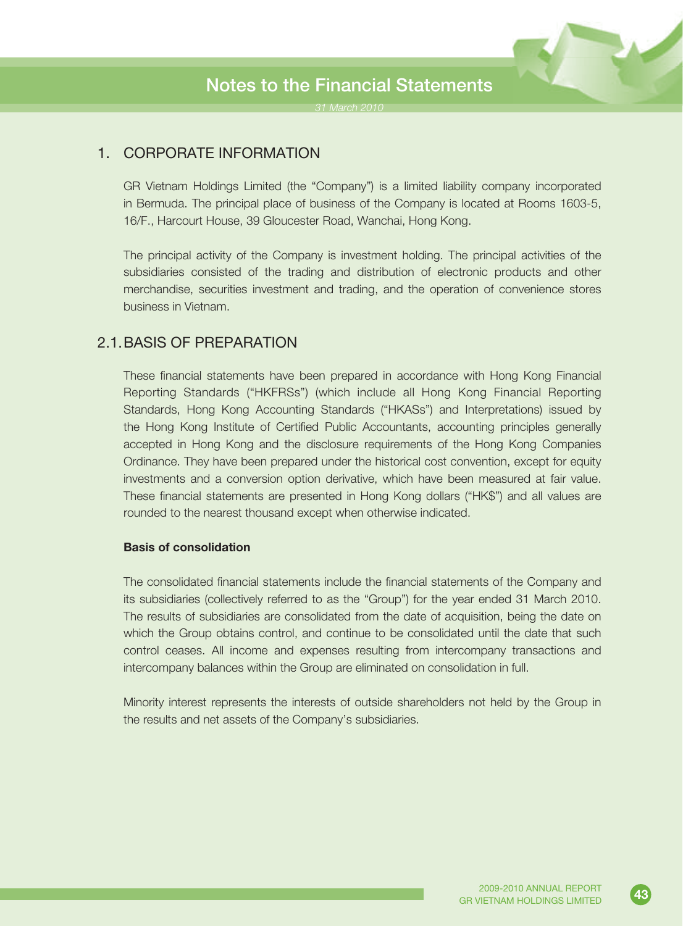

31 March 2010

### 1. CORPORATE INFORMATION

GR Vietnam Holdings Limited (the "Company") is a limited liability company incorporated in Bermuda. The principal place of business of the Company is located at Rooms 1603-5, 16/F., Harcourt House, 39 Gloucester Road, Wanchai, Hong Kong.

The principal activity of the Company is investment holding. The principal activities of the subsidiaries consisted of the trading and distribution of electronic products and other merchandise, securities investment and trading, and the operation of convenience stores business in Vietnam.

### 2.1. BASIS OF PREPARATION

These financial statements have been prepared in accordance with Hong Kong Financial Reporting Standards ("HKFRSs") (which include all Hong Kong Financial Reporting Standards, Hong Kong Accounting Standards ("HKASs") and Interpretations) issued by the Hong Kong Institute of Certified Public Accountants, accounting principles generally accepted in Hong Kong and the disclosure requirements of the Hong Kong Companies Ordinance. They have been prepared under the historical cost convention, except for equity investments and a conversion option derivative, which have been measured at fair value. These financial statements are presented in Hong Kong dollars ("HK\$") and all values are rounded to the nearest thousand except when otherwise indicated.

#### **Basis of consolidation**

The consolidated financial statements include the financial statements of the Company and its subsidiaries (collectively referred to as the "Group") for the year ended 31 March 2010. The results of subsidiaries are consolidated from the date of acquisition, being the date on which the Group obtains control, and continue to be consolidated until the date that such control ceases. All income and expenses resulting from intercompany transactions and intercompany balances within the Group are eliminated on consolidation in full.

Minority interest represents the interests of outside shareholders not held by the Group in the results and net assets of the Company's subsidiaries.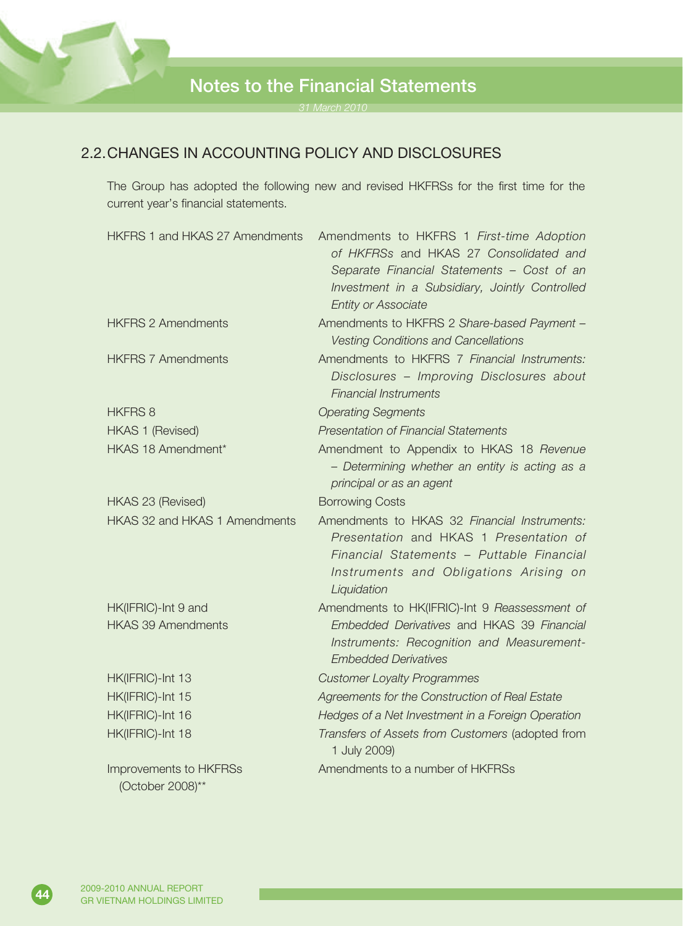

## 2.2. CHANGES IN ACCOUNTING POLICY AND DISCLOSURES

The Group has adopted the following new and revised HKFRSs for the first time for the current year's financial statements.

| <b>HKFRS 1 and HKAS 27 Amendments</b>            | Amendments to HKFRS 1 First-time Adoption<br>of HKFRSs and HKAS 27 Consolidated and<br>Separate Financial Statements - Cost of an<br>Investment in a Subsidiary, Jointly Controlled<br><b>Entity or Associate</b> |
|--------------------------------------------------|-------------------------------------------------------------------------------------------------------------------------------------------------------------------------------------------------------------------|
| <b>HKFRS 2 Amendments</b>                        | Amendments to HKFRS 2 Share-based Payment -<br><b>Vesting Conditions and Cancellations</b>                                                                                                                        |
| <b>HKFRS 7 Amendments</b>                        | Amendments to HKFRS 7 Financial Instruments:<br>Disclosures - Improving Disclosures about<br><b>Financial Instruments</b>                                                                                         |
| <b>HKFRS 8</b>                                   | <b>Operating Segments</b>                                                                                                                                                                                         |
| <b>HKAS 1 (Revised)</b>                          | <b>Presentation of Financial Statements</b>                                                                                                                                                                       |
| HKAS 18 Amendment*                               | Amendment to Appendix to HKAS 18 Revenue<br>- Determining whether an entity is acting as a<br>principal or as an agent                                                                                            |
| HKAS 23 (Revised)                                | <b>Borrowing Costs</b>                                                                                                                                                                                            |
| HKAS 32 and HKAS 1 Amendments                    | Amendments to HKAS 32 Financial Instruments:<br>Presentation and HKAS 1 Presentation of<br>Financial Statements - Puttable Financial<br>Instruments and Obligations Arising on<br>Liquidation                     |
| HK(IFRIC)-Int 9 and<br><b>HKAS 39 Amendments</b> | Amendments to HK(IFRIC)-Int 9 Reassessment of<br>Embedded Derivatives and HKAS 39 Financial<br>Instruments: Recognition and Measurement-<br><b>Embedded Derivatives</b>                                           |
| HK(IFRIC)-Int 13                                 | <b>Customer Loyalty Programmes</b>                                                                                                                                                                                |
| HK(IFRIC)-Int 15                                 | Agreements for the Construction of Real Estate                                                                                                                                                                    |
| HK(IFRIC)-Int 16                                 | Hedges of a Net Investment in a Foreign Operation                                                                                                                                                                 |
| HK(IFRIC)-Int 18                                 | Transfers of Assets from Customers (adopted from<br>1 July 2009)                                                                                                                                                  |
| Improvements to HKFRSs<br>(October 2008)**       | Amendments to a number of HKFRSs                                                                                                                                                                                  |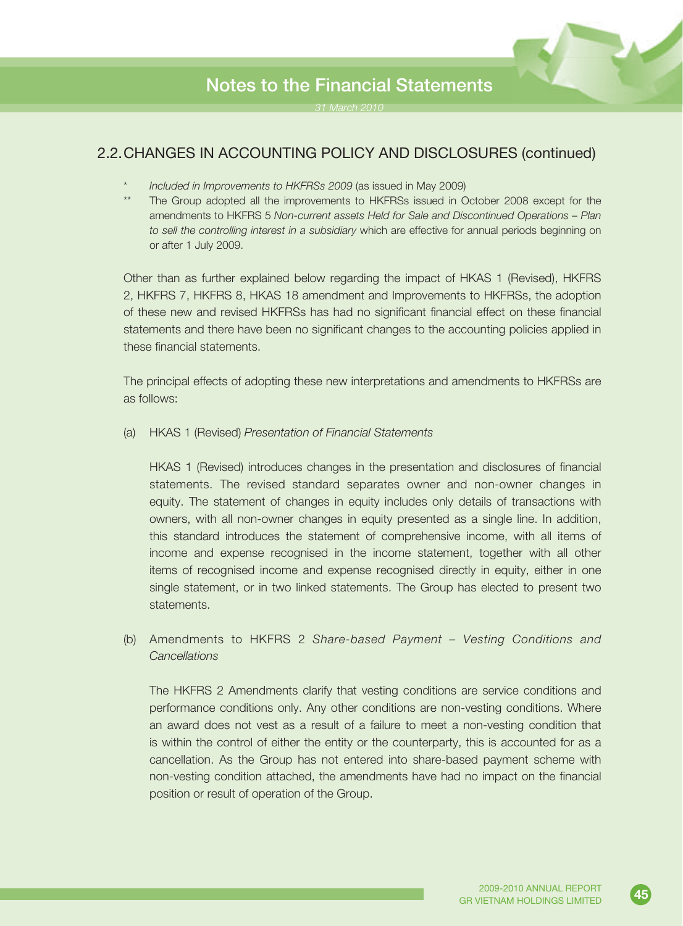

### 2.2. CHANGES IN ACCOUNTING POLICY AND DISCLOSURES (continued)

- Included in Improvements to HKFRSs 2009 (as issued in May 2009)
- The Group adopted all the improvements to HKFRSs issued in October 2008 except for the amendments to HKFRS 5 Non-current assets Held for Sale and Discontinued Operations – Plan to sell the controlling interest in a subsidiary which are effective for annual periods beginning on or after 1 July 2009.

Other than as further explained below regarding the impact of HKAS 1 (Revised), HKFRS 2, HKFRS 7, HKFRS 8, HKAS 18 amendment and Improvements to HKFRSs, the adoption of these new and revised HKFRSs has had no significant financial effect on these financial statements and there have been no significant changes to the accounting policies applied in these financial statements.

The principal effects of adopting these new interpretations and amendments to HKFRSs are as follows:

#### (a) HKAS 1 (Revised) Presentation of Financial Statements

HKAS 1 (Revised) introduces changes in the presentation and disclosures of financial statements. The revised standard separates owner and non-owner changes in equity. The statement of changes in equity includes only details of transactions with owners, with all non-owner changes in equity presented as a single line. In addition, this standard introduces the statement of comprehensive income, with all items of income and expense recognised in the income statement, together with all other items of recognised income and expense recognised directly in equity, either in one single statement, or in two linked statements. The Group has elected to present two statements.

#### (b) Amendments to HKFRS 2 Share-based Payment – Vesting Conditions and **Cancellations**

The HKFRS 2 Amendments clarify that vesting conditions are service conditions and performance conditions only. Any other conditions are non-vesting conditions. Where an award does not vest as a result of a failure to meet a non-vesting condition that is within the control of either the entity or the counterparty, this is accounted for as a cancellation. As the Group has not entered into share-based payment scheme with non-vesting condition attached, the amendments have had no impact on the financial position or result of operation of the Group.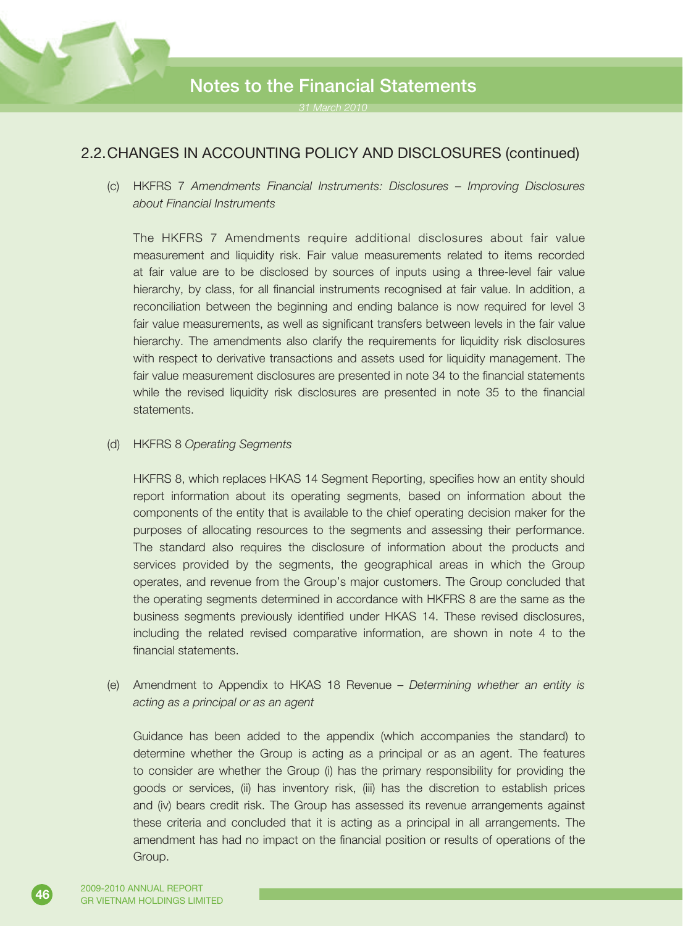

31 March 2010

### 2.2. CHANGES IN ACCOUNTING POLICY AND DISCLOSURES (continued)

(c) HKFRS 7 Amendments Financial Instruments: Disclosures – Improving Disclosures about Financial Instruments

The HKFRS 7 Amendments require additional disclosures about fair value measurement and liquidity risk. Fair value measurements related to items recorded at fair value are to be disclosed by sources of inputs using a three-level fair value hierarchy, by class, for all financial instruments recognised at fair value. In addition, a reconciliation between the beginning and ending balance is now required for level 3 fair value measurements, as well as significant transfers between levels in the fair value hierarchy. The amendments also clarify the requirements for liquidity risk disclosures with respect to derivative transactions and assets used for liquidity management. The fair value measurement disclosures are presented in note 34 to the financial statements while the revised liquidity risk disclosures are presented in note 35 to the financial statements.

#### (d) HKFRS 8 Operating Segments

HKFRS 8, which replaces HKAS 14 Segment Reporting, specifies how an entity should report information about its operating segments, based on information about the components of the entity that is available to the chief operating decision maker for the purposes of allocating resources to the segments and assessing their performance. The standard also requires the disclosure of information about the products and services provided by the segments, the geographical areas in which the Group operates, and revenue from the Group's major customers. The Group concluded that the operating segments determined in accordance with HKFRS 8 are the same as the business segments previously identified under HKAS 14. These revised disclosures, including the related revised comparative information, are shown in note 4 to the financial statements.

(e) Amendment to Appendix to HKAS 18 Revenue – Determining whether an entity is acting as a principal or as an agent

Guidance has been added to the appendix (which accompanies the standard) to determine whether the Group is acting as a principal or as an agent. The features to consider are whether the Group (i) has the primary responsibility for providing the goods or services, (ii) has inventory risk, (iii) has the discretion to establish prices and (iv) bears credit risk. The Group has assessed its revenue arrangements against these criteria and concluded that it is acting as a principal in all arrangements. The amendment has had no impact on the financial position or results of operations of the Group.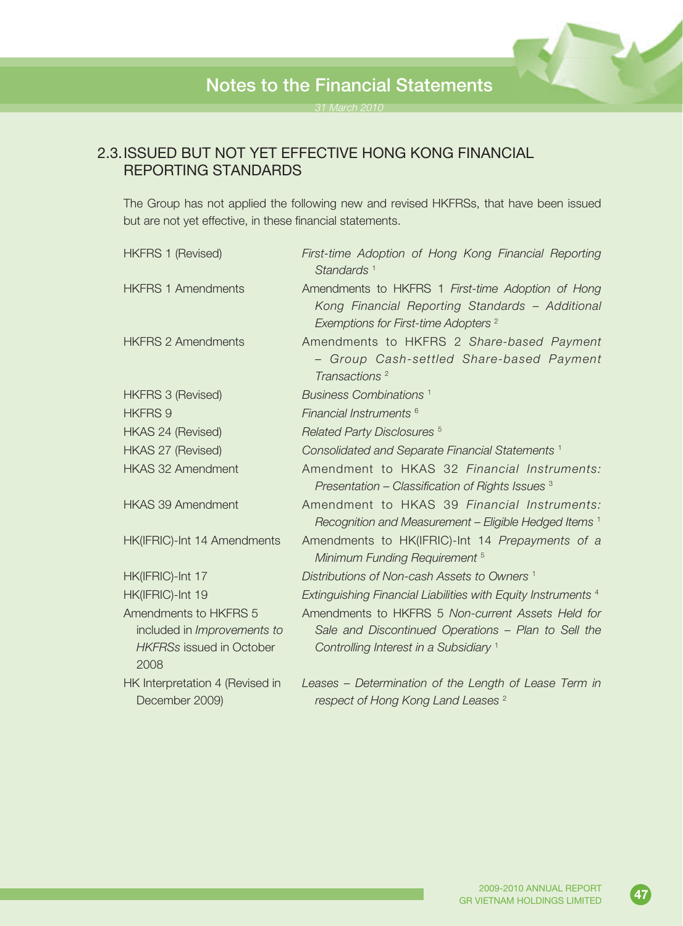

## 2.3. ISSUED BUT NOT YET EFFECTIVE HONG KONG FINANCIAL REPORTING STANDARDS

The Group has not applied the following new and revised HKFRSs, that have been issued but are not yet effective, in these financial statements.

| <b>HKFRS 1 (Revised)</b>                                                                        | First-time Adoption of Hong Kong Financial Reporting<br>Standards <sup>1</sup>                                                                                |
|-------------------------------------------------------------------------------------------------|---------------------------------------------------------------------------------------------------------------------------------------------------------------|
| <b>HKFRS 1 Amendments</b>                                                                       | Amendments to HKFRS 1 First-time Adoption of Hong<br>Kong Financial Reporting Standards - Additional<br>Exemptions for First-time Adopters <sup>2</sup>       |
| <b>HKFRS 2 Amendments</b>                                                                       | Amendments to HKFRS 2 Share-based Payment<br>- Group Cash-settled Share-based Payment<br>Transactions <sup>2</sup>                                            |
| <b>HKFRS 3 (Revised)</b>                                                                        | Business Combinations <sup>1</sup>                                                                                                                            |
| <b>HKFRS 9</b>                                                                                  | Financial Instruments <sup>6</sup>                                                                                                                            |
| <b>HKAS 24 (Revised)</b>                                                                        | Related Party Disclosures <sup>5</sup>                                                                                                                        |
| HKAS 27 (Revised)                                                                               | Consolidated and Separate Financial Statements <sup>1</sup>                                                                                                   |
| <b>HKAS 32 Amendment</b>                                                                        | Amendment to HKAS 32 Financial Instruments:<br>Presentation - Classification of Rights Issues 3                                                               |
| <b>HKAS 39 Amendment</b>                                                                        | Amendment to HKAS 39 Financial Instruments:<br>Recognition and Measurement - Eligible Hedged Items <sup>1</sup>                                               |
| HK(IFRIC)-Int 14 Amendments                                                                     | Amendments to HK(IFRIC)-Int 14 Prepayments of a<br>Minimum Funding Requirement <sup>5</sup>                                                                   |
| HK(IFRIC)-Int 17                                                                                | Distributions of Non-cash Assets to Owners <sup>1</sup>                                                                                                       |
| HK(IFRIC)-Int 19                                                                                | Extinguishing Financial Liabilities with Equity Instruments <sup>4</sup>                                                                                      |
| Amendments to HKFRS 5<br>included in Improvements to<br><b>HKFRSs issued in October</b><br>2008 | Amendments to HKFRS 5 Non-current Assets Held for<br>Sale and Discontinued Operations - Plan to Sell the<br>Controlling Interest in a Subsidiary <sup>1</sup> |
| HK Interpretation 4 (Revised in<br>December 2009)                                               | Leases - Determination of the Length of Lease Term in<br>respect of Hong Kong Land Leases <sup>2</sup>                                                        |

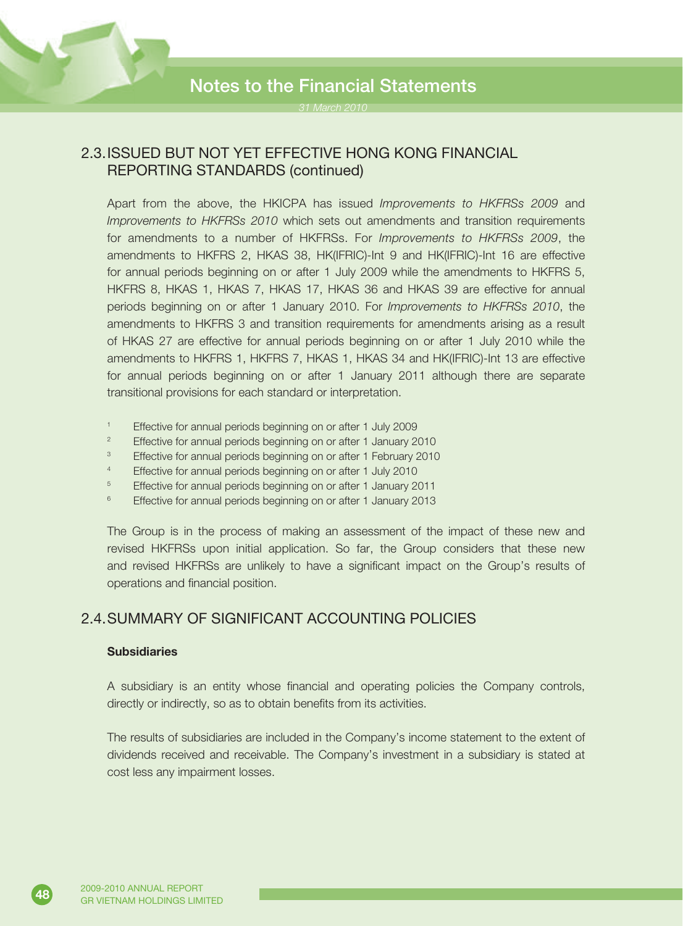

### 2.3. ISSUED BUT NOT YET EFFECTIVE HONG KONG FINANCIAL REPORTING STANDARDS (continued)

Apart from the above, the HKICPA has issued *Improvements to HKFRSs 2009* and Improvements to HKFRSs 2010 which sets out amendments and transition requirements for amendments to a number of HKFRSs. For Improvements to HKFRSs 2009, the amendments to HKFRS 2, HKAS 38, HK(IFRIC)-Int 9 and HK(IFRIC)-Int 16 are effective for annual periods beginning on or after 1 July 2009 while the amendments to HKFRS 5, HKFRS 8, HKAS 1, HKAS 7, HKAS 17, HKAS 36 and HKAS 39 are effective for annual periods beginning on or after 1 January 2010. For Improvements to HKFRSs 2010, the amendments to HKFRS 3 and transition requirements for amendments arising as a result of HKAS 27 are effective for annual periods beginning on or after 1 July 2010 while the amendments to HKFRS 1, HKFRS 7, HKAS 1, HKAS 34 and HK(IFRIC)-Int 13 are effective for annual periods beginning on or after 1 January 2011 although there are separate transitional provisions for each standard or interpretation.

- 1 Effective for annual periods beginning on or after 1 July 2009
- $\overline{2}$ Effective for annual periods beginning on or after 1 January 2010
- 3 Effective for annual periods beginning on or after 1 February 2010
- 4 Effective for annual periods beginning on or after 1 July 2010
- 5 Effective for annual periods beginning on or after 1 January 2011
- 6 Effective for annual periods beginning on or after 1 January 2013

The Group is in the process of making an assessment of the impact of these new and revised HKFRSs upon initial application. So far, the Group considers that these new and revised HKFRSs are unlikely to have a significant impact on the Group's results of operations and financial position.

### 2.4. SUMMARY OF SIGNIFICANT ACCOUNTING POLICIES

#### **Subsidiaries**

A subsidiary is an entity whose financial and operating policies the Company controls, directly or indirectly, so as to obtain benefits from its activities.

The results of subsidiaries are included in the Company's income statement to the extent of dividends received and receivable. The Company's investment in a subsidiary is stated at cost less any impairment losses.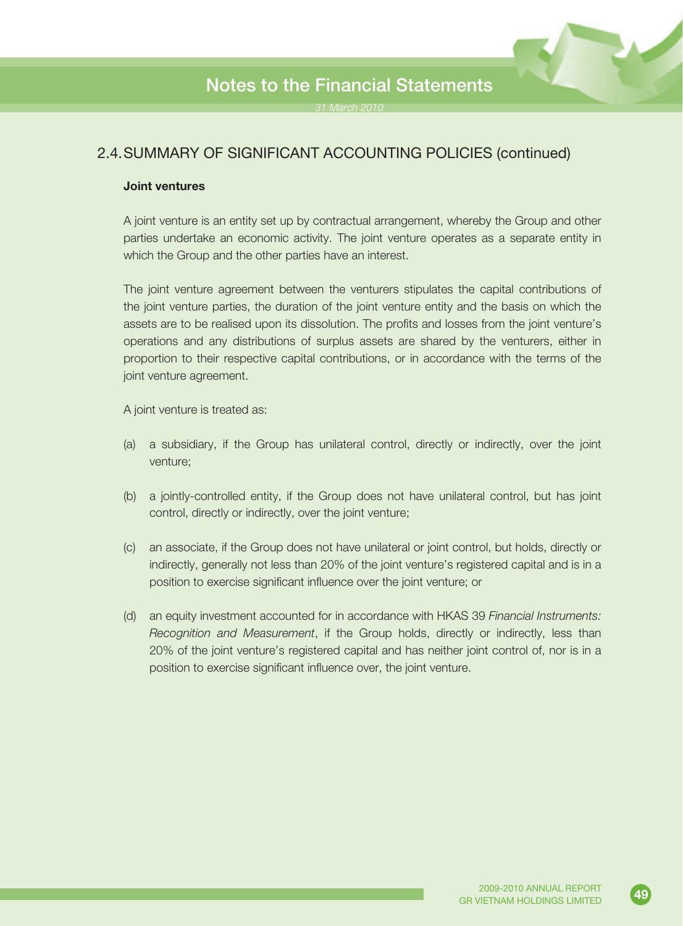

31 March 2010

### 2.4. SUMMARY OF SIGNIFICANT ACCOUNTING POLICIES (continued)

#### **Joint ventures**

A joint venture is an entity set up by contractual arrangement, whereby the Group and other parties undertake an economic activity. The joint venture operates as a separate entity in which the Group and the other parties have an interest.

The joint venture agreement between the venturers stipulates the capital contributions of the joint venture parties, the duration of the joint venture entity and the basis on which the assets are to be realised upon its dissolution. The profits and losses from the joint venture's operations and any distributions of surplus assets are shared by the venturers, either in proportion to their respective capital contributions, or in accordance with the terms of the joint venture agreement.

A joint venture is treated as:

- (a) a subsidiary, if the Group has unilateral control, directly or indirectly, over the joint venture;
- (b) a jointly-controlled entity, if the Group does not have unilateral control, but has joint control, directly or indirectly, over the joint venture;
- (c) an associate, if the Group does not have unilateral or joint control, but holds, directly or indirectly, generally not less than 20% of the joint venture's registered capital and is in a position to exercise significant influence over the joint venture; or
- (d) an equity investment accounted for in accordance with HKAS 39 Financial Instruments: Recognition and Measurement, if the Group holds, directly or indirectly, less than 20% of the joint venture's registered capital and has neither joint control of, nor is in a position to exercise significant influence over, the joint venture.

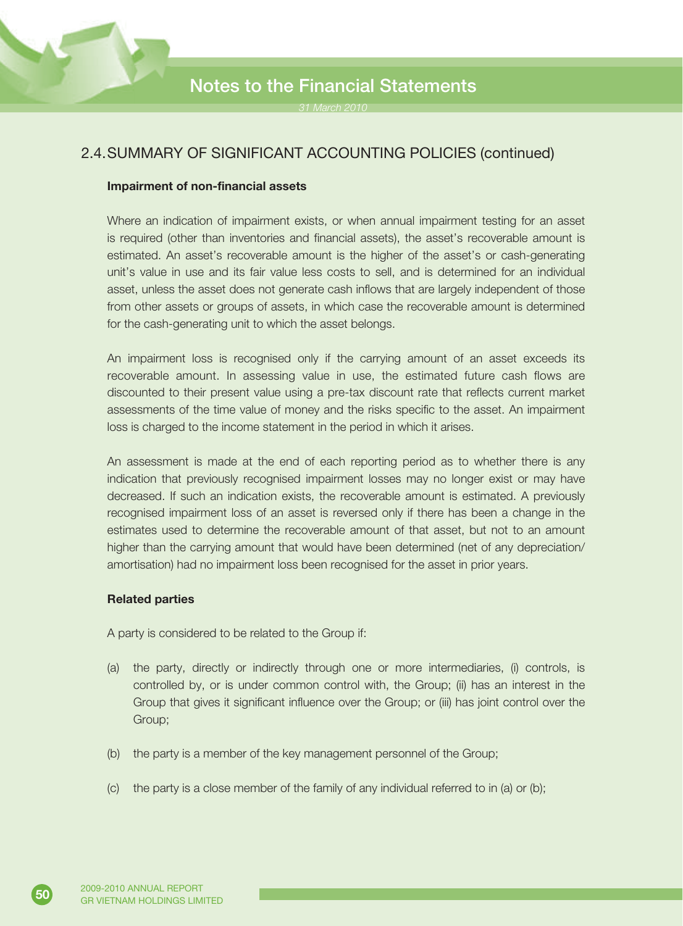

### 2.4. SUMMARY OF SIGNIFICANT ACCOUNTING POLICIES (continued)

#### **Impairment of non-financial assets**

Where an indication of impairment exists, or when annual impairment testing for an asset is required (other than inventories and financial assets), the asset's recoverable amount is estimated. An asset's recoverable amount is the higher of the asset's or cash-generating unit's value in use and its fair value less costs to sell, and is determined for an individual asset, unless the asset does not generate cash inflows that are largely independent of those from other assets or groups of assets, in which case the recoverable amount is determined for the cash-generating unit to which the asset belongs.

An impairment loss is recognised only if the carrying amount of an asset exceeds its recoverable amount. In assessing value in use, the estimated future cash flows are discounted to their present value using a pre-tax discount rate that reflects current market assessments of the time value of money and the risks specific to the asset. An impairment loss is charged to the income statement in the period in which it arises.

An assessment is made at the end of each reporting period as to whether there is any indication that previously recognised impairment losses may no longer exist or may have decreased. If such an indication exists, the recoverable amount is estimated. A previously recognised impairment loss of an asset is reversed only if there has been a change in the estimates used to determine the recoverable amount of that asset, but not to an amount higher than the carrying amount that would have been determined (net of any depreciation/ amortisation) had no impairment loss been recognised for the asset in prior years.

#### **Related parties**

A party is considered to be related to the Group if:

- (a) the party, directly or indirectly through one or more intermediaries, (i) controls, is controlled by, or is under common control with, the Group; (ii) has an interest in the Group that gives it significant influence over the Group; or (iii) has joint control over the Group;
- (b) the party is a member of the key management personnel of the Group;
- (c) the party is a close member of the family of any individual referred to in (a) or (b);

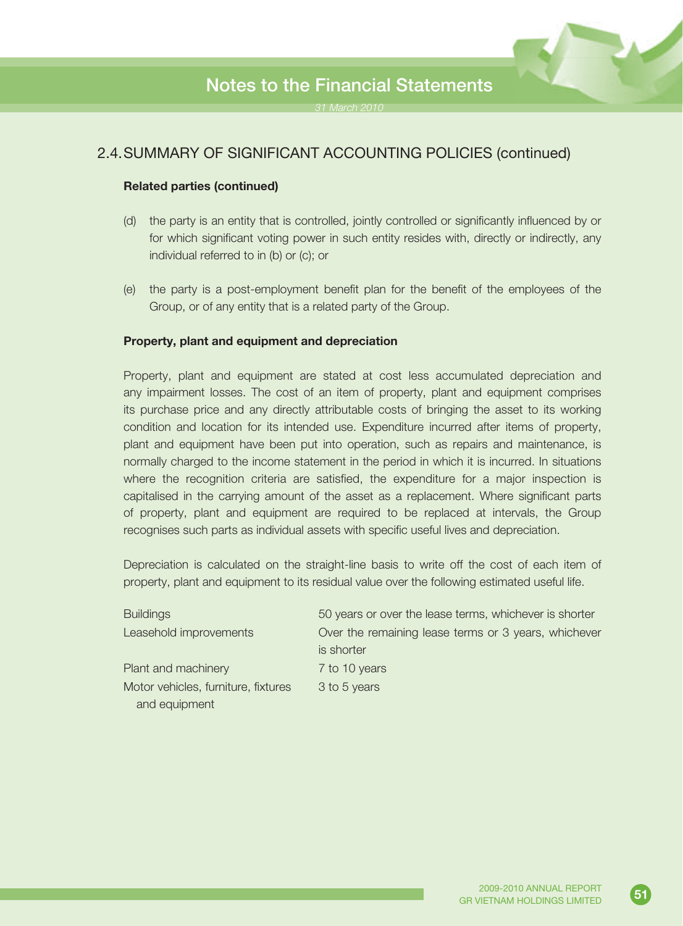### 2.4. SUMMARY OF SIGNIFICANT ACCOUNTING POLICIES (continued)

#### **Related parties (continued)**

- (d) the party is an entity that is controlled, jointly controlled or significantly influenced by or for which significant voting power in such entity resides with, directly or indirectly, any individual referred to in (b) or (c); or
- (e) the party is a post-employment benefit plan for the benefit of the employees of the Group, or of any entity that is a related party of the Group.

#### **Property, plant and equipment and depreciation**

Property, plant and equipment are stated at cost less accumulated depreciation and any impairment losses. The cost of an item of property, plant and equipment comprises its purchase price and any directly attributable costs of bringing the asset to its working condition and location for its intended use. Expenditure incurred after items of property, plant and equipment have been put into operation, such as repairs and maintenance, is normally charged to the income statement in the period in which it is incurred. In situations where the recognition criteria are satisfied, the expenditure for a major inspection is capitalised in the carrying amount of the asset as a replacement. Where significant parts of property, plant and equipment are required to be replaced at intervals, the Group recognises such parts as individual assets with specific useful lives and depreciation.

Depreciation is calculated on the straight-line basis to write off the cost of each item of property, plant and equipment to its residual value over the following estimated useful life.

| <b>Buildings</b>                    | 50 years or over the lease terms, whichever is shorter |
|-------------------------------------|--------------------------------------------------------|
| Leasehold improvements              | Over the remaining lease terms or 3 years, whichever   |
|                                     | is shorter                                             |
| Plant and machinery                 | 7 to 10 years                                          |
| Motor vehicles, furniture, fixtures | 3 to 5 years                                           |
| and equipment                       |                                                        |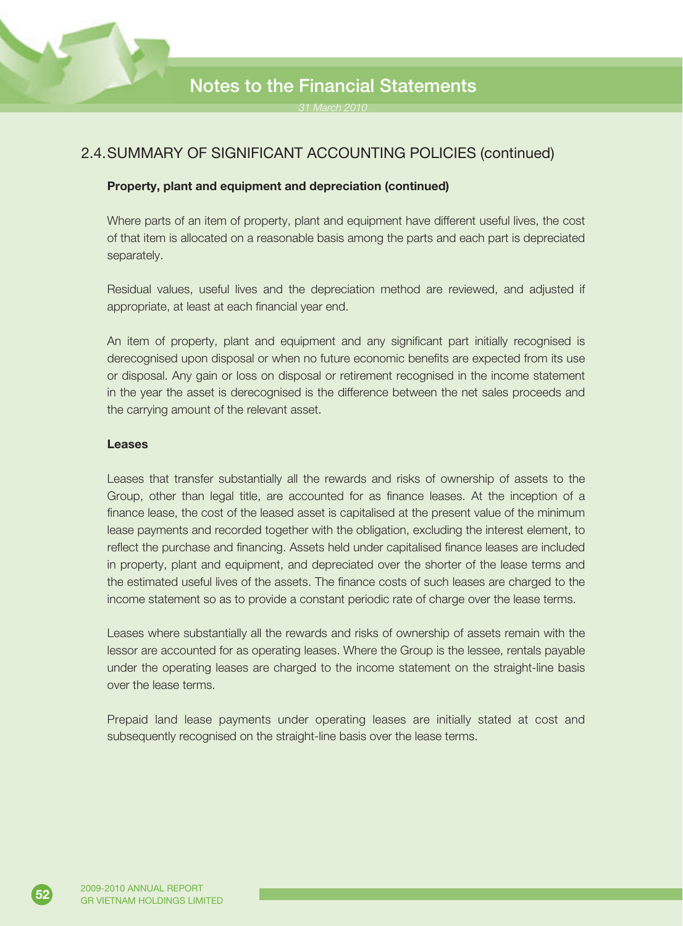

### 2.4. SUMMARY OF SIGNIFICANT ACCOUNTING POLICIES (continued)

#### **Property, plant and equipment and depreciation (continued)**

Where parts of an item of property, plant and equipment have different useful lives, the cost of that item is allocated on a reasonable basis among the parts and each part is depreciated separately.

Residual values, useful lives and the depreciation method are reviewed, and adjusted if appropriate, at least at each financial year end.

An item of property, plant and equipment and any significant part initially recognised is derecognised upon disposal or when no future economic benefits are expected from its use or disposal. Any gain or loss on disposal or retirement recognised in the income statement in the year the asset is derecognised is the difference between the net sales proceeds and the carrying amount of the relevant asset.

#### **Leases**

Leases that transfer substantially all the rewards and risks of ownership of assets to the Group, other than legal title, are accounted for as finance leases. At the inception of a finance lease, the cost of the leased asset is capitalised at the present value of the minimum lease payments and recorded together with the obligation, excluding the interest element, to reflect the purchase and financing. Assets held under capitalised finance leases are included in property, plant and equipment, and depreciated over the shorter of the lease terms and the estimated useful lives of the assets. The finance costs of such leases are charged to the income statement so as to provide a constant periodic rate of charge over the lease terms.

Leases where substantially all the rewards and risks of ownership of assets remain with the lessor are accounted for as operating leases. Where the Group is the lessee, rentals payable under the operating leases are charged to the income statement on the straight-line basis over the lease terms.

Prepaid land lease payments under operating leases are initially stated at cost and subsequently recognised on the straight-line basis over the lease terms.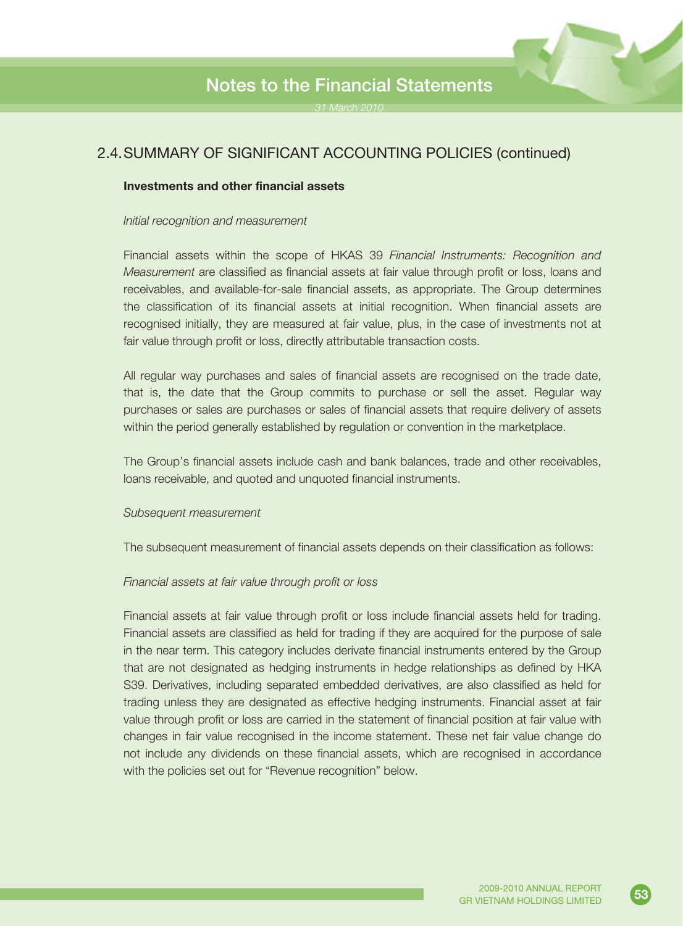

### 2.4. SUMMARY OF SIGNIFICANT ACCOUNTING POLICIES (continued)

#### **Investments and other financial assets**

#### Initial recognition and measurement

Financial assets within the scope of HKAS 39 Financial Instruments: Recognition and Measurement are classified as financial assets at fair value through profit or loss, loans and receivables, and available-for-sale financial assets, as appropriate. The Group determines the classification of its financial assets at initial recognition. When financial assets are recognised initially, they are measured at fair value, plus, in the case of investments not at fair value through profit or loss, directly attributable transaction costs.

All regular way purchases and sales of financial assets are recognised on the trade date, that is, the date that the Group commits to purchase or sell the asset. Regular way purchases or sales are purchases or sales of financial assets that require delivery of assets within the period generally established by regulation or convention in the marketplace.

The Group's financial assets include cash and bank balances, trade and other receivables, loans receivable, and quoted and unquoted financial instruments.

#### Subsequent measurement

The subsequent measurement of financial assets depends on their classification as follows:

#### Financial assets at fair value through profit or loss

Financial assets at fair value through profit or loss include financial assets held for trading. Financial assets are classified as held for trading if they are acquired for the purpose of sale in the near term. This category includes derivate financial instruments entered by the Group that are not designated as hedging instruments in hedge relationships as defined by HKA S39. Derivatives, including separated embedded derivatives, are also classified as held for trading unless they are designated as effective hedging instruments. Financial asset at fair value through profit or loss are carried in the statement of financial position at fair value with changes in fair value recognised in the income statement. These net fair value change do not include any dividends on these financial assets, which are recognised in accordance with the policies set out for "Revenue recognition" below.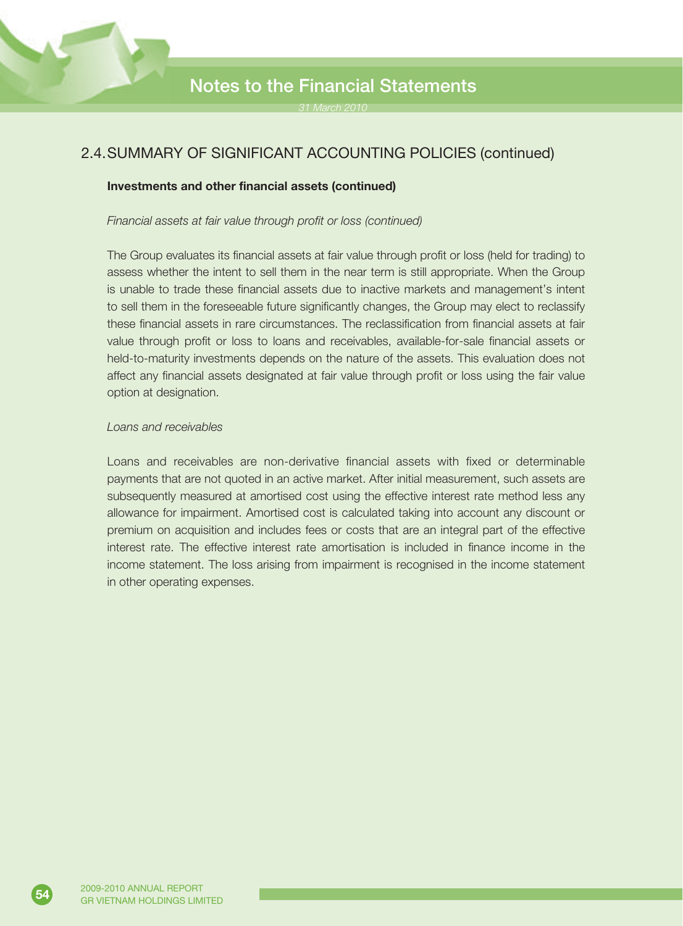

### 2.4. SUMMARY OF SIGNIFICANT ACCOUNTING POLICIES (continued)

#### **Investments and other financial assets (continued)**

Financial assets at fair value through profit or loss (continued)

The Group evaluates its financial assets at fair value through profit or loss (held for trading) to assess whether the intent to sell them in the near term is still appropriate. When the Group is unable to trade these financial assets due to inactive markets and management's intent to sell them in the foreseeable future significantly changes, the Group may elect to reclassify these financial assets in rare circumstances. The reclassification from financial assets at fair value through profit or loss to loans and receivables, available-for-sale financial assets or held-to-maturity investments depends on the nature of the assets. This evaluation does not affect any financial assets designated at fair value through profit or loss using the fair value option at designation.

#### Loans and receivables

Loans and receivables are non-derivative financial assets with fixed or determinable payments that are not quoted in an active market. After initial measurement, such assets are subsequently measured at amortised cost using the effective interest rate method less any allowance for impairment. Amortised cost is calculated taking into account any discount or premium on acquisition and includes fees or costs that are an integral part of the effective interest rate. The effective interest rate amortisation is included in finance income in the income statement. The loss arising from impairment is recognised in the income statement in other operating expenses.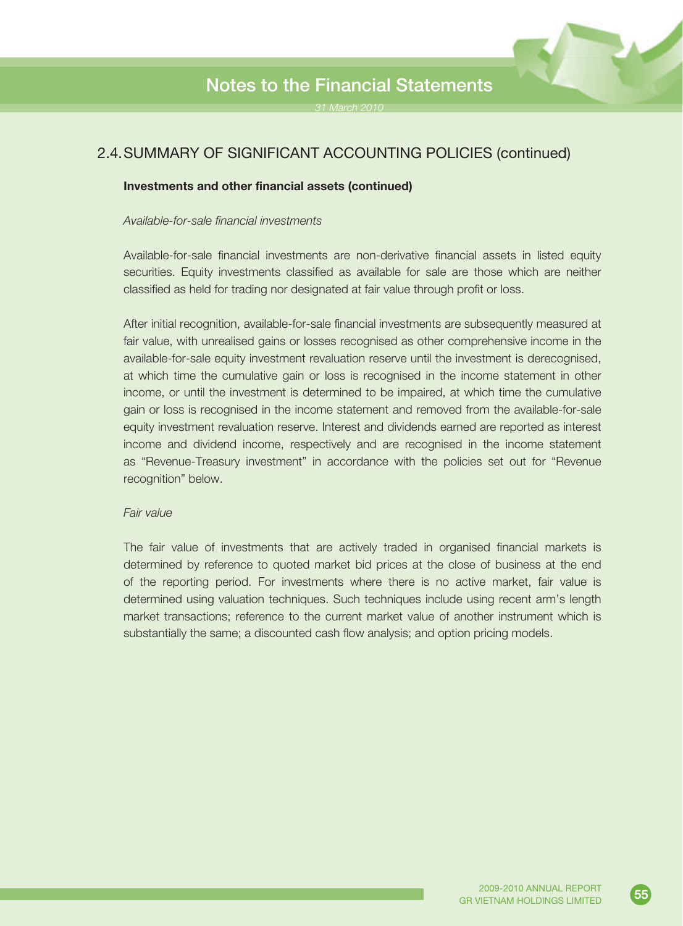

## 2.4. SUMMARY OF SIGNIFICANT ACCOUNTING POLICIES (continued)

#### **Investments and other financial assets (continued)**

#### Available-for-sale financial investments

Available-for-sale financial investments are non-derivative financial assets in listed equity securities. Equity investments classified as available for sale are those which are neither classified as held for trading nor designated at fair value through profit or loss.

After initial recognition, available-for-sale financial investments are subsequently measured at fair value, with unrealised gains or losses recognised as other comprehensive income in the available-for-sale equity investment revaluation reserve until the investment is derecognised, at which time the cumulative gain or loss is recognised in the income statement in other income, or until the investment is determined to be impaired, at which time the cumulative gain or loss is recognised in the income statement and removed from the available-for-sale equity investment revaluation reserve. Interest and dividends earned are reported as interest income and dividend income, respectively and are recognised in the income statement as "Revenue-Treasury investment" in accordance with the policies set out for "Revenue recognition" below.

#### Fair value

The fair value of investments that are actively traded in organised financial markets is determined by reference to quoted market bid prices at the close of business at the end of the reporting period. For investments where there is no active market, fair value is determined using valuation techniques. Such techniques include using recent arm's length market transactions; reference to the current market value of another instrument which is substantially the same; a discounted cash flow analysis; and option pricing models.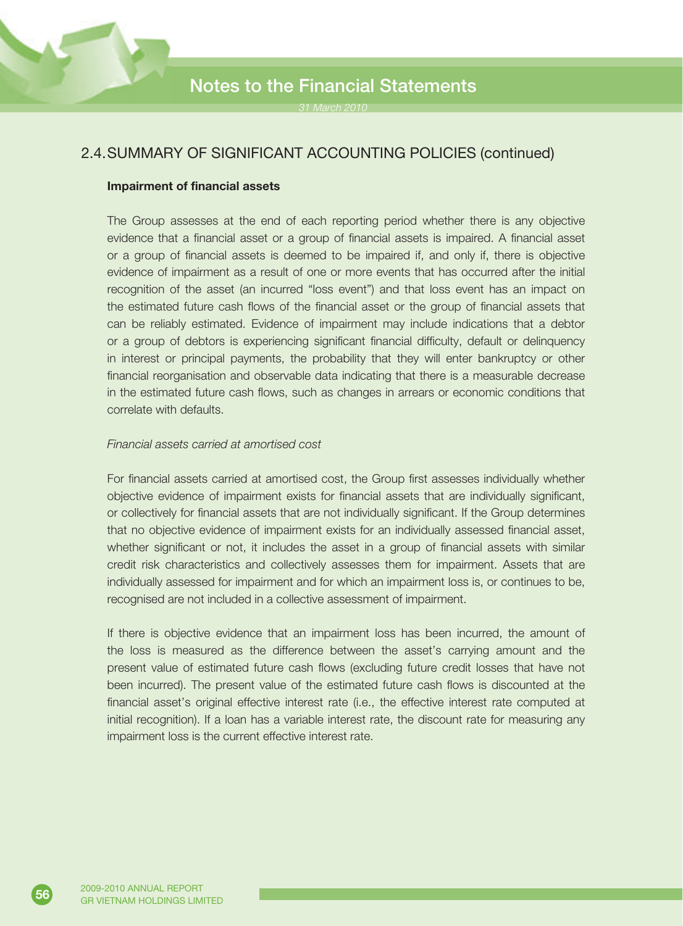

### 2.4. SUMMARY OF SIGNIFICANT ACCOUNTING POLICIES (continued)

#### **Impairment of financial assets**

The Group assesses at the end of each reporting period whether there is any objective evidence that a financial asset or a group of financial assets is impaired. A financial asset or a group of financial assets is deemed to be impaired if, and only if, there is objective evidence of impairment as a result of one or more events that has occurred after the initial recognition of the asset (an incurred "loss event") and that loss event has an impact on the estimated future cash flows of the financial asset or the group of financial assets that can be reliably estimated. Evidence of impairment may include indications that a debtor or a group of debtors is experiencing significant financial difficulty, default or delinquency in interest or principal payments, the probability that they will enter bankruptcy or other financial reorganisation and observable data indicating that there is a measurable decrease in the estimated future cash flows, such as changes in arrears or economic conditions that correlate with defaults.

#### Financial assets carried at amortised cost

For financial assets carried at amortised cost, the Group first assesses individually whether objective evidence of impairment exists for financial assets that are individually significant, or collectively for financial assets that are not individually significant. If the Group determines that no objective evidence of impairment exists for an individually assessed financial asset, whether significant or not, it includes the asset in a group of financial assets with similar credit risk characteristics and collectively assesses them for impairment. Assets that are individually assessed for impairment and for which an impairment loss is, or continues to be, recognised are not included in a collective assessment of impairment.

If there is objective evidence that an impairment loss has been incurred, the amount of the loss is measured as the difference between the asset's carrying amount and the present value of estimated future cash flows (excluding future credit losses that have not been incurred). The present value of the estimated future cash flows is discounted at the financial asset's original effective interest rate (i.e., the effective interest rate computed at initial recognition). If a loan has a variable interest rate, the discount rate for measuring any impairment loss is the current effective interest rate.

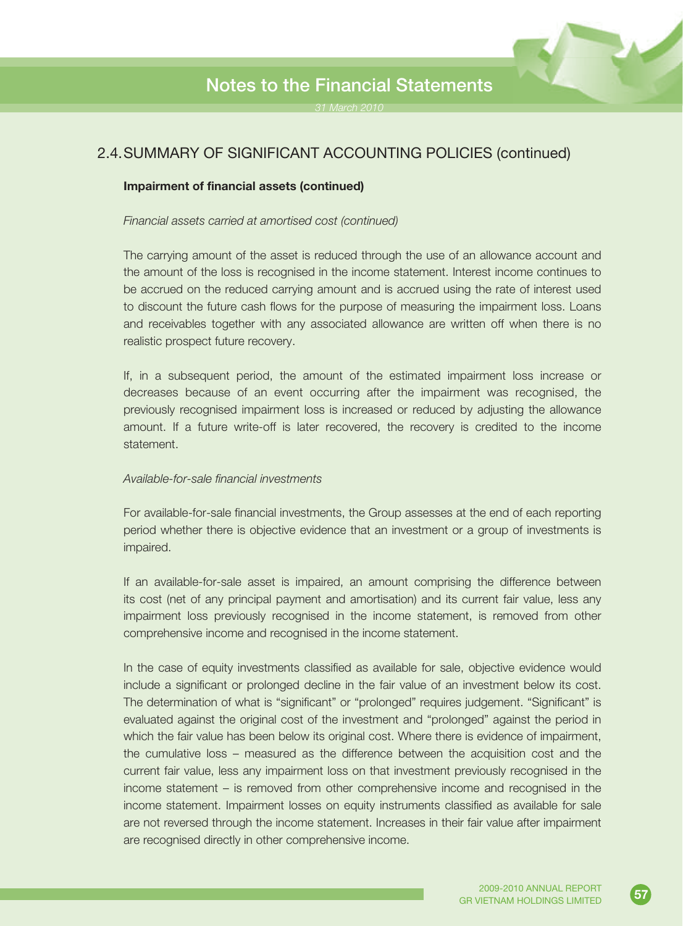

### 2.4. SUMMARY OF SIGNIFICANT ACCOUNTING POLICIES (continued)

#### **Impairment of financial assets (continued)**

#### Financial assets carried at amortised cost (continued)

The carrying amount of the asset is reduced through the use of an allowance account and the amount of the loss is recognised in the income statement. Interest income continues to be accrued on the reduced carrying amount and is accrued using the rate of interest used to discount the future cash flows for the purpose of measuring the impairment loss. Loans and receivables together with any associated allowance are written off when there is no realistic prospect future recovery.

If, in a subsequent period, the amount of the estimated impairment loss increase or decreases because of an event occurring after the impairment was recognised, the previously recognised impairment loss is increased or reduced by adjusting the allowance amount. If a future write-off is later recovered, the recovery is credited to the income statement.

#### Available-for-sale financial investments

For available-for-sale financial investments, the Group assesses at the end of each reporting period whether there is objective evidence that an investment or a group of investments is impaired.

If an available-for-sale asset is impaired, an amount comprising the difference between its cost (net of any principal payment and amortisation) and its current fair value, less any impairment loss previously recognised in the income statement, is removed from other comprehensive income and recognised in the income statement.

In the case of equity investments classified as available for sale, objective evidence would include a significant or prolonged decline in the fair value of an investment below its cost. The determination of what is "significant" or "prolonged" requires judgement. "Significant" is evaluated against the original cost of the investment and "prolonged" against the period in which the fair value has been below its original cost. Where there is evidence of impairment, the cumulative loss – measured as the difference between the acquisition cost and the current fair value, less any impairment loss on that investment previously recognised in the income statement – is removed from other comprehensive income and recognised in the income statement. Impairment losses on equity instruments classified as available for sale are not reversed through the income statement. Increases in their fair value after impairment are recognised directly in other comprehensive income.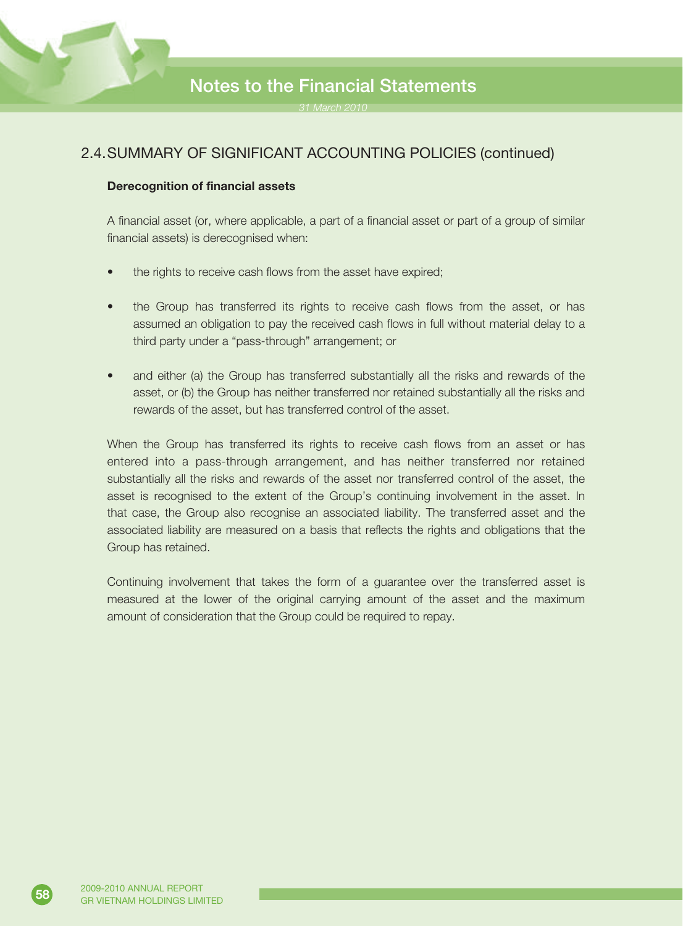

### 2.4. SUMMARY OF SIGNIFICANT ACCOUNTING POLICIES (continued)

#### **Derecognition of financial assets**

A financial asset (or, where applicable, a part of a financial asset or part of a group of similar financial assets) is derecognised when:

- the rights to receive cash flows from the asset have expired;
- the Group has transferred its rights to receive cash flows from the asset, or has assumed an obligation to pay the received cash flows in full without material delay to a third party under a "pass-through" arrangement; or
- and either (a) the Group has transferred substantially all the risks and rewards of the asset, or (b) the Group has neither transferred nor retained substantially all the risks and rewards of the asset, but has transferred control of the asset.

When the Group has transferred its rights to receive cash flows from an asset or has entered into a pass-through arrangement, and has neither transferred nor retained substantially all the risks and rewards of the asset nor transferred control of the asset, the asset is recognised to the extent of the Group's continuing involvement in the asset. In that case, the Group also recognise an associated liability. The transferred asset and the associated liability are measured on a basis that reflects the rights and obligations that the Group has retained.

Continuing involvement that takes the form of a guarantee over the transferred asset is measured at the lower of the original carrying amount of the asset and the maximum amount of consideration that the Group could be required to repay.

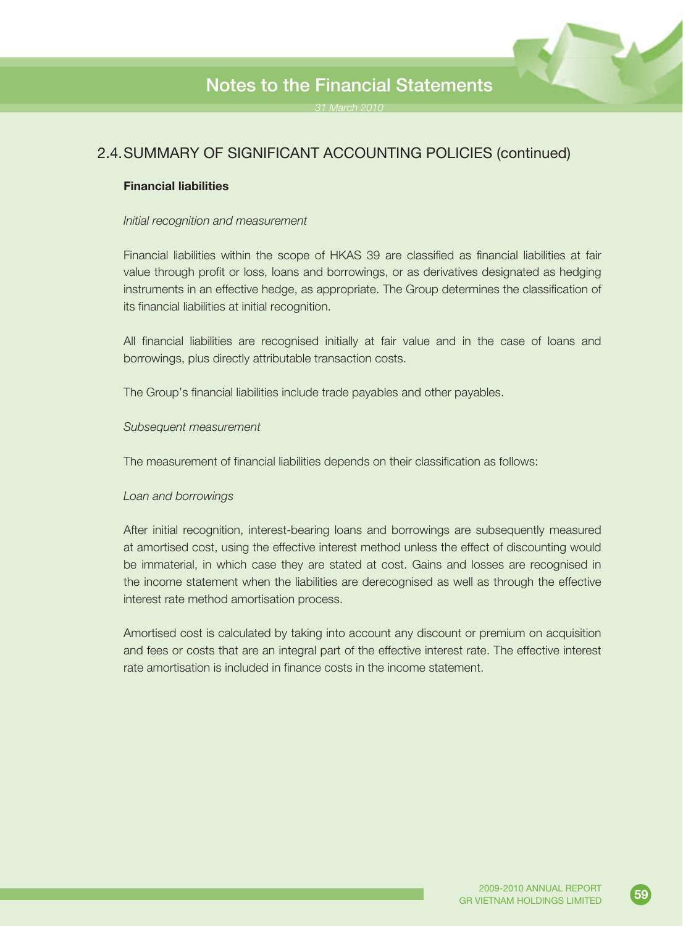

31 March 2010

### 2.4. SUMMARY OF SIGNIFICANT ACCOUNTING POLICIES (continued)

#### **Financial liabilities**

#### Initial recognition and measurement

Financial liabilities within the scope of HKAS 39 are classified as financial liabilities at fair value through profit or loss, loans and borrowings, or as derivatives designated as hedging instruments in an effective hedge, as appropriate. The Group determines the classification of its financial liabilities at initial recognition.

All financial liabilities are recognised initially at fair value and in the case of loans and borrowings, plus directly attributable transaction costs.

The Group's financial liabilities include trade payables and other payables.

#### Subsequent measurement

The measurement of financial liabilities depends on their classification as follows:

#### Loan and borrowings

After initial recognition, interest-bearing loans and borrowings are subsequently measured at amortised cost, using the effective interest method unless the effect of discounting would be immaterial, in which case they are stated at cost. Gains and losses are recognised in the income statement when the liabilities are derecognised as well as through the effective interest rate method amortisation process.

Amortised cost is calculated by taking into account any discount or premium on acquisition and fees or costs that are an integral part of the effective interest rate. The effective interest rate amortisation is included in finance costs in the income statement.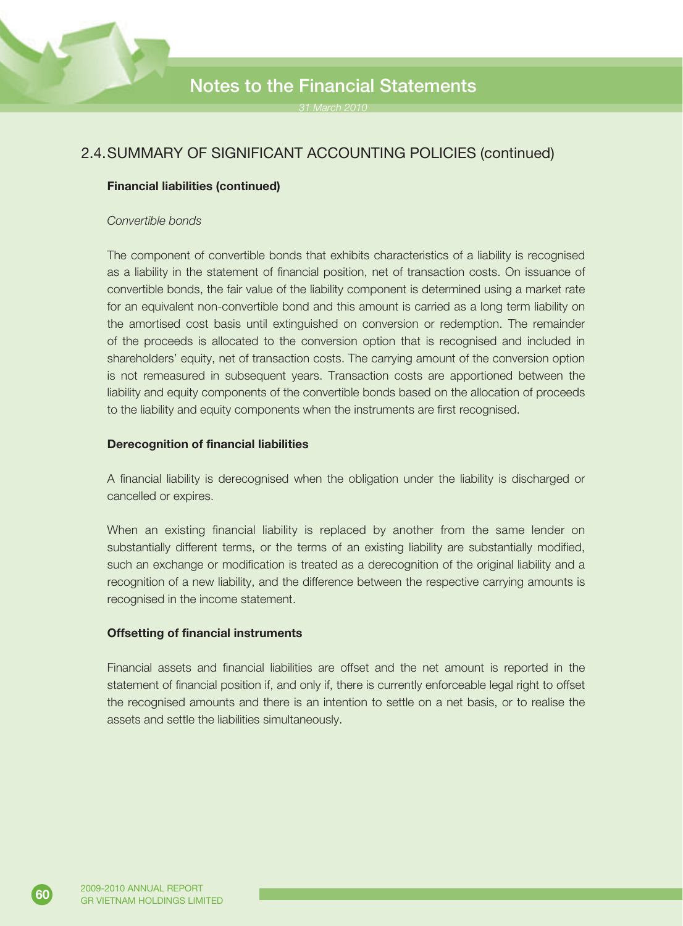

### 2.4. SUMMARY OF SIGNIFICANT ACCOUNTING POLICIES (continued)

#### **Financial liabilities (continued)**

#### Convertible bonds

The component of convertible bonds that exhibits characteristics of a liability is recognised as a liability in the statement of financial position, net of transaction costs. On issuance of convertible bonds, the fair value of the liability component is determined using a market rate for an equivalent non-convertible bond and this amount is carried as a long term liability on the amortised cost basis until extinguished on conversion or redemption. The remainder of the proceeds is allocated to the conversion option that is recognised and included in shareholders' equity, net of transaction costs. The carrying amount of the conversion option is not remeasured in subsequent years. Transaction costs are apportioned between the liability and equity components of the convertible bonds based on the allocation of proceeds to the liability and equity components when the instruments are first recognised.

#### **Derecognition of financial liabilities**

A financial liability is derecognised when the obligation under the liability is discharged or cancelled or expires.

When an existing financial liability is replaced by another from the same lender on substantially different terms, or the terms of an existing liability are substantially modified, such an exchange or modification is treated as a derecognition of the original liability and a recognition of a new liability, and the difference between the respective carrying amounts is recognised in the income statement.

#### **Offsetting of financial instruments**

Financial assets and financial liabilities are offset and the net amount is reported in the statement of financial position if, and only if, there is currently enforceable legal right to offset the recognised amounts and there is an intention to settle on a net basis, or to realise the assets and settle the liabilities simultaneously.

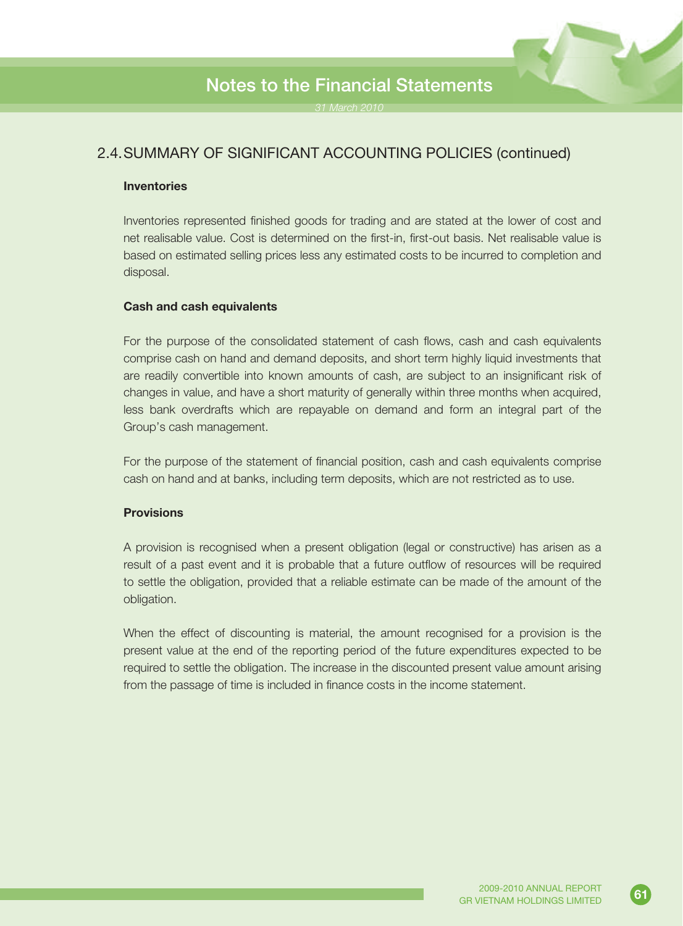

### 2.4. SUMMARY OF SIGNIFICANT ACCOUNTING POLICIES (continued)

#### **Inventories**

Inventories represented finished goods for trading and are stated at the lower of cost and net realisable value. Cost is determined on the first-in, first-out basis. Net realisable value is based on estimated selling prices less any estimated costs to be incurred to completion and disposal.

#### **Cash and cash equivalents**

For the purpose of the consolidated statement of cash flows, cash and cash equivalents comprise cash on hand and demand deposits, and short term highly liquid investments that are readily convertible into known amounts of cash, are subject to an insignificant risk of changes in value, and have a short maturity of generally within three months when acquired, less bank overdrafts which are repayable on demand and form an integral part of the Group's cash management.

For the purpose of the statement of financial position, cash and cash equivalents comprise cash on hand and at banks, including term deposits, which are not restricted as to use.

#### **Provisions**

A provision is recognised when a present obligation (legal or constructive) has arisen as a result of a past event and it is probable that a future outflow of resources will be required to settle the obligation, provided that a reliable estimate can be made of the amount of the obligation.

When the effect of discounting is material, the amount recognised for a provision is the present value at the end of the reporting period of the future expenditures expected to be required to settle the obligation. The increase in the discounted present value amount arising from the passage of time is included in finance costs in the income statement.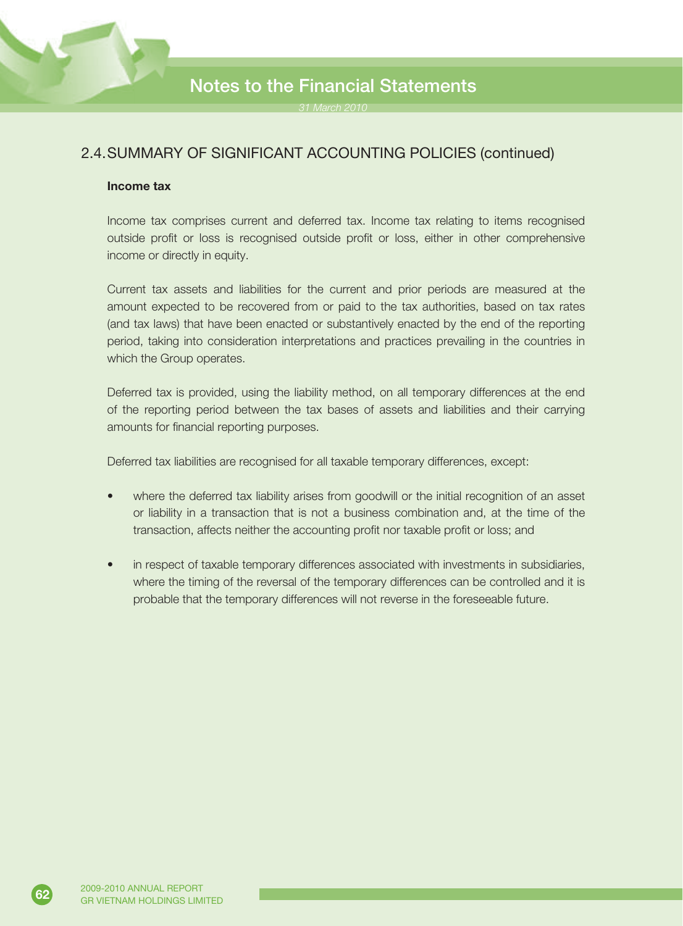

31 March 2010

### 2.4. SUMMARY OF SIGNIFICANT ACCOUNTING POLICIES (continued)

#### **Income tax**

Income tax comprises current and deferred tax. Income tax relating to items recognised outside profit or loss is recognised outside profit or loss, either in other comprehensive income or directly in equity.

Current tax assets and liabilities for the current and prior periods are measured at the amount expected to be recovered from or paid to the tax authorities, based on tax rates (and tax laws) that have been enacted or substantively enacted by the end of the reporting period, taking into consideration interpretations and practices prevailing in the countries in which the Group operates.

Deferred tax is provided, using the liability method, on all temporary differences at the end of the reporting period between the tax bases of assets and liabilities and their carrying amounts for financial reporting purposes.

Deferred tax liabilities are recognised for all taxable temporary differences, except:

- where the deferred tax liability arises from goodwill or the initial recognition of an asset or liability in a transaction that is not a business combination and, at the time of the transaction, affects neither the accounting profit nor taxable profit or loss; and
- in respect of taxable temporary differences associated with investments in subsidiaries, where the timing of the reversal of the temporary differences can be controlled and it is probable that the temporary differences will not reverse in the foreseeable future.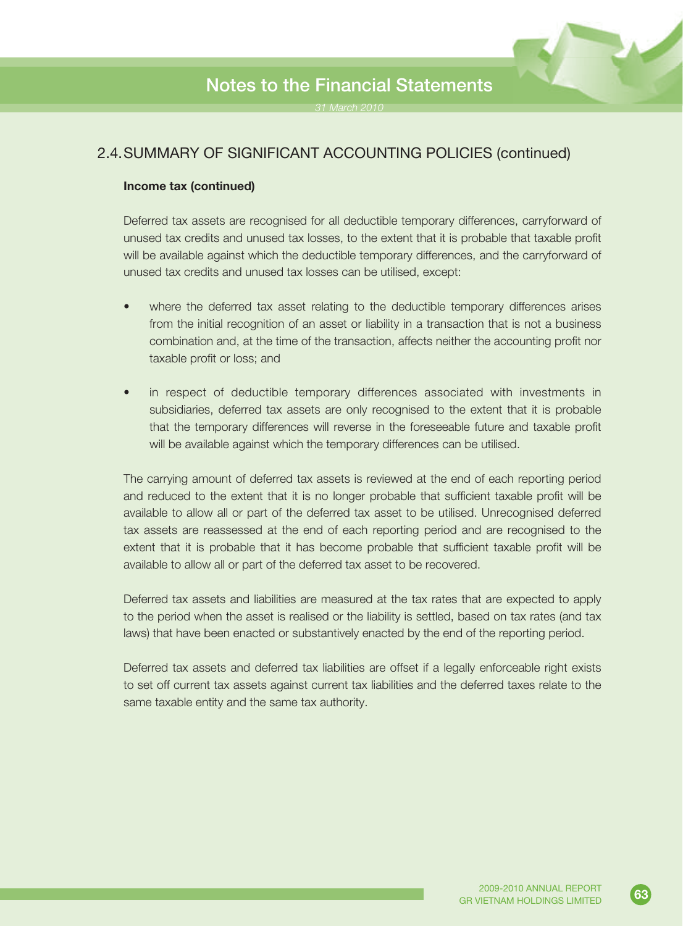

### 2.4. SUMMARY OF SIGNIFICANT ACCOUNTING POLICIES (continued)

#### **Income tax (continued)**

Deferred tax assets are recognised for all deductible temporary differences, carryforward of unused tax credits and unused tax losses, to the extent that it is probable that taxable profit will be available against which the deductible temporary differences, and the carryforward of unused tax credits and unused tax losses can be utilised, except:

- where the deferred tax asset relating to the deductible temporary differences arises from the initial recognition of an asset or liability in a transaction that is not a business combination and, at the time of the transaction, affects neither the accounting profit nor taxable profit or loss; and
- in respect of deductible temporary differences associated with investments in subsidiaries, deferred tax assets are only recognised to the extent that it is probable that the temporary differences will reverse in the foreseeable future and taxable profit will be available against which the temporary differences can be utilised.

The carrying amount of deferred tax assets is reviewed at the end of each reporting period and reduced to the extent that it is no longer probable that sufficient taxable profit will be available to allow all or part of the deferred tax asset to be utilised. Unrecognised deferred tax assets are reassessed at the end of each reporting period and are recognised to the extent that it is probable that it has become probable that sufficient taxable profit will be available to allow all or part of the deferred tax asset to be recovered.

Deferred tax assets and liabilities are measured at the tax rates that are expected to apply to the period when the asset is realised or the liability is settled, based on tax rates (and tax laws) that have been enacted or substantively enacted by the end of the reporting period.

Deferred tax assets and deferred tax liabilities are offset if a legally enforceable right exists to set off current tax assets against current tax liabilities and the deferred taxes relate to the same taxable entity and the same tax authority.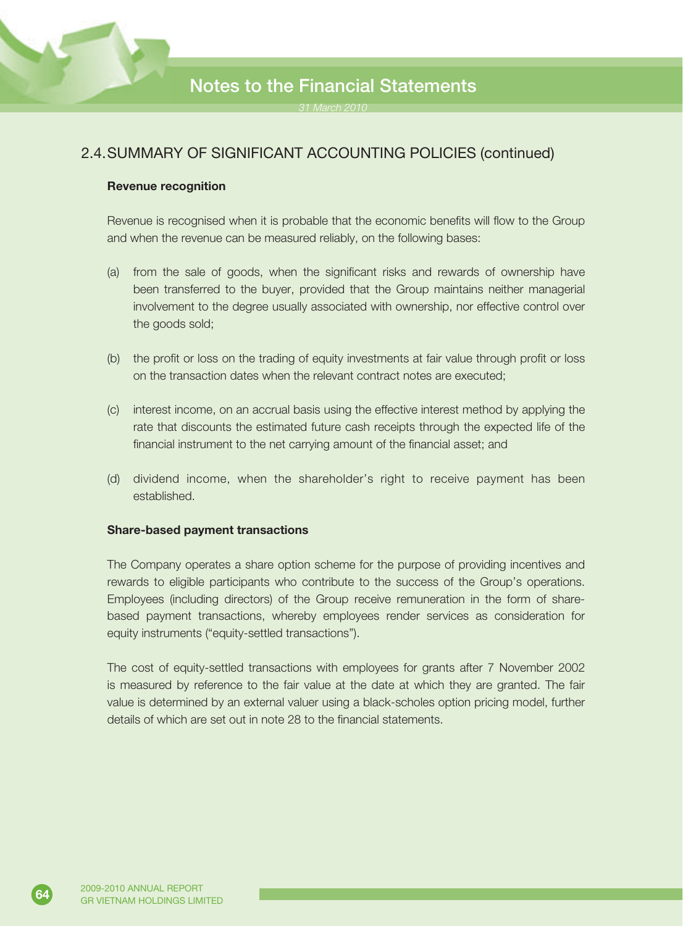

### 2.4. SUMMARY OF SIGNIFICANT ACCOUNTING POLICIES (continued)

#### **Revenue recognition**

Revenue is recognised when it is probable that the economic benefits will flow to the Group and when the revenue can be measured reliably, on the following bases:

- (a) from the sale of goods, when the significant risks and rewards of ownership have been transferred to the buyer, provided that the Group maintains neither managerial involvement to the degree usually associated with ownership, nor effective control over the goods sold;
- (b) the profit or loss on the trading of equity investments at fair value through profit or loss on the transaction dates when the relevant contract notes are executed;
- (c) interest income, on an accrual basis using the effective interest method by applying the rate that discounts the estimated future cash receipts through the expected life of the financial instrument to the net carrying amount of the financial asset; and
- (d) dividend income, when the shareholder's right to receive payment has been established.

#### **Share-based payment transactions**

The Company operates a share option scheme for the purpose of providing incentives and rewards to eligible participants who contribute to the success of the Group's operations. Employees (including directors) of the Group receive remuneration in the form of sharebased payment transactions, whereby employees render services as consideration for equity instruments ("equity-settled transactions").

The cost of equity-settled transactions with employees for grants after 7 November 2002 is measured by reference to the fair value at the date at which they are granted. The fair value is determined by an external valuer using a black-scholes option pricing model, further details of which are set out in note 28 to the financial statements.

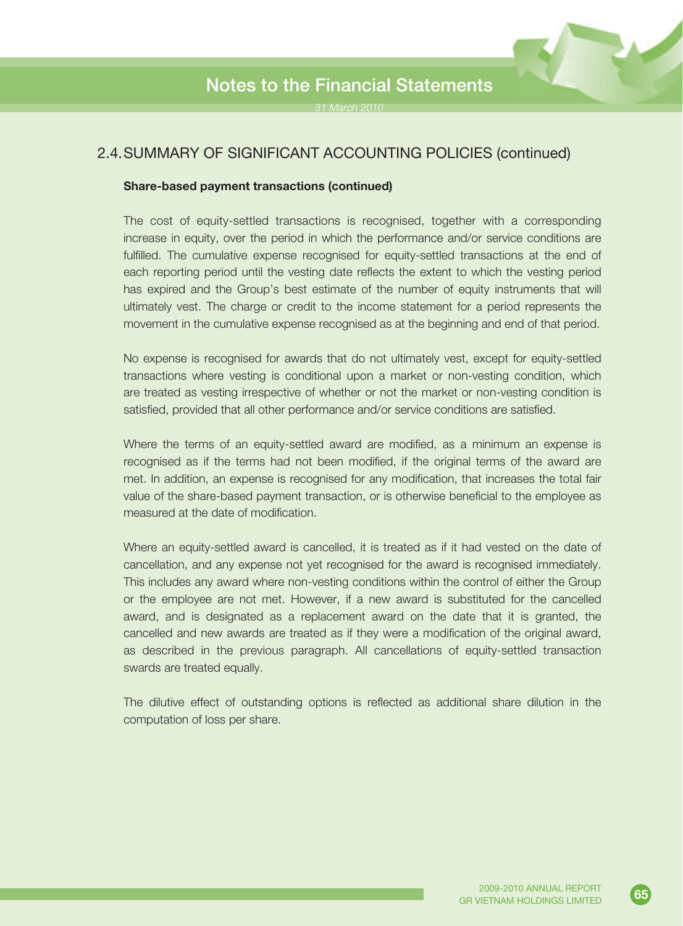

### 2.4. SUMMARY OF SIGNIFICANT ACCOUNTING POLICIES (continued)

#### **Share-based payment transactions (continued)**

The cost of equity-settled transactions is recognised, together with a corresponding increase in equity, over the period in which the performance and/or service conditions are fulfilled. The cumulative expense recognised for equity-settled transactions at the end of each reporting period until the vesting date reflects the extent to which the vesting period has expired and the Group's best estimate of the number of equity instruments that will ultimately vest. The charge or credit to the income statement for a period represents the movement in the cumulative expense recognised as at the beginning and end of that period.

No expense is recognised for awards that do not ultimately vest, except for equity-settled transactions where vesting is conditional upon a market or non-vesting condition, which are treated as vesting irrespective of whether or not the market or non-vesting condition is satisfied, provided that all other performance and/or service conditions are satisfied.

Where the terms of an equity-settled award are modified, as a minimum an expense is recognised as if the terms had not been modified, if the original terms of the award are met. In addition, an expense is recognised for any modification, that increases the total fair value of the share-based payment transaction, or is otherwise beneficial to the employee as measured at the date of modification.

Where an equity-settled award is cancelled, it is treated as if it had vested on the date of cancellation, and any expense not yet recognised for the award is recognised immediately. This includes any award where non-vesting conditions within the control of either the Group or the employee are not met. However, if a new award is substituted for the cancelled award, and is designated as a replacement award on the date that it is granted, the cancelled and new awards are treated as if they were a modification of the original award, as described in the previous paragraph. All cancellations of equity-settled transaction swards are treated equally.

The dilutive effect of outstanding options is reflected as additional share dilution in the computation of loss per share.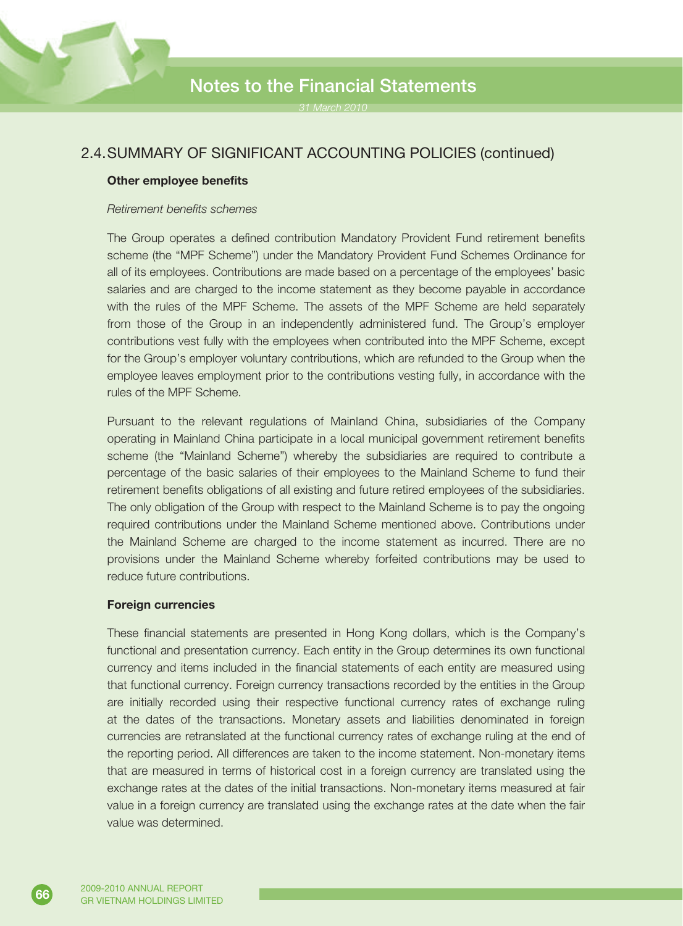

### 2.4. SUMMARY OF SIGNIFICANT ACCOUNTING POLICIES (continued)

#### **Other employee benefits**

#### Retirement benefits schemes

The Group operates a defined contribution Mandatory Provident Fund retirement benefits scheme (the "MPF Scheme") under the Mandatory Provident Fund Schemes Ordinance for all of its employees. Contributions are made based on a percentage of the employees' basic salaries and are charged to the income statement as they become payable in accordance with the rules of the MPF Scheme. The assets of the MPF Scheme are held separately from those of the Group in an independently administered fund. The Group's employer contributions vest fully with the employees when contributed into the MPF Scheme, except for the Group's employer voluntary contributions, which are refunded to the Group when the employee leaves employment prior to the contributions vesting fully, in accordance with the rules of the MPF Scheme.

Pursuant to the relevant regulations of Mainland China, subsidiaries of the Company operating in Mainland China participate in a local municipal government retirement benefits scheme (the "Mainland Scheme") whereby the subsidiaries are required to contribute a percentage of the basic salaries of their employees to the Mainland Scheme to fund their retirement benefits obligations of all existing and future retired employees of the subsidiaries. The only obligation of the Group with respect to the Mainland Scheme is to pay the ongoing required contributions under the Mainland Scheme mentioned above. Contributions under the Mainland Scheme are charged to the income statement as incurred. There are no provisions under the Mainland Scheme whereby forfeited contributions may be used to reduce future contributions.

#### **Foreign currencies**

These financial statements are presented in Hong Kong dollars, which is the Company's functional and presentation currency. Each entity in the Group determines its own functional currency and items included in the financial statements of each entity are measured using that functional currency. Foreign currency transactions recorded by the entities in the Group are initially recorded using their respective functional currency rates of exchange ruling at the dates of the transactions. Monetary assets and liabilities denominated in foreign currencies are retranslated at the functional currency rates of exchange ruling at the end of the reporting period. All differences are taken to the income statement. Non-monetary items that are measured in terms of historical cost in a foreign currency are translated using the exchange rates at the dates of the initial transactions. Non-monetary items measured at fair value in a foreign currency are translated using the exchange rates at the date when the fair value was determined.

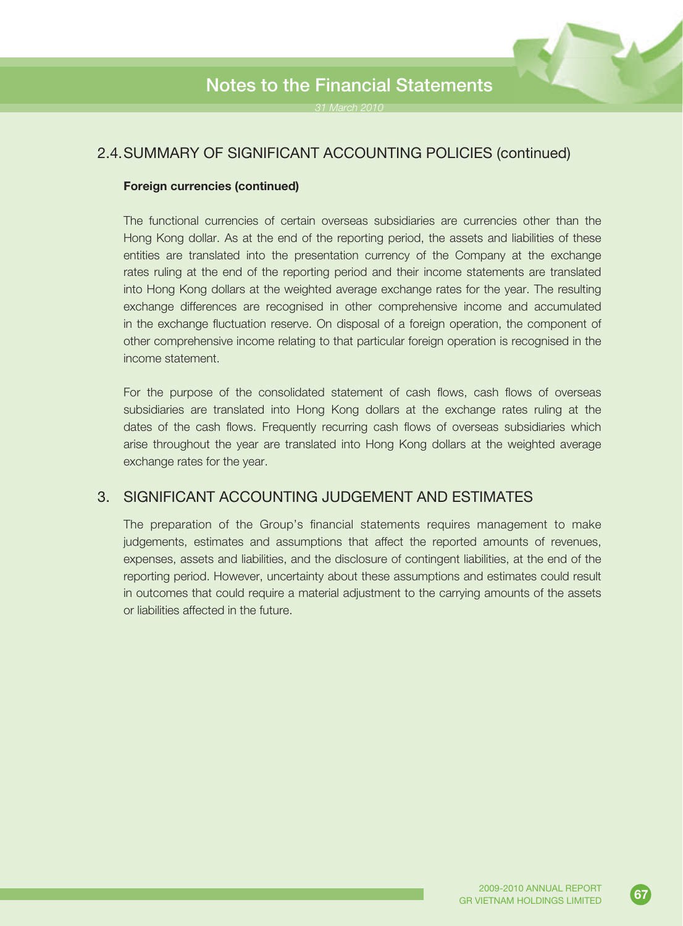

31 March 2010

### 2.4. SUMMARY OF SIGNIFICANT ACCOUNTING POLICIES (continued)

#### **Foreign currencies (continued)**

The functional currencies of certain overseas subsidiaries are currencies other than the Hong Kong dollar. As at the end of the reporting period, the assets and liabilities of these entities are translated into the presentation currency of the Company at the exchange rates ruling at the end of the reporting period and their income statements are translated into Hong Kong dollars at the weighted average exchange rates for the year. The resulting exchange differences are recognised in other comprehensive income and accumulated in the exchange fluctuation reserve. On disposal of a foreign operation, the component of other comprehensive income relating to that particular foreign operation is recognised in the income statement.

For the purpose of the consolidated statement of cash flows, cash flows of overseas subsidiaries are translated into Hong Kong dollars at the exchange rates ruling at the dates of the cash flows. Frequently recurring cash flows of overseas subsidiaries which arise throughout the year are translated into Hong Kong dollars at the weighted average exchange rates for the year.

### 3. SIGNIFICANT ACCOUNTING JUDGEMENT AND ESTIMATES

The preparation of the Group's financial statements requires management to make judgements, estimates and assumptions that affect the reported amounts of revenues, expenses, assets and liabilities, and the disclosure of contingent liabilities, at the end of the reporting period. However, uncertainty about these assumptions and estimates could result in outcomes that could require a material adjustment to the carrying amounts of the assets or liabilities affected in the future.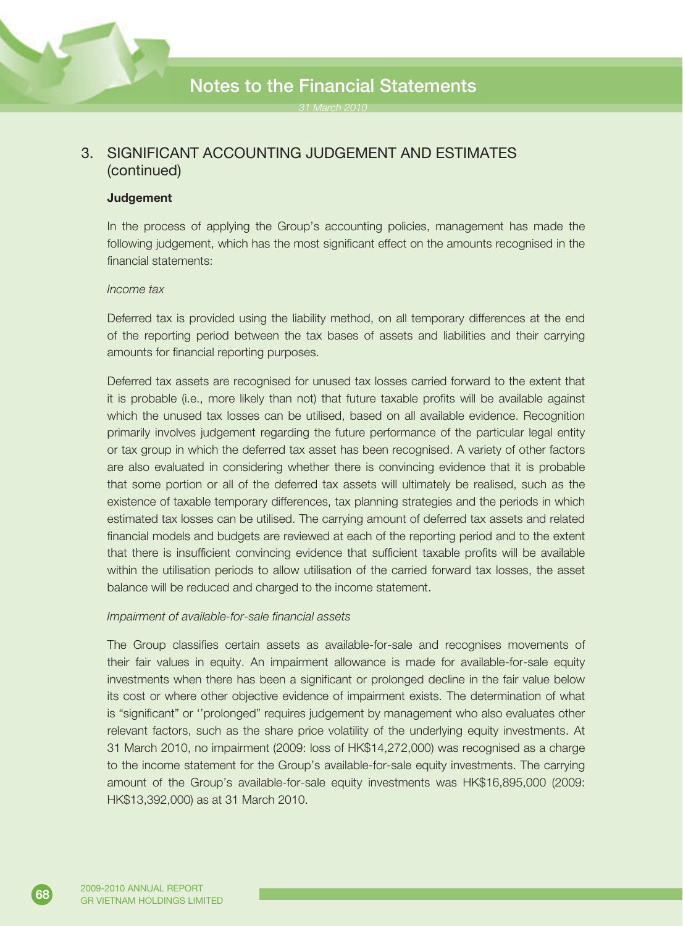

### 3. SIGNIFICANT ACCOUNTING JUDGEMENT AND ESTIMATES (continued)

#### **Judgement**

In the process of applying the Group's accounting policies, management has made the following judgement, which has the most significant effect on the amounts recognised in the financial statements:

#### Income tax

Deferred tax is provided using the liability method, on all temporary differences at the end of the reporting period between the tax bases of assets and liabilities and their carrying amounts for financial reporting purposes.

Deferred tax assets are recognised for unused tax losses carried forward to the extent that it is probable (i.e., more likely than not) that future taxable profits will be available against which the unused tax losses can be utilised, based on all available evidence. Recognition primarily involves judgement regarding the future performance of the particular legal entity or tax group in which the deferred tax asset has been recognised. A variety of other factors are also evaluated in considering whether there is convincing evidence that it is probable that some portion or all of the deferred tax assets will ultimately be realised, such as the existence of taxable temporary differences, tax planning strategies and the periods in which estimated tax losses can be utilised. The carrying amount of deferred tax assets and related financial models and budgets are reviewed at each of the reporting period and to the extent that there is insufficient convincing evidence that sufficient taxable profits will be available within the utilisation periods to allow utilisation of the carried forward tax losses, the asset balance will be reduced and charged to the income statement.

#### Impairment of available-for-sale financial assets

The Group classifies certain assets as available-for-sale and recognises movements of their fair values in equity. An impairment allowance is made for available-for-sale equity investments when there has been a significant or prolonged decline in the fair value below its cost or where other objective evidence of impairment exists. The determination of what is "significant" or ''prolonged" requires judgement by management who also evaluates other relevant factors, such as the share price volatility of the underlying equity investments. At 31 March 2010, no impairment (2009: loss of HK\$14,272,000) was recognised as a charge to the income statement for the Group's available-for-sale equity investments. The carrying amount of the Group's available-for-sale equity investments was HK\$16,895,000 (2009: HK\$13,392,000) as at 31 March 2010.

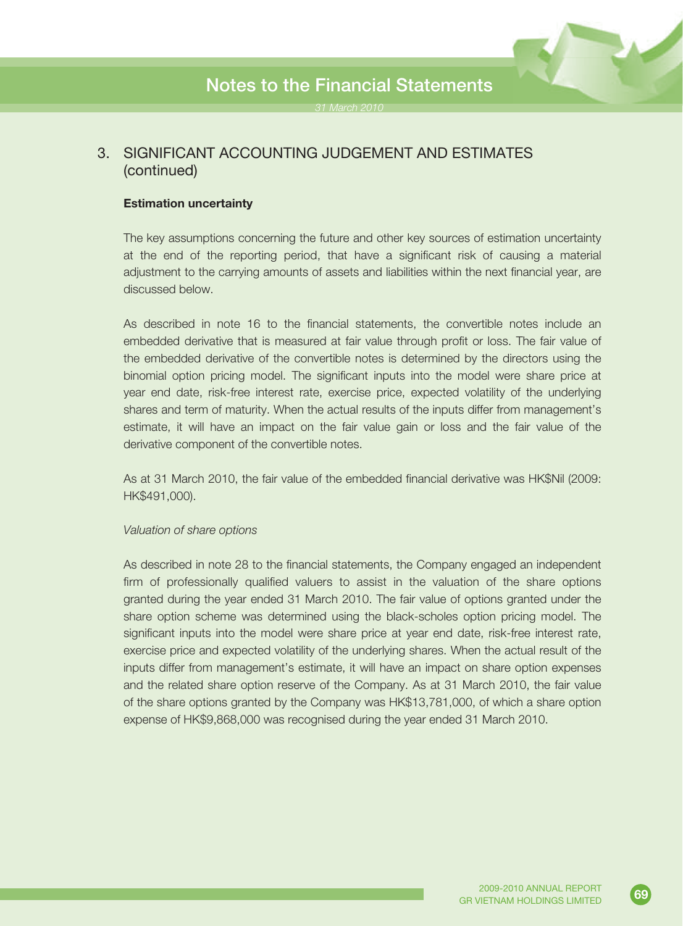

### 3. SIGNIFICANT ACCOUNTING JUDGEMENT AND ESTIMATES (continued)

#### **Estimation uncertainty**

The key assumptions concerning the future and other key sources of estimation uncertainty at the end of the reporting period, that have a significant risk of causing a material adjustment to the carrying amounts of assets and liabilities within the next financial year, are discussed below.

As described in note 16 to the financial statements, the convertible notes include an embedded derivative that is measured at fair value through profit or loss. The fair value of the embedded derivative of the convertible notes is determined by the directors using the binomial option pricing model. The significant inputs into the model were share price at year end date, risk-free interest rate, exercise price, expected volatility of the underlying shares and term of maturity. When the actual results of the inputs differ from management's estimate, it will have an impact on the fair value gain or loss and the fair value of the derivative component of the convertible notes.

As at 31 March 2010, the fair value of the embedded financial derivative was HK\$Nil (2009: HK\$491,000).

#### Valuation of share options

As described in note 28 to the financial statements, the Company engaged an independent firm of professionally qualified valuers to assist in the valuation of the share options granted during the year ended 31 March 2010. The fair value of options granted under the share option scheme was determined using the black-scholes option pricing model. The significant inputs into the model were share price at year end date, risk-free interest rate, exercise price and expected volatility of the underlying shares. When the actual result of the inputs differ from management's estimate, it will have an impact on share option expenses and the related share option reserve of the Company. As at 31 March 2010, the fair value of the share options granted by the Company was HK\$13,781,000, of which a share option expense of HK\$9,868,000 was recognised during the year ended 31 March 2010.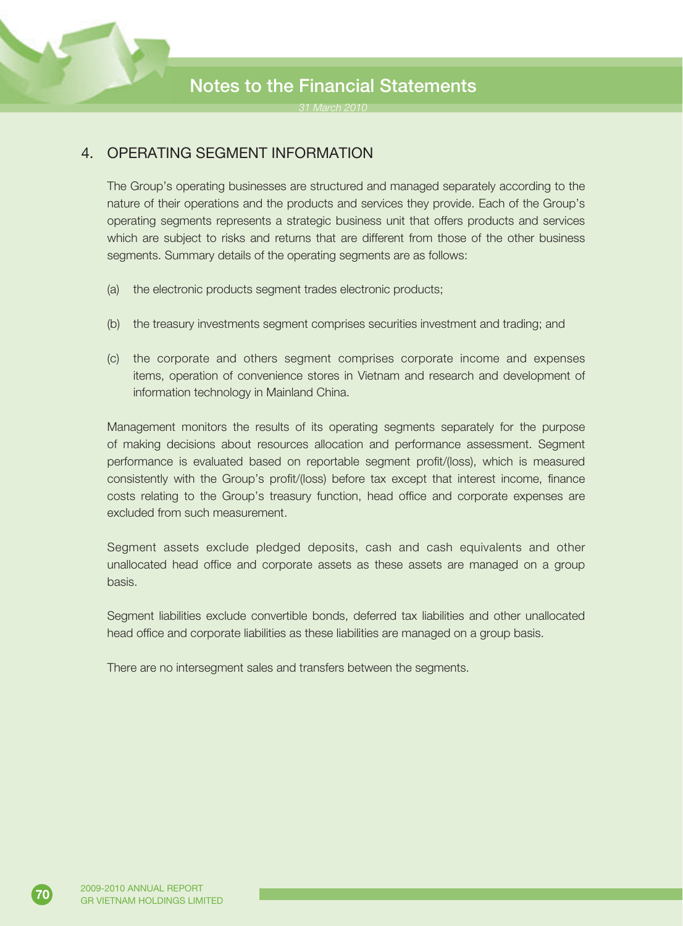

31 March 2010

## 4. OPERATING SEGMENT INFORMATION

The Group's operating businesses are structured and managed separately according to the nature of their operations and the products and services they provide. Each of the Group's operating segments represents a strategic business unit that offers products and services which are subject to risks and returns that are different from those of the other business segments. Summary details of the operating segments are as follows:

- (a) the electronic products segment trades electronic products;
- (b) the treasury investments segment comprises securities investment and trading; and
- (c) the corporate and others segment comprises corporate income and expenses items, operation of convenience stores in Vietnam and research and development of information technology in Mainland China.

Management monitors the results of its operating segments separately for the purpose of making decisions about resources allocation and performance assessment. Segment performance is evaluated based on reportable segment profit/(loss), which is measured consistently with the Group's profit/(loss) before tax except that interest income, finance costs relating to the Group's treasury function, head office and corporate expenses are excluded from such measurement.

Segment assets exclude pledged deposits, cash and cash equivalents and other unallocated head office and corporate assets as these assets are managed on a group basis.

Segment liabilities exclude convertible bonds, deferred tax liabilities and other unallocated head office and corporate liabilities as these liabilities are managed on a group basis.

There are no intersegment sales and transfers between the segments.

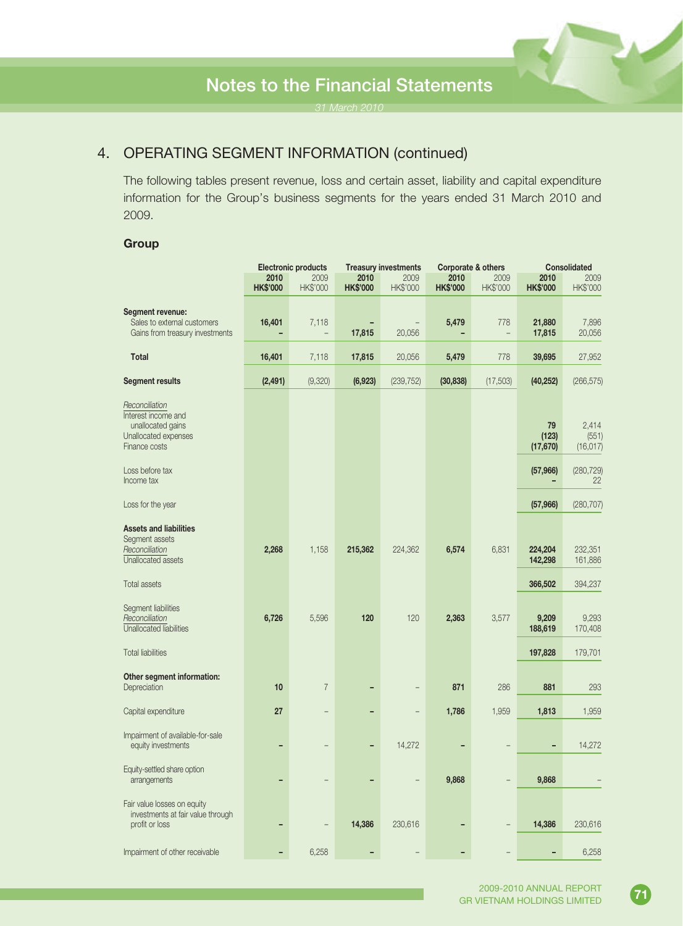

## 4. OPERATING SEGMENT INFORMATION (continued)

The following tables present revenue, loss and certain asset, liability and capital expenditure information for the Group's business segments for the years ended 31 March 2010 and 2009.

#### **Group**

|                                                                                                     | <b>Electronic products</b> |                          |                 | <b>Treasury investments</b> | Corporate & others |                 | <b>Consolidated</b>     |                             |  |
|-----------------------------------------------------------------------------------------------------|----------------------------|--------------------------|-----------------|-----------------------------|--------------------|-----------------|-------------------------|-----------------------------|--|
|                                                                                                     | 2010                       | 2009                     | 2010            | 2009<br>HK\$'000            | 2010               | 2009            | 2010<br><b>HK\$'000</b> | 2009                        |  |
|                                                                                                     | <b>HK\$'000</b>            | HK\$'000                 | <b>HK\$'000</b> |                             | <b>HK\$'000</b>    | <b>HK\$'000</b> |                         | <b>HK\$'000</b>             |  |
| Segment revenue:<br>Sales to external customers<br>Gains from treasury investments                  | 16,401                     | 7,118                    | 17,815          | 20,056                      | 5,479              | 778             | 21,880<br>17,815        | 7,896<br>20,056             |  |
| <b>Total</b>                                                                                        | 16,401                     | 7,118                    | 17,815          | 20,056                      | 5,479              | 778             | 39,695                  | 27,952                      |  |
| <b>Segment results</b>                                                                              | (2, 491)                   | (9,320)                  | (6, 923)        | (239, 752)                  | (30, 838)          | (17, 503)       | (40, 252)               | (266, 575)                  |  |
| Reconciliation<br>Interest income and<br>unallocated gains<br>Unallocated expenses<br>Finance costs |                            |                          |                 |                             |                    |                 | 79<br>(123)<br>(17,670) | 2,414<br>(551)<br>(16, 017) |  |
| Loss before tax<br>Income tax                                                                       |                            |                          |                 |                             |                    |                 | (57, 966)               | (280, 729)<br>22            |  |
| Loss for the year                                                                                   |                            |                          |                 |                             |                    |                 | (57, 966)               | (280, 707)                  |  |
| <b>Assets and liabilities</b><br>Segment assets<br>Reconciliation<br>Unallocated assets             | 2,268                      | 1,158                    | 215,362         | 224,362                     | 6,574              | 6,831           | 224,204<br>142,298      | 232,351<br>161,886          |  |
| <b>Total assets</b>                                                                                 |                            |                          |                 |                             |                    |                 | 366,502                 | 394,237                     |  |
| Segment liabilities<br>Reconciliation<br><b>Unallocated liabilities</b>                             | 6,726                      | 5,596                    | 120             | 120                         | 2,363              | 3,577           | 9,209<br>188,619        | 9,293<br>170,408            |  |
| <b>Total liabilities</b>                                                                            |                            |                          |                 |                             |                    |                 | 197,828                 | 179,701                     |  |
| Other segment information:<br>Depreciation                                                          | 10                         | $\overline{7}$           |                 |                             | 871                | 286             | 881                     | 293                         |  |
| Capital expenditure                                                                                 | 27                         | $\overline{\phantom{0}}$ |                 | $\overline{a}$              | 1,786              | 1,959           | 1,813                   | 1,959                       |  |
| Impairment of available-for-sale<br>equity investments                                              |                            |                          |                 | 14,272                      |                    |                 |                         | 14,272                      |  |
| Equity-settled share option<br>arrangements                                                         |                            |                          |                 |                             | 9,868              |                 | 9,868                   |                             |  |
| Fair value losses on equity<br>investments at fair value through<br>profit or loss                  |                            |                          | 14,386          | 230,616                     |                    |                 | 14,386                  | 230,616                     |  |
| Impairment of other receivable                                                                      |                            | 6,258                    |                 |                             |                    |                 |                         | 6,258                       |  |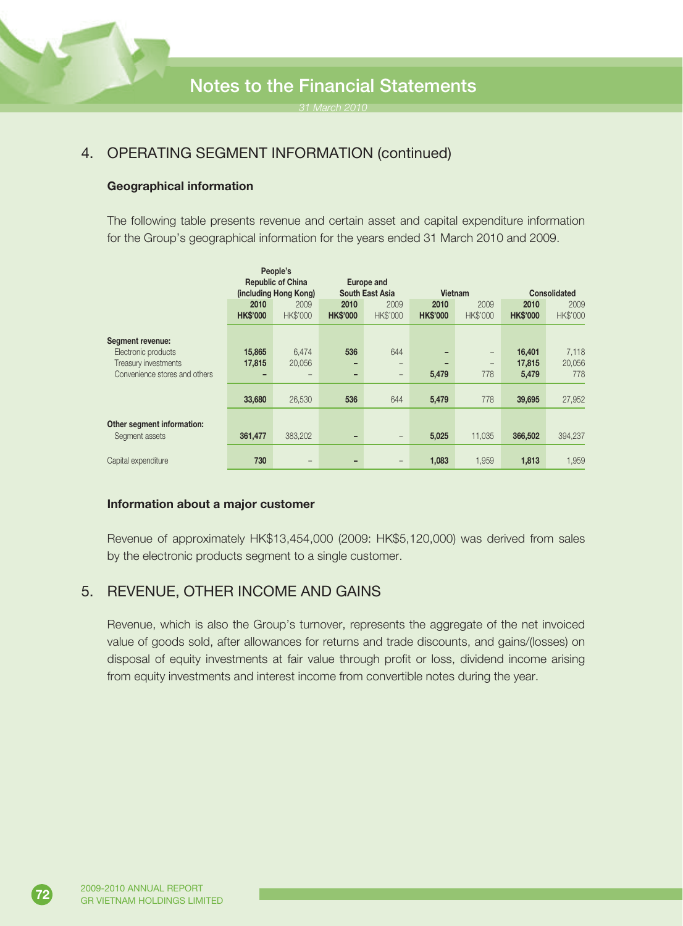

# 4. OPERATING SEGMENT INFORMATION (continued)

#### **Geographical information**

The following table presents revenue and certain asset and capital expenditure information for the Group's geographical information for the years ended 31 March 2010 and 2009.

|                               |                 | People's                 |                        |                   |                 |                   |                     |                 |
|-------------------------------|-----------------|--------------------------|------------------------|-------------------|-----------------|-------------------|---------------------|-----------------|
|                               |                 | <b>Republic of China</b> |                        | <b>Europe and</b> |                 |                   |                     |                 |
|                               |                 | (including Hong Kong)    | <b>South East Asia</b> |                   | Vietnam         |                   | <b>Consolidated</b> |                 |
|                               | 2010            | 2009                     | 2010                   | 2009              | 2010            | 2009              | 2010                | 2009            |
|                               | <b>HK\$'000</b> | <b>HK\$'000</b>          | <b>HK\$'000</b>        | <b>HK\$'000</b>   | <b>HK\$'000</b> | <b>HK\$'000</b>   | <b>HK\$'000</b>     | <b>HK\$'000</b> |
| Segment revenue:              |                 |                          |                        |                   |                 |                   |                     |                 |
| Electronic products           | 15,865          | 6.474                    | 536                    | 644               |                 | -                 | 16,401              | 7,118           |
| <b>Treasury investments</b>   | 17,815          | 20,056                   |                        | -                 |                 | $\qquad \qquad -$ | 17,815              | 20,056          |
| Convenience stores and others |                 |                          |                        | $\qquad \qquad -$ | 5,479           | 778               | 5,479               | 778             |
|                               | 33,680          | 26,530                   | 536                    | 644               | 5,479           | 778               | 39,695              | 27,952          |
|                               |                 |                          |                        |                   |                 |                   |                     |                 |
| Other segment information:    |                 |                          |                        |                   |                 |                   |                     |                 |
| Segment assets                | 361,477         | 383,202                  |                        | $\qquad \qquad -$ | 5,025           | 11,035            | 366,502             | 394,237         |
| Capital expenditure           | 730             |                          |                        |                   | 1,083           | 1,959             | 1,813               | 1,959           |

#### **Information about a major customer**

Revenue of approximately HK\$13,454,000 (2009: HK\$5,120,000) was derived from sales by the electronic products segment to a single customer.

### 5. REVENUE, OTHER INCOME AND GAINS

Revenue, which is also the Group's turnover, represents the aggregate of the net invoiced value of goods sold, after allowances for returns and trade discounts, and gains/(losses) on disposal of equity investments at fair value through profit or loss, dividend income arising from equity investments and interest income from convertible notes during the year.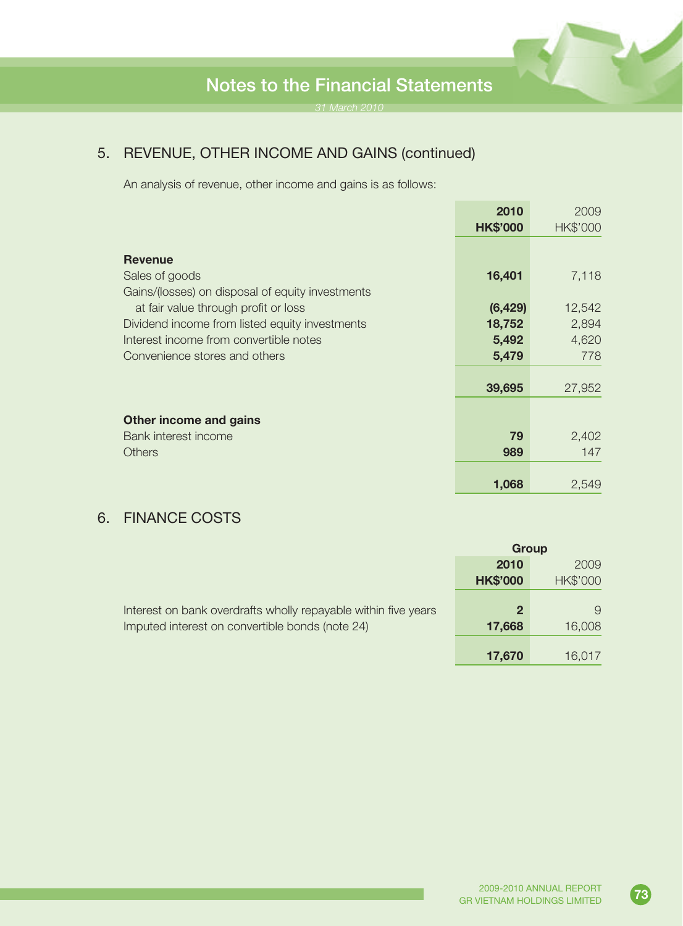

# 5. REVENUE, OTHER INCOME AND GAINS (continued)

An analysis of revenue, other income and gains is as follows:

|                                                  | 2010            | 2009            |
|--------------------------------------------------|-----------------|-----------------|
|                                                  | <b>HK\$'000</b> | <b>HK\$'000</b> |
|                                                  |                 |                 |
| <b>Revenue</b>                                   |                 |                 |
| Sales of goods                                   | 16,401          | 7,118           |
| Gains/(losses) on disposal of equity investments |                 |                 |
| at fair value through profit or loss             | (6, 429)        | 12,542          |
| Dividend income from listed equity investments   | 18,752          | 2,894           |
| Interest income from convertible notes           | 5,492           | 4,620           |
| Convenience stores and others                    | 5,479           | 778             |
|                                                  |                 |                 |
|                                                  | 39,695          | 27,952          |
|                                                  |                 |                 |
| Other income and gains                           |                 |                 |
| Bank interest income                             | 79              | 2,402           |
| <b>Others</b>                                    | 989             | 147             |
|                                                  |                 |                 |
|                                                  | 1,068           | 2,549           |

# 6. FINANCE COSTS

|                                                                                                                   |                 | Group           |  |  |
|-------------------------------------------------------------------------------------------------------------------|-----------------|-----------------|--|--|
|                                                                                                                   | 2010            | 2009            |  |  |
|                                                                                                                   | <b>HK\$'000</b> | <b>HK\$'000</b> |  |  |
| Interest on bank overdrafts wholly repayable within five years<br>Imputed interest on convertible bonds (note 24) | 17,668          | 16,008          |  |  |
|                                                                                                                   | 17,670          | 16.017          |  |  |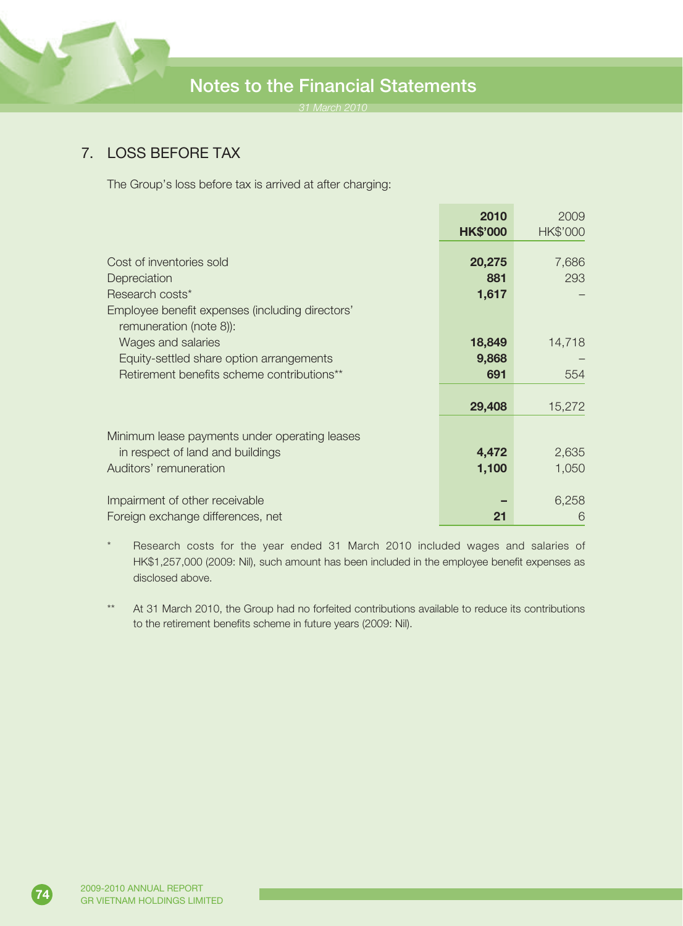

# 7. LOSS BEFORE TAX

The Group's loss before tax is arrived at after charging:

|                                                 | 2010            | 2009            |
|-------------------------------------------------|-----------------|-----------------|
|                                                 | <b>HK\$'000</b> | <b>HK\$'000</b> |
|                                                 |                 |                 |
| Cost of inventories sold                        | 20,275          | 7,686           |
| Depreciation                                    | 881             | 293             |
| Research costs*                                 | 1,617           |                 |
| Employee benefit expenses (including directors' |                 |                 |
| remuneration (note 8)):                         |                 |                 |
| Wages and salaries                              | 18,849          | 14,718          |
| Equity-settled share option arrangements        | 9,868           |                 |
| Retirement benefits scheme contributions**      | 691             | 554             |
|                                                 |                 |                 |
|                                                 | 29,408          | 15,272          |
|                                                 |                 |                 |
| Minimum lease payments under operating leases   |                 |                 |
| in respect of land and buildings                | 4,472           | 2,635           |
| Auditors' remuneration                          | 1,100           | 1,050           |
|                                                 |                 |                 |
| Impairment of other receivable                  |                 | 6,258           |
| Foreign exchange differences, net               | 21              | 6               |

Research costs for the year ended 31 March 2010 included wages and salaries of HK\$1,257,000 (2009: Nil), such amount has been included in the employee benefit expenses as disclosed above.

At 31 March 2010, the Group had no forfeited contributions available to reduce its contributions to the retirement benefits scheme in future years (2009: Nil).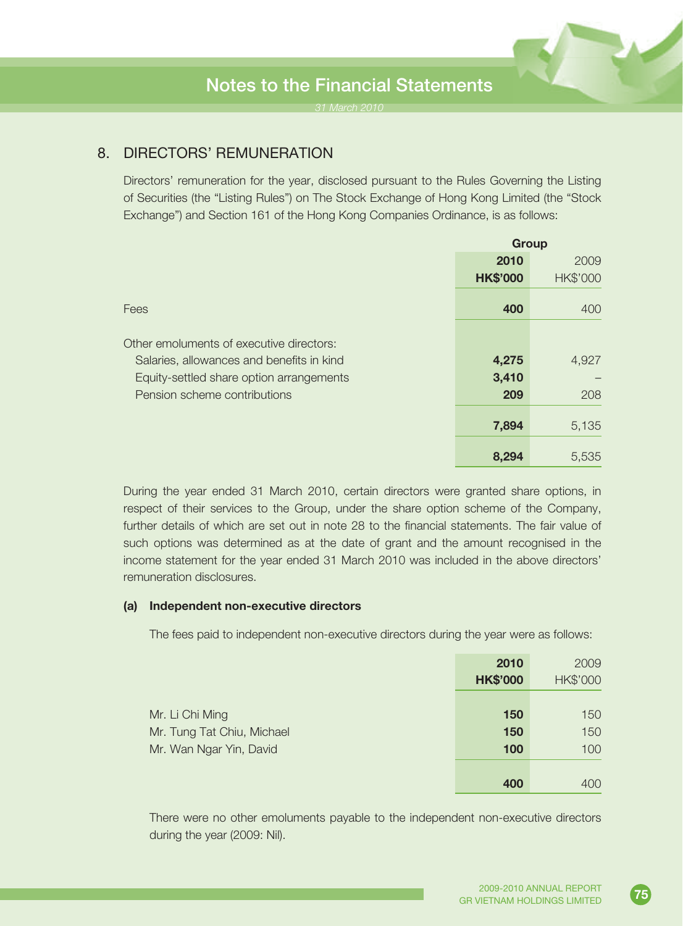

### 8. DIRECTORS' REMUNERATION

Directors' remuneration for the year, disclosed pursuant to the Rules Governing the Listing of Securities (the "Listing Rules") on The Stock Exchange of Hong Kong Limited (the "Stock Exchange") and Section 161 of the Hong Kong Companies Ordinance, is as follows:

|                                           | Group           |                 |  |
|-------------------------------------------|-----------------|-----------------|--|
|                                           | 2009<br>2010    |                 |  |
|                                           | <b>HK\$'000</b> | <b>HK\$'000</b> |  |
| Fees                                      | 400             | 400             |  |
| Other emoluments of executive directors:  |                 |                 |  |
| Salaries, allowances and benefits in kind | 4,275           | 4,927           |  |
| Equity-settled share option arrangements  | 3,410           |                 |  |
| Pension scheme contributions              | 209             | 208             |  |
|                                           | 7,894           | 5,135           |  |
|                                           | 8,294           | 5,535           |  |

During the year ended 31 March 2010, certain directors were granted share options, in respect of their services to the Group, under the share option scheme of the Company, further details of which are set out in note 28 to the financial statements. The fair value of such options was determined as at the date of grant and the amount recognised in the income statement for the year ended 31 March 2010 was included in the above directors' remuneration disclosures.

#### **(a) Independent non-executive directors**

The fees paid to independent non-executive directors during the year were as follows:

|                            | 2010            | 2009            |
|----------------------------|-----------------|-----------------|
|                            | <b>HK\$'000</b> | <b>HK\$'000</b> |
|                            |                 |                 |
| Mr. Li Chi Ming            | 150             | 150             |
| Mr. Tung Tat Chiu, Michael | 150             | 150             |
| Mr. Wan Ngar Yin, David    | 100             | 100             |
|                            |                 |                 |
|                            | 400             | 400             |

There were no other emoluments payable to the independent non-executive directors during the year (2009: Nil).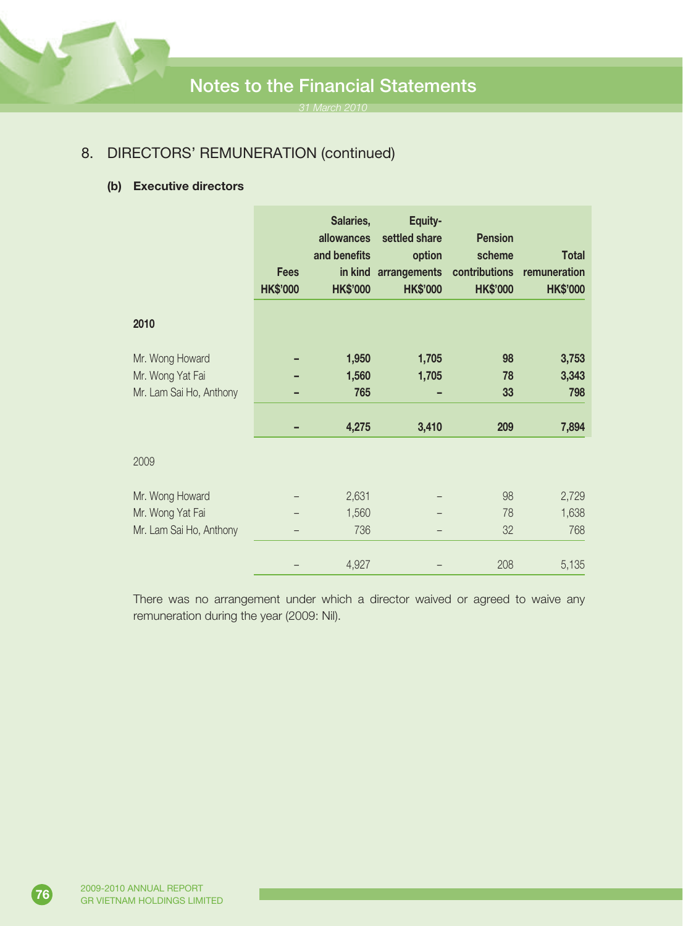

# 8. DIRECTORS' REMUNERATION (continued)

#### **(b) Executive directors**

|                         | <b>Fees</b><br><b>HK\$'000</b> | Salaries,<br>allowances<br>and benefits<br><b>HK\$'000</b> | Equity-<br>settled share<br>option<br>in kind arrangements contributions<br><b>HK\$'000</b> | <b>Pension</b><br>scheme<br><b>HK\$'000</b> | <b>Total</b><br>remuneration<br><b>HK\$'000</b> |
|-------------------------|--------------------------------|------------------------------------------------------------|---------------------------------------------------------------------------------------------|---------------------------------------------|-------------------------------------------------|
| 2010                    |                                |                                                            |                                                                                             |                                             |                                                 |
| Mr. Wong Howard         |                                | 1,950                                                      | 1,705                                                                                       | 98                                          | 3,753                                           |
| Mr. Wong Yat Fai        |                                | 1,560                                                      | 1,705                                                                                       | 78                                          | 3,343                                           |
| Mr. Lam Sai Ho, Anthony |                                | 765                                                        |                                                                                             | 33                                          | 798                                             |
|                         |                                | 4,275                                                      | 3,410                                                                                       | 209                                         | 7,894                                           |
| 2009                    |                                |                                                            |                                                                                             |                                             |                                                 |
| Mr. Wong Howard         |                                | 2,631                                                      |                                                                                             | 98                                          | 2,729                                           |
| Mr. Wong Yat Fai        |                                | 1,560                                                      |                                                                                             | 78                                          | 1,638                                           |
| Mr. Lam Sai Ho, Anthony |                                | 736                                                        |                                                                                             | 32                                          | 768                                             |
|                         |                                | 4,927                                                      |                                                                                             | 208                                         | 5,135                                           |

There was no arrangement under which a director waived or agreed to waive any remuneration during the year (2009: Nil).

**76** 2009-2010 ANNUAL REPORT GR VIETNAM HOLDINGS LIMITED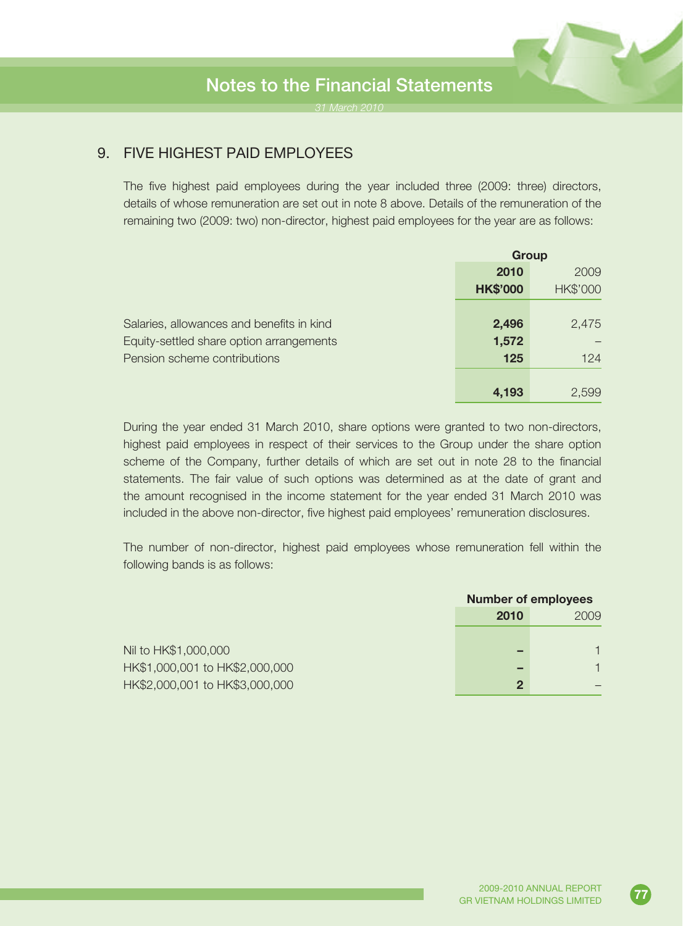

### 9. FIVE HIGHEST PAID EMPLOYEES

The five highest paid employees during the year included three (2009: three) directors, details of whose remuneration are set out in note 8 above. Details of the remuneration of the remaining two (2009: two) non-director, highest paid employees for the year are as follows:

|                                           | Group           |                 |  |
|-------------------------------------------|-----------------|-----------------|--|
|                                           | 2010            | 2009            |  |
|                                           | <b>HK\$'000</b> | <b>HK\$'000</b> |  |
|                                           |                 |                 |  |
| Salaries, allowances and benefits in kind | 2,496           | 2,475           |  |
| Equity-settled share option arrangements  | 1,572           |                 |  |
| Pension scheme contributions              | 125             | 124             |  |
|                                           |                 |                 |  |
|                                           | 4,193           | 2,599           |  |

During the year ended 31 March 2010, share options were granted to two non-directors, highest paid employees in respect of their services to the Group under the share option scheme of the Company, further details of which are set out in note 28 to the financial statements. The fair value of such options was determined as at the date of grant and the amount recognised in the income statement for the year ended 31 March 2010 was included in the above non-director, five highest paid employees' remuneration disclosures.

The number of non-director, highest paid employees whose remuneration fell within the following bands is as follows:

|                                | <b>Number of employees</b> |  |  |
|--------------------------------|----------------------------|--|--|
|                                | 2009<br>2010               |  |  |
|                                |                            |  |  |
| Nil to HK\$1,000,000           |                            |  |  |
| HK\$1,000,001 to HK\$2,000,000 |                            |  |  |
| HK\$2,000,001 to HK\$3,000,000 | $\mathbf 2$                |  |  |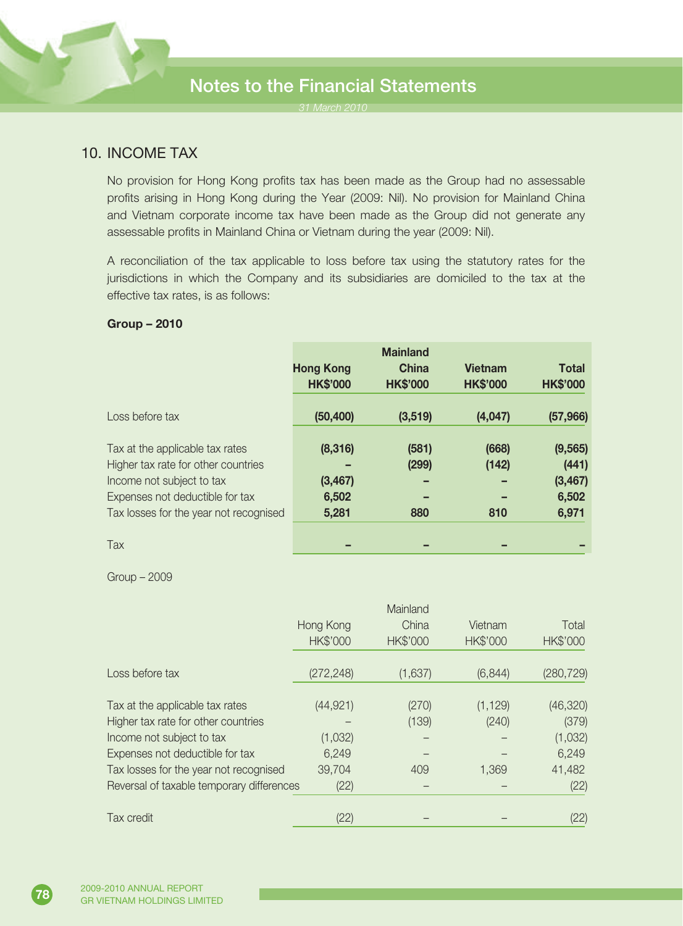

### 10. INCOME TAX

No provision for Hong Kong profits tax has been made as the Group had no assessable profits arising in Hong Kong during the Year (2009: Nil). No provision for Mainland China and Vietnam corporate income tax have been made as the Group did not generate any assessable profits in Mainland China or Vietnam during the year (2009: Nil).

A reconciliation of the tax applicable to loss before tax using the statutory rates for the jurisdictions in which the Company and its subsidiaries are domiciled to the tax at the effective tax rates, is as follows:

#### **Group – 2010**

|                                                                        | <b>Hong Kong</b><br><b>HK\$'000</b> | <b>Mainland</b><br><b>China</b><br><b>HK\$'000</b> | <b>Vietnam</b><br><b>HK\$'000</b> | <b>Total</b><br><b>HK\$'000</b> |
|------------------------------------------------------------------------|-------------------------------------|----------------------------------------------------|-----------------------------------|---------------------------------|
| Loss before tax                                                        | (50, 400)                           | (3,519)                                            | (4,047)                           | (57, 966)                       |
| Tax at the applicable tax rates<br>Higher tax rate for other countries | (8, 316)                            | (581)<br>(299)                                     | (668)<br>(142)                    | (9, 565)<br>(441)               |
| Income not subject to tax<br>Expenses not deductible for tax           | (3, 467)<br>6,502                   |                                                    |                                   | (3, 467)<br>6,502               |
| Tax losses for the year not recognised                                 | 5,281                               | 880                                                | 810                               | 6,971                           |
| Tax                                                                    |                                     |                                                    |                                   |                                 |

Group – 2009

|                                           | Hong Kong       | China           | Vietnam         | Total           |
|-------------------------------------------|-----------------|-----------------|-----------------|-----------------|
|                                           | <b>HK\$'000</b> | <b>HK\$'000</b> | <b>HK\$'000</b> | <b>HK\$'000</b> |
|                                           |                 |                 |                 |                 |
| Loss before tax                           | (272, 248)      | (1,637)         | (6, 844)        | (280, 729)      |
| Tax at the applicable tax rates           | (44, 921)       | (270)           | (1, 129)        | (46, 320)       |
| Higher tax rate for other countries       |                 | (139)           | (240)           | (379)           |
| Income not subject to tax                 | (1,032)         |                 |                 | (1,032)         |
| Expenses not deductible for tax           | 6,249           |                 |                 | 6,249           |
| Tax losses for the year not recognised    | 39,704          | 409             | 1,369           | 41,482          |
| Reversal of taxable temporary differences | (22)            |                 |                 | (22)            |
| Tax credit                                | (22)            |                 |                 | (22)            |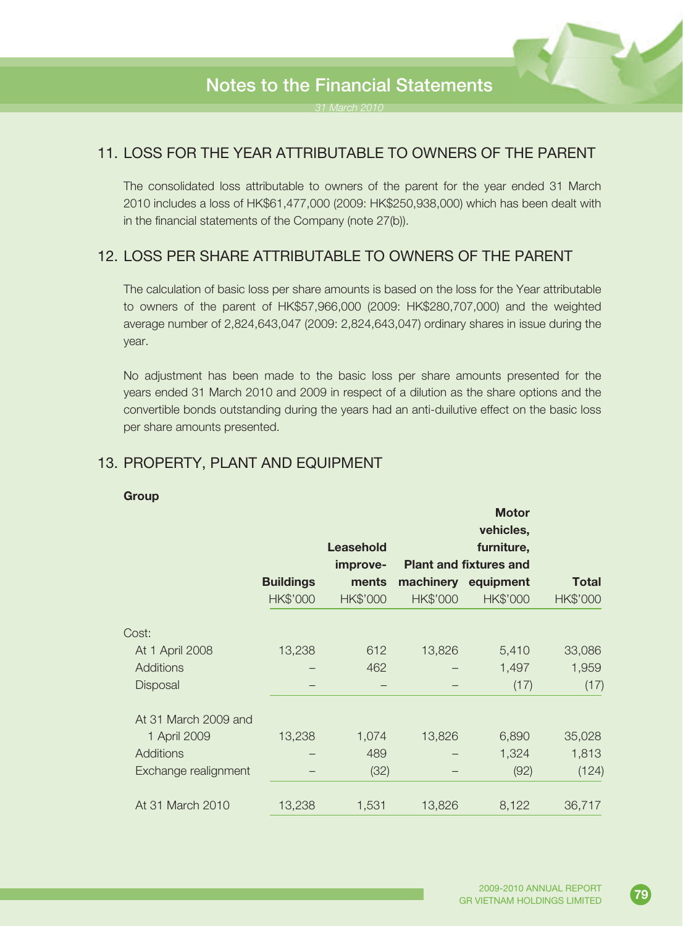## 11. LOSS FOR THE YEAR ATTRIBUTABLE TO OWNERS OF THE PARENT

The consolidated loss attributable to owners of the parent for the year ended 31 March 2010 includes a loss of HK\$61,477,000 (2009: HK\$250,938,000) which has been dealt with in the financial statements of the Company (note 27(b)).

### 12. LOSS PER SHARE ATTRIBUTABLE TO OWNERS OF THE PARENT

The calculation of basic loss per share amounts is based on the loss for the Year attributable to owners of the parent of HK\$57,966,000 (2009: HK\$280,707,000) and the weighted average number of 2,824,643,047 (2009: 2,824,643,047) ordinary shares in issue during the year.

No adjustment has been made to the basic loss per share amounts presented for the years ended 31 March 2010 and 2009 in respect of a dilution as the share options and the convertible bonds outstanding during the years had an anti-duilutive effect on the basic loss per share amounts presented.

# 13. PROPERTY, PLANT AND EQUIPMENT

| ur vu p              | <b>Buildings</b><br><b>HK\$'000</b> | <b>Leasehold</b><br>improve-<br>ments<br><b>HK\$'000</b> | machinery<br><b>HK\$'000</b> | <b>Motor</b><br>vehicles,<br>furniture,<br><b>Plant and fixtures and</b><br>equipment<br>HK\$'000 | <b>Total</b><br><b>HK\$'000</b> |
|----------------------|-------------------------------------|----------------------------------------------------------|------------------------------|---------------------------------------------------------------------------------------------------|---------------------------------|
| Cost:                |                                     |                                                          |                              |                                                                                                   |                                 |
| At 1 April 2008      | 13,238                              | 612                                                      | 13,826                       | 5,410                                                                                             | 33,086                          |
| Additions            |                                     | 462                                                      |                              | 1,497                                                                                             | 1,959                           |
| <b>Disposal</b>      |                                     |                                                          |                              | (17)                                                                                              | (17)                            |
| At 31 March 2009 and |                                     |                                                          |                              |                                                                                                   |                                 |
| 1 April 2009         | 13,238                              | 1,074                                                    | 13,826                       | 6,890                                                                                             | 35,028                          |
| <b>Additions</b>     |                                     | 489                                                      |                              | 1,324                                                                                             | 1,813                           |
| Exchange realignment |                                     | (32)                                                     |                              | (92)                                                                                              | (124)                           |
| At 31 March 2010     | 13,238                              | 1,531                                                    | 13,826                       | 8,122                                                                                             | 36,717                          |

#### **Group**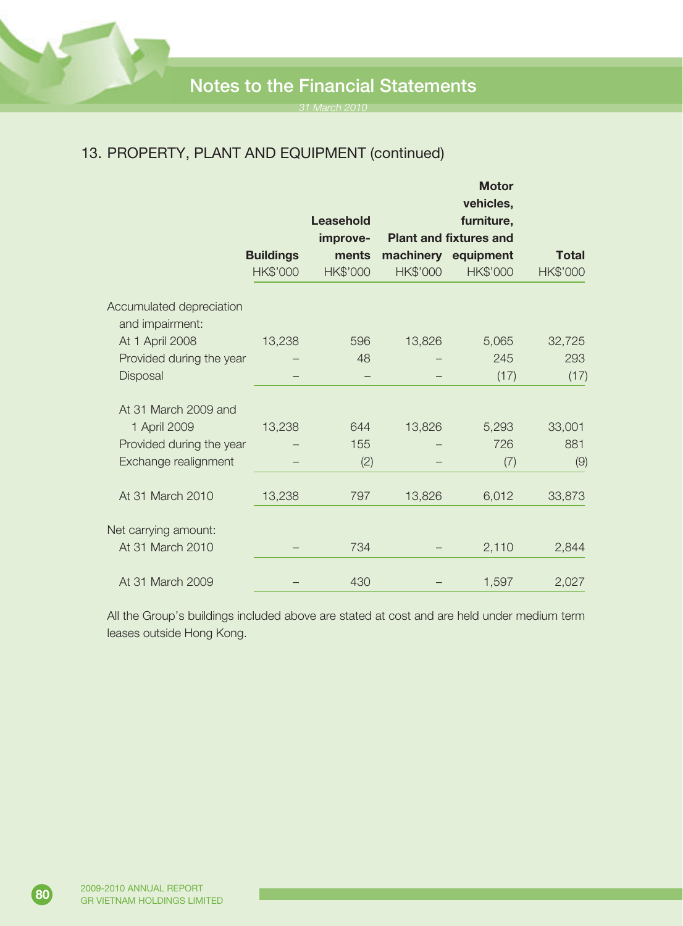

# 13. PROPERTY, PLANT AND EQUIPMENT (continued)

|                                             |                  | <b>Leasehold</b><br>improve- |                 | <b>Motor</b><br>vehicles,<br>furniture,<br><b>Plant and fixtures and</b> |                 |
|---------------------------------------------|------------------|------------------------------|-----------------|--------------------------------------------------------------------------|-----------------|
|                                             | <b>Buildings</b> | ments                        |                 | machinery equipment                                                      | <b>Total</b>    |
|                                             | <b>HK\$'000</b>  | <b>HK\$'000</b>              | <b>HK\$'000</b> | <b>HK\$'000</b>                                                          | <b>HK\$'000</b> |
| Accumulated depreciation<br>and impairment: |                  |                              |                 |                                                                          |                 |
| At 1 April 2008                             | 13,238           | 596                          | 13,826          | 5,065                                                                    | 32,725          |
| Provided during the year                    |                  | 48                           |                 | 245                                                                      | 293             |
| Disposal                                    |                  |                              |                 | (17)                                                                     | (17)            |
| At 31 March 2009 and                        |                  |                              |                 |                                                                          |                 |
| 1 April 2009                                | 13,238           | 644                          | 13,826          | 5,293                                                                    | 33,001          |
| Provided during the year                    |                  | 155                          |                 | 726                                                                      | 881             |
| Exchange realignment                        |                  | (2)                          |                 | (7)                                                                      | (9)             |
| At 31 March 2010                            | 13,238           | 797                          | 13,826          | 6,012                                                                    | 33,873          |
| Net carrying amount:                        |                  |                              |                 |                                                                          |                 |
| At 31 March 2010                            |                  | 734                          |                 | 2,110                                                                    | 2,844           |
| At 31 March 2009                            |                  | 430                          |                 | 1,597                                                                    | 2,027           |

All the Group's buildings included above are stated at cost and are held under medium term leases outside Hong Kong.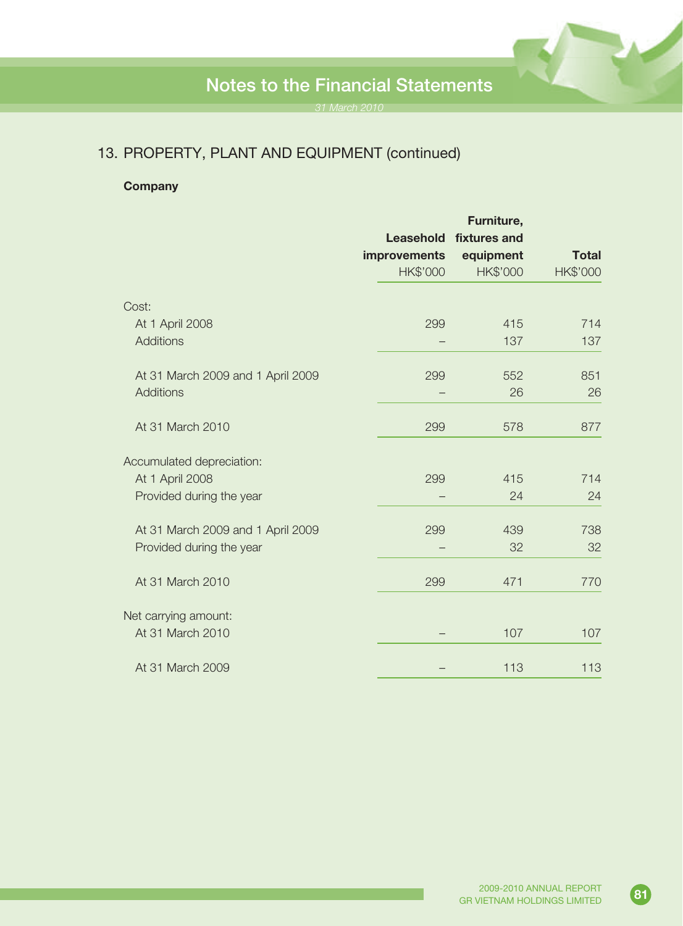

# 13. PROPERTY, PLANT AND EQUIPMENT (continued)

### **Company**

|                                          | Leasehold<br><b>improvements</b><br><b>HK\$'000</b> | Furniture,<br>fixtures and<br>equipment<br><b>HK\$'000</b> | <b>Total</b><br>HK\$'000 |
|------------------------------------------|-----------------------------------------------------|------------------------------------------------------------|--------------------------|
|                                          |                                                     |                                                            |                          |
| Cost:                                    |                                                     |                                                            |                          |
| At 1 April 2008                          | 299                                                 | 415                                                        | 714                      |
| <b>Additions</b>                         |                                                     | 137                                                        | 137                      |
| At 31 March 2009 and 1 April 2009        | 299                                                 | 552                                                        | 851                      |
| Additions                                |                                                     | 26                                                         | 26                       |
|                                          |                                                     |                                                            |                          |
| At 31 March 2010                         | 299                                                 | 578                                                        | 877                      |
| Accumulated depreciation:                |                                                     |                                                            |                          |
| At 1 April 2008                          | 299                                                 | 415                                                        | 714                      |
| Provided during the year                 |                                                     | 24                                                         | 24                       |
|                                          |                                                     |                                                            |                          |
| At 31 March 2009 and 1 April 2009        | 299                                                 | 439                                                        | 738                      |
| Provided during the year                 |                                                     | 32                                                         | 32                       |
| At 31 March 2010                         | 299                                                 | 471                                                        | 770                      |
|                                          |                                                     |                                                            |                          |
| Net carrying amount:<br>At 31 March 2010 |                                                     | 107                                                        | 107                      |
|                                          |                                                     |                                                            |                          |
| At 31 March 2009                         |                                                     | 113                                                        | 113                      |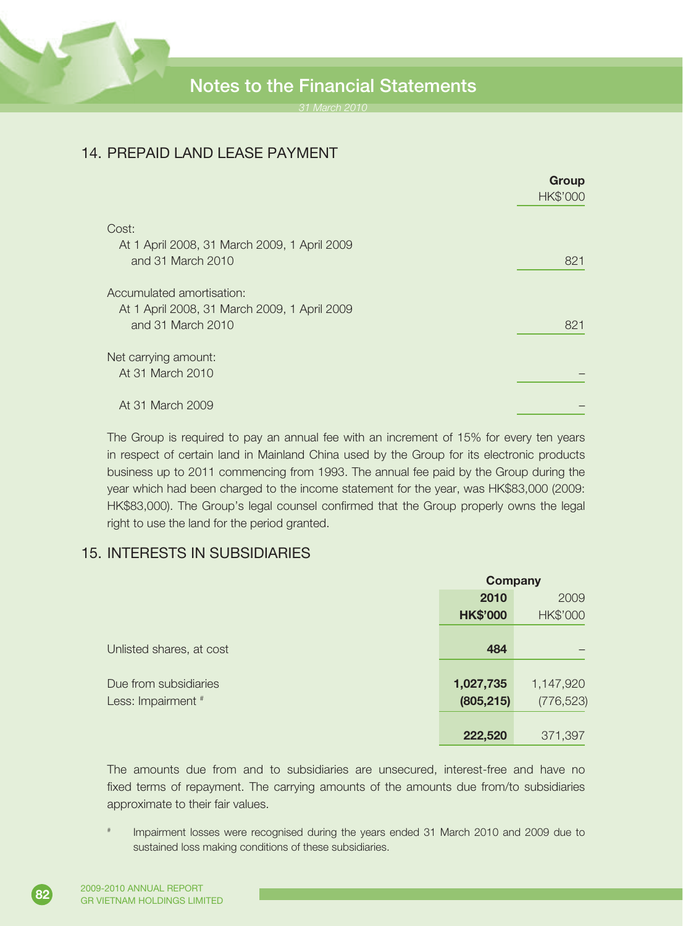

31 March 2010

# 14. PREPAID LAND LEASE PAYMENT

|                                                                   | Group           |
|-------------------------------------------------------------------|-----------------|
|                                                                   | <b>HK\$'000</b> |
| Cost:                                                             |                 |
| At 1 April 2008, 31 March 2009, 1 April 2009<br>and 31 March 2010 | 821             |
| Accumulated amortisation:                                         |                 |
| At 1 April 2008, 31 March 2009, 1 April 2009                      |                 |
| and 31 March 2010                                                 | 821             |
| Net carrying amount:                                              |                 |
| At 31 March 2010                                                  |                 |
| At 31 March 2009                                                  |                 |

The Group is required to pay an annual fee with an increment of 15% for every ten years in respect of certain land in Mainland China used by the Group for its electronic products business up to 2011 commencing from 1993. The annual fee paid by the Group during the year which had been charged to the income statement for the year, was HK\$83,000 (2009: HK\$83,000). The Group's legal counsel confirmed that the Group properly owns the legal right to use the land for the period granted.

## 15. INTERESTS IN SUBSIDIARIES

|                          | <b>Company</b>  |                 |
|--------------------------|-----------------|-----------------|
|                          | 2010            | 2009            |
|                          | <b>HK\$'000</b> | <b>HK\$'000</b> |
| Unlisted shares, at cost | 484             |                 |
|                          |                 |                 |
| Due from subsidiaries    | 1,027,735       | 1,147,920       |
| Less: Impairment #       | (805, 215)      | (776, 523)      |
|                          |                 |                 |
|                          | 222,520         | 371,397         |

The amounts due from and to subsidiaries are unsecured, interest-free and have no fixed terms of repayment. The carrying amounts of the amounts due from/to subsidiaries approximate to their fair values.

# Impairment losses were recognised during the years ended 31 March 2010 and 2009 due to sustained loss making conditions of these subsidiaries.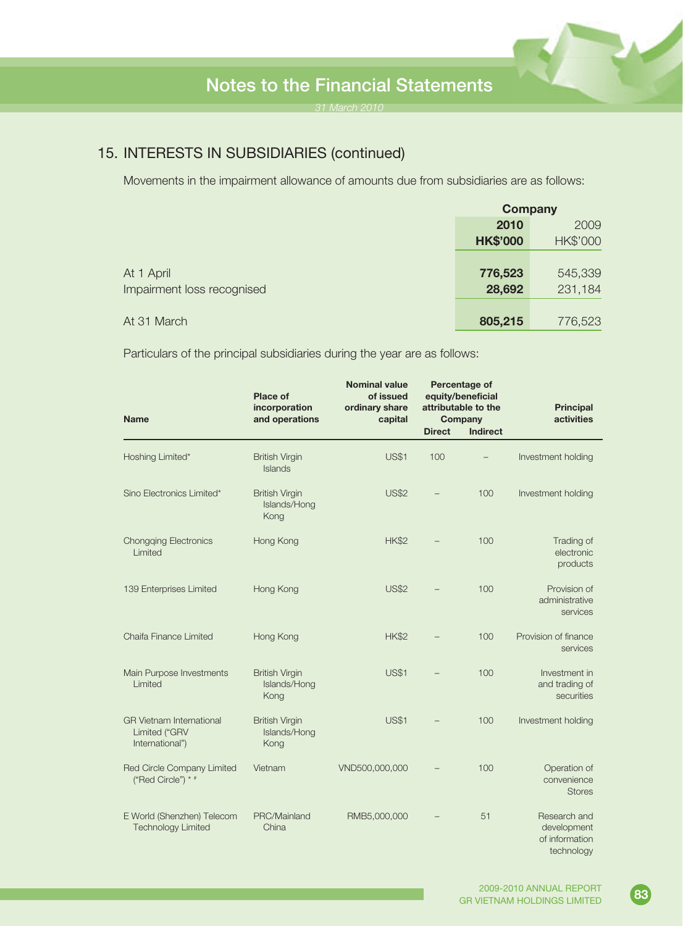

# 15. INTERESTS IN SUBSIDIARIES (continued)

Movements in the impairment allowance of amounts due from subsidiaries are as follows:

|                            | <b>Company</b>  |                 |
|----------------------------|-----------------|-----------------|
|                            | 2010            | 2009            |
|                            | <b>HK\$'000</b> | <b>HK\$'000</b> |
|                            |                 |                 |
| At 1 April                 | 776,523         | 545,339         |
| Impairment loss recognised | 28,692          | 231,184         |
|                            |                 |                 |
| At 31 March                | 805,215         | 776,523         |

Particulars of the principal subsidiaries during the year are as follows:

| <b>Name</b>                                                         | <b>Place of</b><br>incorporation<br>and operations | <b>Nominal value</b><br>of issued<br>ordinary share<br>capital | Percentage of<br>equity/beneficial<br>attributable to the<br>Company |                 | <b>Principal</b><br>activities                              |
|---------------------------------------------------------------------|----------------------------------------------------|----------------------------------------------------------------|----------------------------------------------------------------------|-----------------|-------------------------------------------------------------|
|                                                                     |                                                    |                                                                | <b>Direct</b>                                                        | <b>Indirect</b> |                                                             |
| Hoshing Limited*                                                    | <b>British Virgin</b><br><b>Islands</b>            | <b>US\$1</b>                                                   | 100                                                                  |                 | Investment holding                                          |
| Sino Electronics Limited*                                           | <b>British Virgin</b><br>Islands/Hong<br>Kong      | <b>US\$2</b>                                                   |                                                                      | 100             | Investment holding                                          |
| <b>Chongqing Electronics</b><br>Limited                             | Hong Kong                                          | <b>HK\$2</b>                                                   |                                                                      | 100             | Trading of<br>electronic<br>products                        |
| 139 Enterprises Limited                                             | Hong Kong                                          | <b>US\$2</b>                                                   |                                                                      | 100             | Provision of<br>administrative<br>services                  |
| Chaifa Finance Limited                                              | Hong Kong                                          | <b>HK\$2</b>                                                   |                                                                      | 100             | Provision of finance<br>services                            |
| Main Purpose Investments<br>Limited                                 | <b>British Virgin</b><br>Islands/Hong<br>Kong      | <b>US\$1</b>                                                   |                                                                      | 100             | Investment in<br>and trading of<br>securities               |
| <b>GR Vietnam International</b><br>Limited ("GRV<br>International") | <b>British Virgin</b><br>Islands/Hong<br>Kong      | <b>US\$1</b>                                                   |                                                                      | 100             | Investment holding                                          |
| Red Circle Company Limited<br>("Red Circle") * #                    | Vietnam                                            | VND500,000,000                                                 |                                                                      | 100             | Operation of<br>convenience<br><b>Stores</b>                |
| E World (Shenzhen) Telecom<br><b>Technology Limited</b>             | PRC/Mainland<br>China                              | RMB5,000,000                                                   |                                                                      | 51              | Research and<br>development<br>of information<br>technology |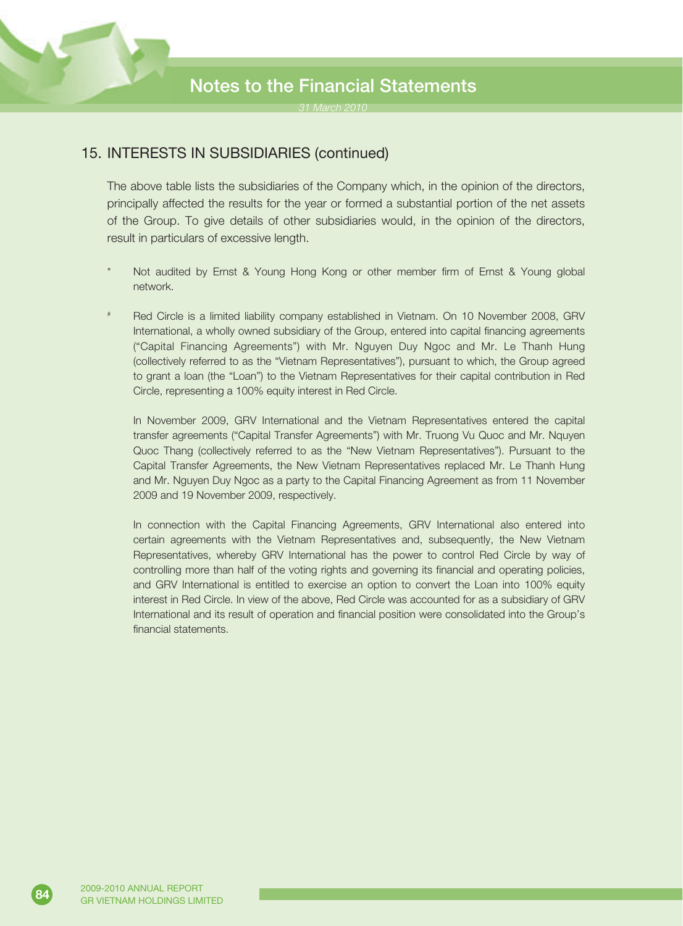

31 March 2010

### 15. INTERESTS IN SUBSIDIARIES (continued)

The above table lists the subsidiaries of the Company which, in the opinion of the directors, principally affected the results for the year or formed a substantial portion of the net assets of the Group. To give details of other subsidiaries would, in the opinion of the directors, result in particulars of excessive length.

- Not audited by Ernst & Young Hong Kong or other member firm of Ernst & Young global network.
- # Red Circle is a limited liability company established in Vietnam. On 10 November 2008, GRV International, a wholly owned subsidiary of the Group, entered into capital financing agreements ("Capital Financing Agreements") with Mr. Nguyen Duy Ngoc and Mr. Le Thanh Hung (collectively referred to as the "Vietnam Representatives"), pursuant to which, the Group agreed to grant a loan (the "Loan") to the Vietnam Representatives for their capital contribution in Red Circle, representing a 100% equity interest in Red Circle.

In November 2009, GRV International and the Vietnam Representatives entered the capital transfer agreements ("Capital Transfer Agreements") with Mr. Truong Vu Quoc and Mr. Nquyen Quoc Thang (collectively referred to as the "New Vietnam Representatives"). Pursuant to the Capital Transfer Agreements, the New Vietnam Representatives replaced Mr. Le Thanh Hung and Mr. Nguyen Duy Ngoc as a party to the Capital Financing Agreement as from 11 November 2009 and 19 November 2009, respectively.

In connection with the Capital Financing Agreements, GRV International also entered into certain agreements with the Vietnam Representatives and, subsequently, the New Vietnam Representatives, whereby GRV International has the power to control Red Circle by way of controlling more than half of the voting rights and governing its financial and operating policies, and GRV International is entitled to exercise an option to convert the Loan into 100% equity interest in Red Circle. In view of the above, Red Circle was accounted for as a subsidiary of GRV International and its result of operation and financial position were consolidated into the Group's financial statements.

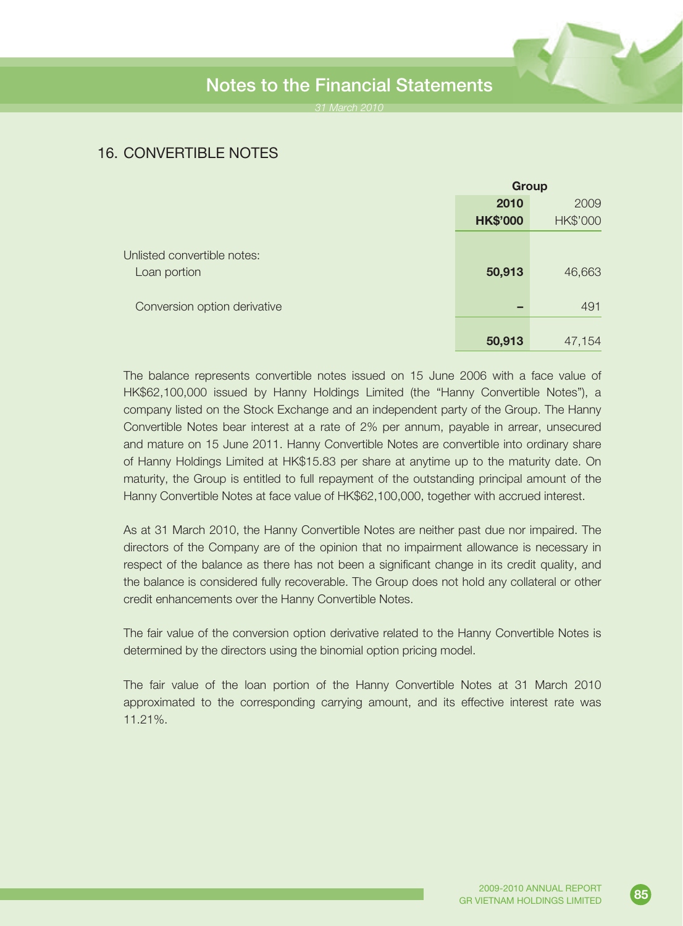## 16. CONVERTIBLE NOTES

|                              | Group           |                 |
|------------------------------|-----------------|-----------------|
|                              | 2010            | 2009            |
|                              | <b>HK\$'000</b> | <b>HK\$'000</b> |
|                              |                 |                 |
| Unlisted convertible notes:  |                 |                 |
| Loan portion                 | 50,913          | 46,663          |
|                              |                 |                 |
| Conversion option derivative | -               | 491             |
|                              |                 |                 |
|                              | 50,913          | 47,154          |

The balance represents convertible notes issued on 15 June 2006 with a face value of HK\$62,100,000 issued by Hanny Holdings Limited (the "Hanny Convertible Notes"), a company listed on the Stock Exchange and an independent party of the Group. The Hanny Convertible Notes bear interest at a rate of 2% per annum, payable in arrear, unsecured and mature on 15 June 2011. Hanny Convertible Notes are convertible into ordinary share of Hanny Holdings Limited at HK\$15.83 per share at anytime up to the maturity date. On maturity, the Group is entitled to full repayment of the outstanding principal amount of the Hanny Convertible Notes at face value of HK\$62,100,000, together with accrued interest.

As at 31 March 2010, the Hanny Convertible Notes are neither past due nor impaired. The directors of the Company are of the opinion that no impairment allowance is necessary in respect of the balance as there has not been a significant change in its credit quality, and the balance is considered fully recoverable. The Group does not hold any collateral or other credit enhancements over the Hanny Convertible Notes.

The fair value of the conversion option derivative related to the Hanny Convertible Notes is determined by the directors using the binomial option pricing model.

The fair value of the loan portion of the Hanny Convertible Notes at 31 March 2010 approximated to the corresponding carrying amount, and its effective interest rate was 11.21%.

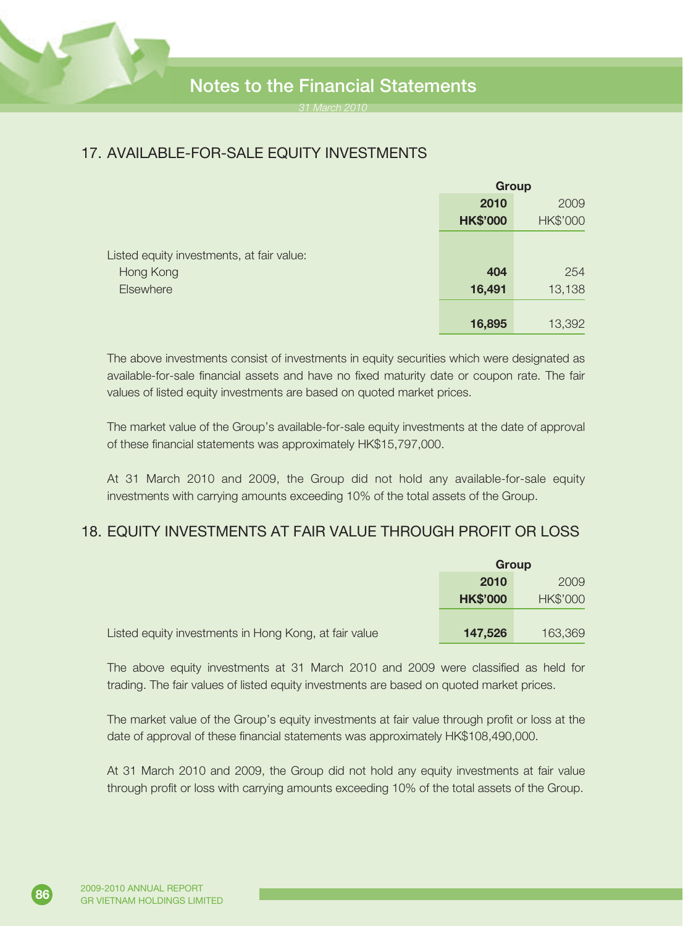

# 17. AVAILABLE-FOR-SALE EQUITY INVESTMENTS

|                                           | <b>Group</b>    |                 |
|-------------------------------------------|-----------------|-----------------|
|                                           | 2010            | 2009            |
|                                           | <b>HK\$'000</b> | <b>HK\$'000</b> |
| Listed equity investments, at fair value: |                 |                 |
| Hong Kong                                 | 404             | 254             |
| Elsewhere                                 | 16,491          | 13,138          |
|                                           |                 |                 |
|                                           | 16,895          | 13,392          |

The above investments consist of investments in equity securities which were designated as available-for-sale financial assets and have no fixed maturity date or coupon rate. The fair values of listed equity investments are based on quoted market prices.

The market value of the Group's available-for-sale equity investments at the date of approval of these financial statements was approximately HK\$15,797,000.

At 31 March 2010 and 2009, the Group did not hold any available-for-sale equity investments with carrying amounts exceeding 10% of the total assets of the Group.

## 18. EQUITY INVESTMENTS AT FAIR VALUE THROUGH PROFIT OR LOSS

|                                                       | Group           |                 |
|-------------------------------------------------------|-----------------|-----------------|
|                                                       | 2010            | 2009            |
|                                                       | <b>HK\$'000</b> | <b>HK\$'000</b> |
|                                                       |                 |                 |
| Listed equity investments in Hong Kong, at fair value | 147,526         | 163,369         |

The above equity investments at 31 March 2010 and 2009 were classified as held for trading. The fair values of listed equity investments are based on quoted market prices.

The market value of the Group's equity investments at fair value through profit or loss at the date of approval of these financial statements was approximately HK\$108,490,000.

At 31 March 2010 and 2009, the Group did not hold any equity investments at fair value through profit or loss with carrying amounts exceeding 10% of the total assets of the Group.

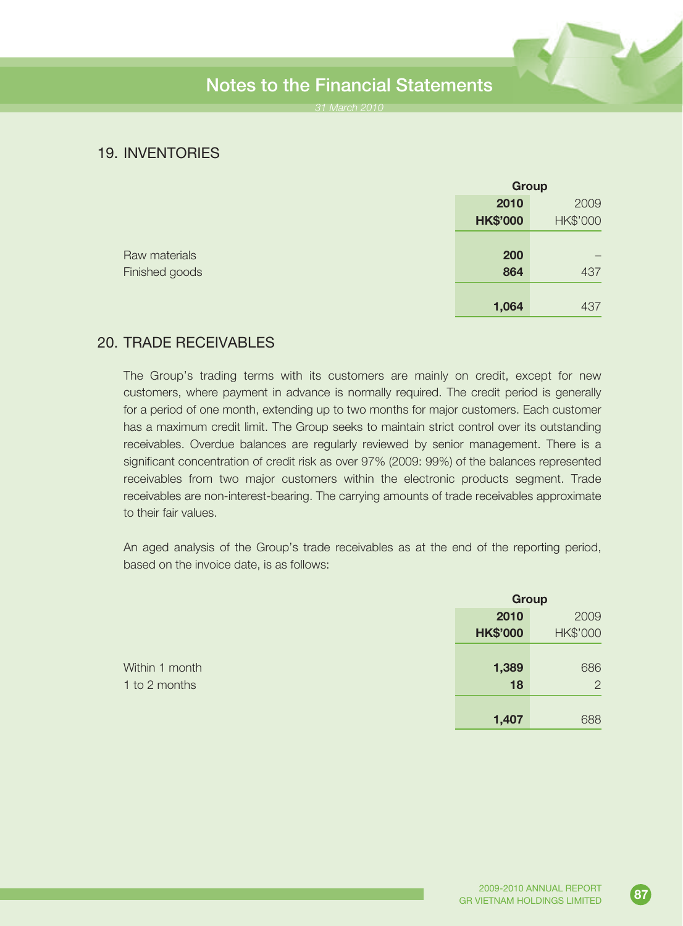### 19. INVENTORIES

|                | <b>Group</b>    |                 |
|----------------|-----------------|-----------------|
|                | 2010<br>2009    |                 |
|                | <b>HK\$'000</b> | <b>HK\$'000</b> |
|                |                 |                 |
| Raw materials  | 200             |                 |
| Finished goods | 864             | 437             |
|                |                 |                 |
|                | 1,064           | 437             |

### 20. TRADE RECEIVABLES

The Group's trading terms with its customers are mainly on credit, except for new customers, where payment in advance is normally required. The credit period is generally for a period of one month, extending up to two months for major customers. Each customer has a maximum credit limit. The Group seeks to maintain strict control over its outstanding receivables. Overdue balances are regularly reviewed by senior management. There is a significant concentration of credit risk as over 97% (2009: 99%) of the balances represented receivables from two major customers within the electronic products segment. Trade receivables are non-interest-bearing. The carrying amounts of trade receivables approximate to their fair values.

An aged analysis of the Group's trade receivables as at the end of the reporting period, based on the invoice date, is as follows:

|                | <b>Group</b>    |                 |
|----------------|-----------------|-----------------|
|                | 2010            | 2009            |
|                | <b>HK\$'000</b> | <b>HK\$'000</b> |
|                |                 |                 |
| Within 1 month | 1,389           | 686             |
| 1 to 2 months  | 18              | $\overline{2}$  |
|                |                 |                 |
|                | 1,407           | 688             |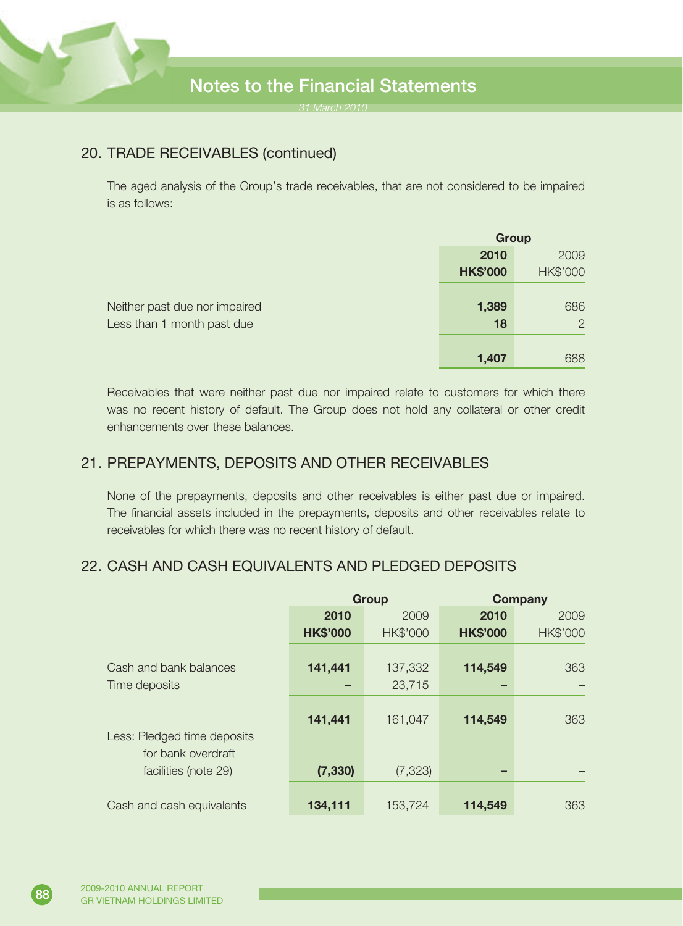

31 March 2010

# 20. TRADE RECEIVABLES (continued)

The aged analysis of the Group's trade receivables, that are not considered to be impaired is as follows:

|                               | <b>Group</b>    |                 |
|-------------------------------|-----------------|-----------------|
|                               | 2010            | 2009            |
|                               | <b>HK\$'000</b> | <b>HK\$'000</b> |
|                               |                 |                 |
| Neither past due nor impaired | 1,389           | 686             |
| Less than 1 month past due    | 18              | $\overline{2}$  |
|                               |                 |                 |
|                               | 1,407           | 688             |

Receivables that were neither past due nor impaired relate to customers for which there was no recent history of default. The Group does not hold any collateral or other credit enhancements over these balances.

## 21. PREPAYMENTS, DEPOSITS AND OTHER RECEIVABLES

None of the prepayments, deposits and other receivables is either past due or impaired. The financial assets included in the prepayments, deposits and other receivables relate to receivables for which there was no recent history of default.

# 22. CASH AND CASH EQUIVALENTS AND PLEDGED DEPOSITS

|                                                   | <b>Group</b>    |                 |                 | <b>Company</b>  |
|---------------------------------------------------|-----------------|-----------------|-----------------|-----------------|
|                                                   | 2010            | 2009            | 2010            | 2009            |
|                                                   | <b>HK\$'000</b> | <b>HK\$'000</b> | <b>HK\$'000</b> | <b>HK\$'000</b> |
|                                                   |                 |                 |                 |                 |
| Cash and bank balances                            | 141,441         | 137,332         | 114,549         | 363             |
| Time deposits                                     |                 | 23,715          |                 |                 |
|                                                   | 141,441         | 161,047         | 114,549         | 363             |
| Less: Pledged time deposits<br>for bank overdraft |                 |                 |                 |                 |
| facilities (note 29)                              | (7, 330)        | (7, 323)        |                 |                 |
|                                                   |                 |                 |                 |                 |
| Cash and cash equivalents                         | 134,111         | 153,724         | 114,549         | 363             |

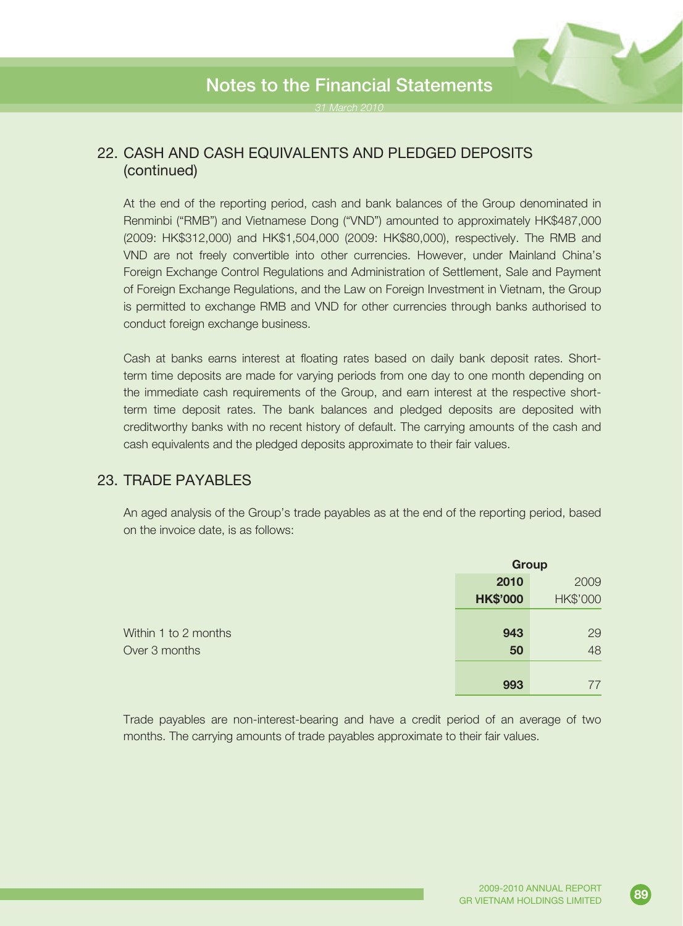

# 22. CASH AND CASH EQUIVALENTS AND PLEDGED DEPOSITS (continued)

At the end of the reporting period, cash and bank balances of the Group denominated in Renminbi ("RMB") and Vietnamese Dong ("VND") amounted to approximately HK\$487,000 (2009: HK\$312,000) and HK\$1,504,000 (2009: HK\$80,000), respectively. The RMB and VND are not freely convertible into other currencies. However, under Mainland China's Foreign Exchange Control Regulations and Administration of Settlement, Sale and Payment of Foreign Exchange Regulations, and the Law on Foreign Investment in Vietnam, the Group is permitted to exchange RMB and VND for other currencies through banks authorised to conduct foreign exchange business.

Cash at banks earns interest at floating rates based on daily bank deposit rates. Shortterm time deposits are made for varying periods from one day to one month depending on the immediate cash requirements of the Group, and earn interest at the respective shortterm time deposit rates. The bank balances and pledged deposits are deposited with creditworthy banks with no recent history of default. The carrying amounts of the cash and cash equivalents and the pledged deposits approximate to their fair values.

### 23. TRADE PAYABLES

An aged analysis of the Group's trade payables as at the end of the reporting period, based on the invoice date, is as follows:

|                      | <b>Group</b>    |                 |
|----------------------|-----------------|-----------------|
|                      | 2010<br>2009    |                 |
|                      | <b>HK\$'000</b> | <b>HK\$'000</b> |
|                      |                 |                 |
| Within 1 to 2 months | 943             | 29              |
| Over 3 months        | 50              | 48              |
|                      |                 |                 |
|                      | 993             | 77              |

Trade payables are non-interest-bearing and have a credit period of an average of two months. The carrying amounts of trade payables approximate to their fair values.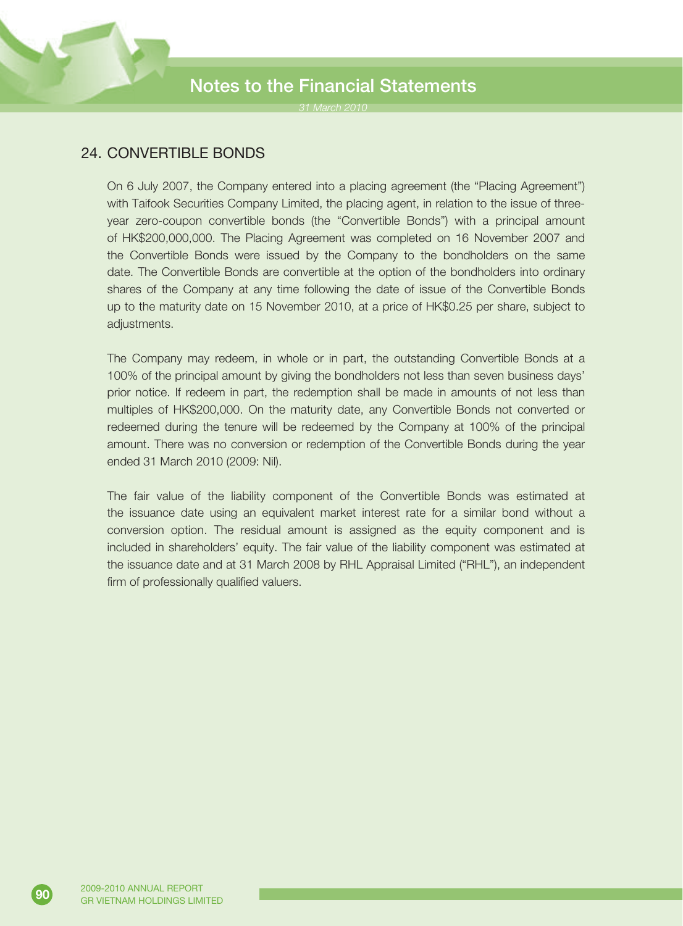

31 March 2010

# 24. CONVERTIBLE BONDS

On 6 July 2007, the Company entered into a placing agreement (the "Placing Agreement") with Taifook Securities Company Limited, the placing agent, in relation to the issue of threeyear zero-coupon convertible bonds (the "Convertible Bonds") with a principal amount of HK\$200,000,000. The Placing Agreement was completed on 16 November 2007 and the Convertible Bonds were issued by the Company to the bondholders on the same date. The Convertible Bonds are convertible at the option of the bondholders into ordinary shares of the Company at any time following the date of issue of the Convertible Bonds up to the maturity date on 15 November 2010, at a price of HK\$0.25 per share, subject to adjustments.

The Company may redeem, in whole or in part, the outstanding Convertible Bonds at a 100% of the principal amount by giving the bondholders not less than seven business days' prior notice. If redeem in part, the redemption shall be made in amounts of not less than multiples of HK\$200,000. On the maturity date, any Convertible Bonds not converted or redeemed during the tenure will be redeemed by the Company at 100% of the principal amount. There was no conversion or redemption of the Convertible Bonds during the year ended 31 March 2010 (2009: Nil).

The fair value of the liability component of the Convertible Bonds was estimated at the issuance date using an equivalent market interest rate for a similar bond without a conversion option. The residual amount is assigned as the equity component and is included in shareholders' equity. The fair value of the liability component was estimated at the issuance date and at 31 March 2008 by RHL Appraisal Limited ("RHL"), an independent firm of professionally qualified valuers.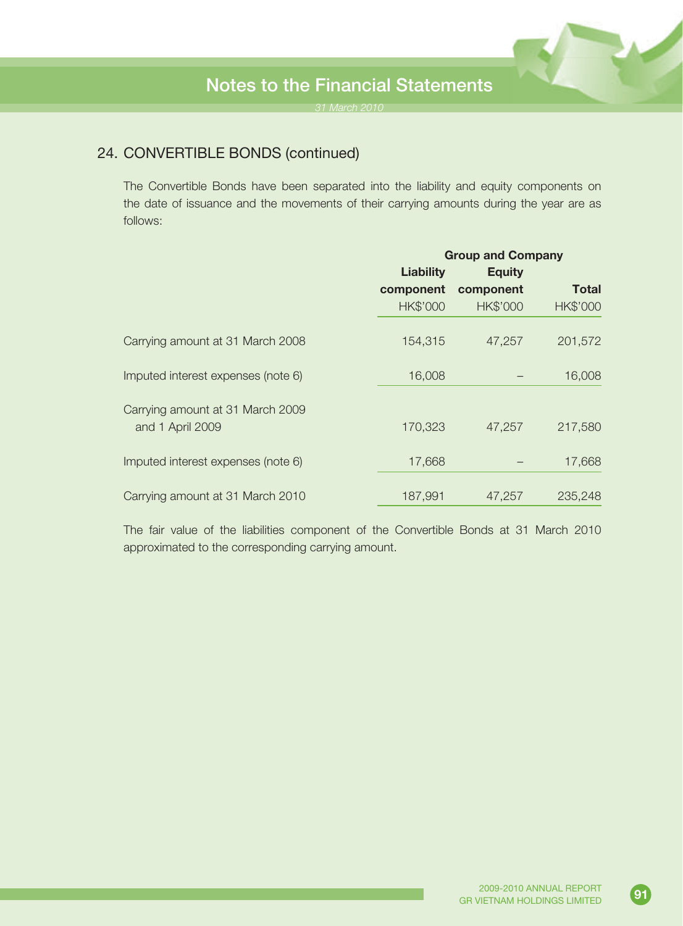

# 24. CONVERTIBLE BONDS (continued)

The Convertible Bonds have been separated into the liability and equity components on the date of issuance and the movements of their carrying amounts during the year are as follows:

|                                                      | <b>Group and Company</b>   |                 |                 |  |
|------------------------------------------------------|----------------------------|-----------------|-----------------|--|
|                                                      | Liability<br><b>Equity</b> |                 |                 |  |
|                                                      | component                  | component       | Total           |  |
|                                                      | <b>HK\$'000</b>            | <b>HK\$'000</b> | <b>HK\$'000</b> |  |
| Carrying amount at 31 March 2008                     | 154,315                    | 47,257          | 201,572         |  |
| Imputed interest expenses (note 6)                   | 16,008                     |                 | 16,008          |  |
| Carrying amount at 31 March 2009<br>and 1 April 2009 | 170,323                    | 47,257          | 217,580         |  |
| Imputed interest expenses (note 6)                   | 17,668                     |                 | 17,668          |  |
| Carrying amount at 31 March 2010                     | 187,991                    | 47,257          | 235,248         |  |

The fair value of the liabilities component of the Convertible Bonds at 31 March 2010 approximated to the corresponding carrying amount.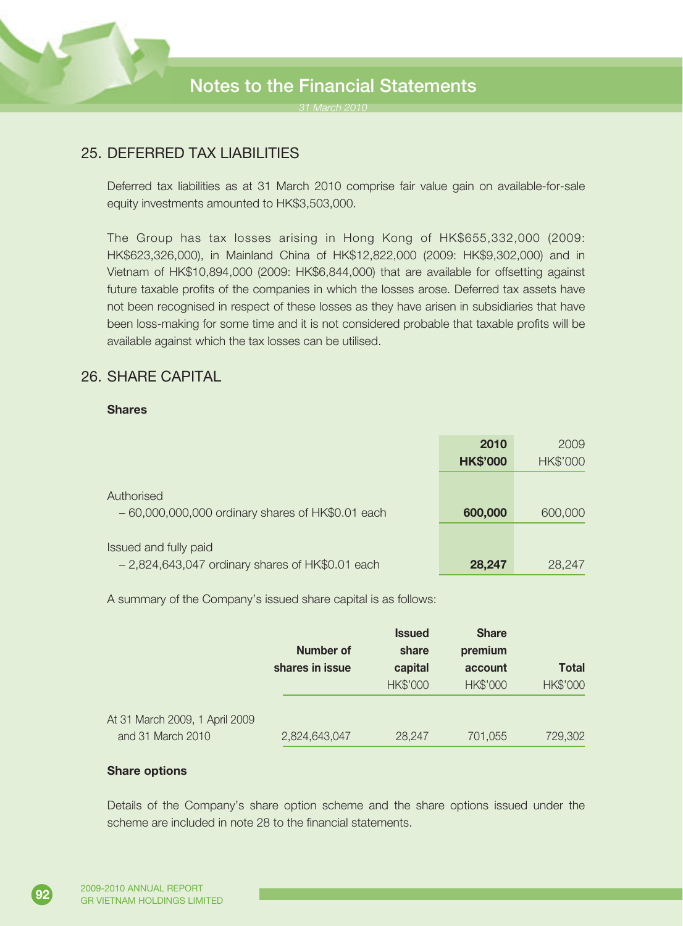

31 March 2010

# 25. DEFERRED TAX LIABILITIES

Deferred tax liabilities as at 31 March 2010 comprise fair value gain on available-for-sale equity investments amounted to HK\$3,503,000.

The Group has tax losses arising in Hong Kong of HK\$655,332,000 (2009: HK\$623,326,000), in Mainland China of HK\$12,822,000 (2009: HK\$9,302,000) and in Vietnam of HK\$10,894,000 (2009: HK\$6,844,000) that are available for offsetting against future taxable profits of the companies in which the losses arose. Deferred tax assets have not been recognised in respect of these losses as they have arisen in subsidiaries that have been loss-making for some time and it is not considered probable that taxable profits will be available against which the tax losses can be utilised.

## 26. SHARE CAPITAL

**Shares**

|                                                    | 2010            | 2009            |
|----------------------------------------------------|-----------------|-----------------|
|                                                    | <b>HK\$'000</b> | <b>HK\$'000</b> |
| Authorised                                         |                 |                 |
| $-60,000,000,000$ ordinary shares of HK\$0.01 each | 600,000         | 600,000         |
| Issued and fully paid                              |                 |                 |
| $-2,824,643,047$ ordinary shares of HK\$0.01 each  | 28,247          | 28,247          |

A summary of the Company's issued share capital is as follows:

|                                                     | <b>Number of</b><br>shares in issue | <b>Issued</b><br>share<br>capital<br><b>HK\$'000</b> | <b>Share</b><br>premium<br>account<br><b>HK\$'000</b> | Total<br><b>HK\$'000</b> |
|-----------------------------------------------------|-------------------------------------|------------------------------------------------------|-------------------------------------------------------|--------------------------|
| At 31 March 2009, 1 April 2009<br>and 31 March 2010 | 2,824,643,047                       | 28,247                                               | 701,055                                               | 729,302                  |

#### **Share options**

Details of the Company's share option scheme and the share options issued under the scheme are included in note 28 to the financial statements.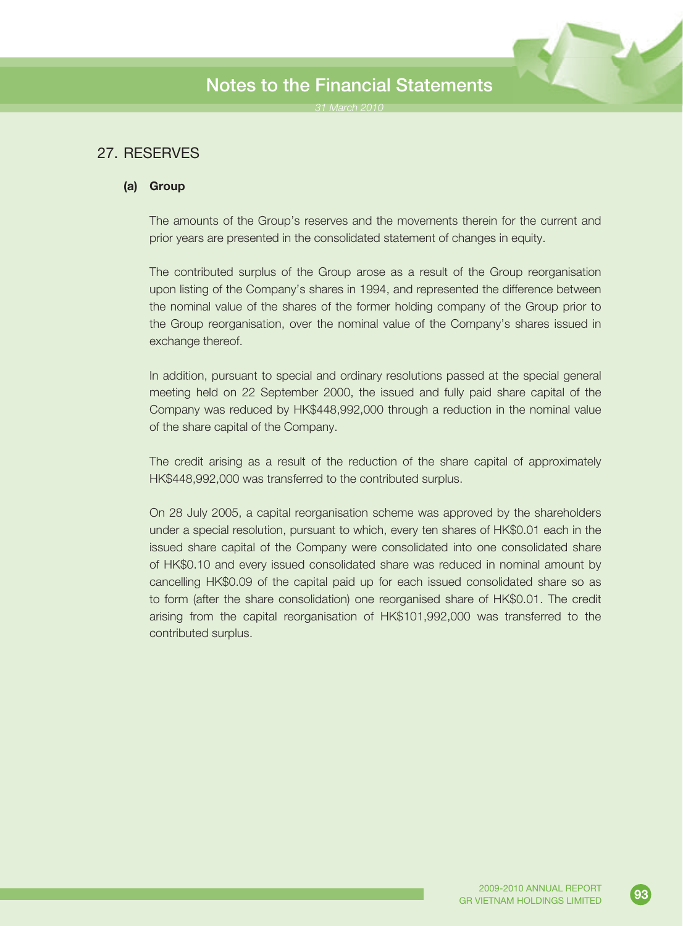

31 March 2010

### 27. RESERVES

#### **(a) Group**

The amounts of the Group's reserves and the movements therein for the current and prior years are presented in the consolidated statement of changes in equity.

The contributed surplus of the Group arose as a result of the Group reorganisation upon listing of the Company's shares in 1994, and represented the difference between the nominal value of the shares of the former holding company of the Group prior to the Group reorganisation, over the nominal value of the Company's shares issued in exchange thereof.

In addition, pursuant to special and ordinary resolutions passed at the special general meeting held on 22 September 2000, the issued and fully paid share capital of the Company was reduced by HK\$448,992,000 through a reduction in the nominal value of the share capital of the Company.

The credit arising as a result of the reduction of the share capital of approximately HK\$448,992,000 was transferred to the contributed surplus.

On 28 July 2005, a capital reorganisation scheme was approved by the shareholders under a special resolution, pursuant to which, every ten shares of HK\$0.01 each in the issued share capital of the Company were consolidated into one consolidated share of HK\$0.10 and every issued consolidated share was reduced in nominal amount by cancelling HK\$0.09 of the capital paid up for each issued consolidated share so as to form (after the share consolidation) one reorganised share of HK\$0.01. The credit arising from the capital reorganisation of HK\$101,992,000 was transferred to the contributed surplus.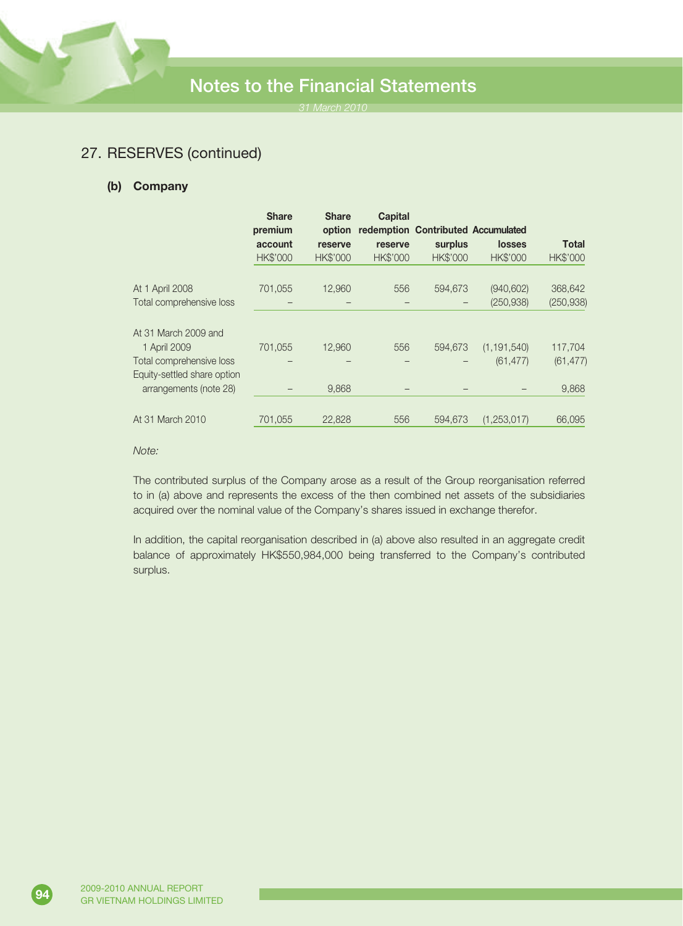

# 27. RESERVES (continued)

#### **(b) Company**

|                                                                                                 | <b>Share</b><br>premium<br>account | <b>Share</b><br>option<br>reserve | <b>Capital</b><br>reserve | redemption Contributed Accumulated<br>surplus | <b>losses</b>              | <b>Total</b>          |
|-------------------------------------------------------------------------------------------------|------------------------------------|-----------------------------------|---------------------------|-----------------------------------------------|----------------------------|-----------------------|
|                                                                                                 | <b>HK\$'000</b>                    | <b>HK\$'000</b>                   | HK\$'000                  | HK\$'000                                      | <b>HK\$'000</b>            | <b>HK\$'000</b>       |
| At 1 April 2008<br>Total comprehensive loss                                                     | 701,055                            | 12,960                            | 556                       | 594,673                                       | (940, 602)<br>(250, 938)   | 368,642<br>(250, 938) |
| At 31 March 2009 and<br>1 April 2009<br>Total comprehensive loss<br>Equity-settled share option | 701,055                            | 12,960                            | 556                       | 594,673                                       | (1, 191, 540)<br>(61, 477) | 117,704<br>(61, 477)  |
| arrangements (note 28)                                                                          |                                    | 9,868                             |                           |                                               |                            | 9,868                 |
| At 31 March 2010                                                                                | 701,055                            | 22,828                            | 556                       | 594,673                                       | (1,253,017)                | 66,095                |

#### Note:

The contributed surplus of the Company arose as a result of the Group reorganisation referred to in (a) above and represents the excess of the then combined net assets of the subsidiaries acquired over the nominal value of the Company's shares issued in exchange therefor.

In addition, the capital reorganisation described in (a) above also resulted in an aggregate credit balance of approximately HK\$550,984,000 being transferred to the Company's contributed surplus.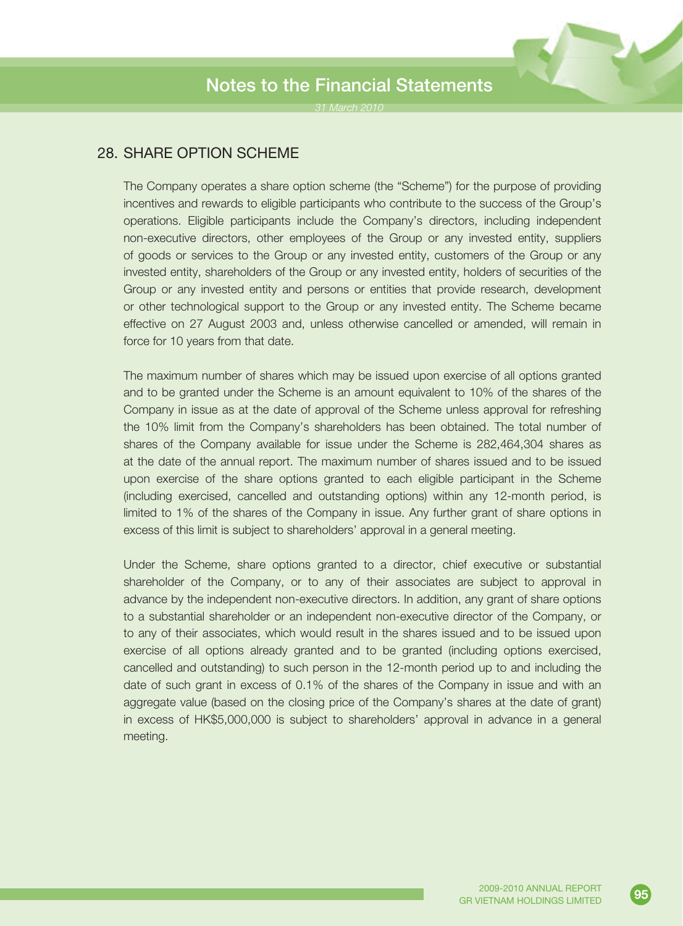

31 March 2010

### 28. SHARE OPTION SCHEME

The Company operates a share option scheme (the "Scheme") for the purpose of providing incentives and rewards to eligible participants who contribute to the success of the Group's operations. Eligible participants include the Company's directors, including independent non-executive directors, other employees of the Group or any invested entity, suppliers of goods or services to the Group or any invested entity, customers of the Group or any invested entity, shareholders of the Group or any invested entity, holders of securities of the Group or any invested entity and persons or entities that provide research, development or other technological support to the Group or any invested entity. The Scheme became effective on 27 August 2003 and, unless otherwise cancelled or amended, will remain in force for 10 years from that date.

The maximum number of shares which may be issued upon exercise of all options granted and to be granted under the Scheme is an amount equivalent to 10% of the shares of the Company in issue as at the date of approval of the Scheme unless approval for refreshing the 10% limit from the Company's shareholders has been obtained. The total number of shares of the Company available for issue under the Scheme is 282,464,304 shares as at the date of the annual report. The maximum number of shares issued and to be issued upon exercise of the share options granted to each eligible participant in the Scheme (including exercised, cancelled and outstanding options) within any 12-month period, is limited to 1% of the shares of the Company in issue. Any further grant of share options in excess of this limit is subject to shareholders' approval in a general meeting.

Under the Scheme, share options granted to a director, chief executive or substantial shareholder of the Company, or to any of their associates are subject to approval in advance by the independent non-executive directors. In addition, any grant of share options to a substantial shareholder or an independent non-executive director of the Company, or to any of their associates, which would result in the shares issued and to be issued upon exercise of all options already granted and to be granted (including options exercised, cancelled and outstanding) to such person in the 12-month period up to and including the date of such grant in excess of 0.1% of the shares of the Company in issue and with an aggregate value (based on the closing price of the Company's shares at the date of grant) in excess of HK\$5,000,000 is subject to shareholders' approval in advance in a general meeting.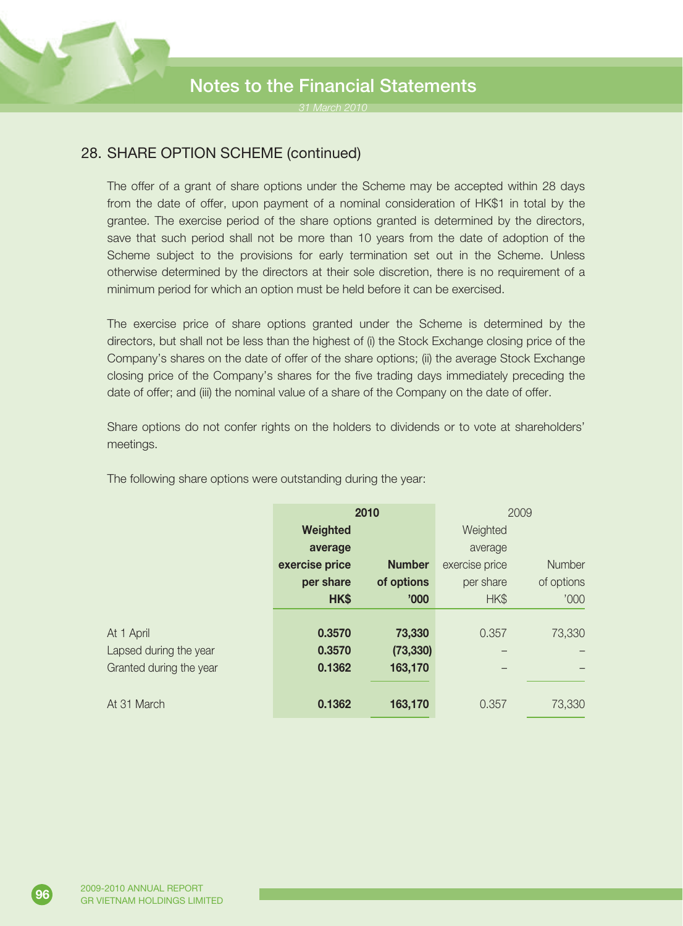

31 March 2010

### 28. SHARE OPTION SCHEME (continued)

The offer of a grant of share options under the Scheme may be accepted within 28 days from the date of offer, upon payment of a nominal consideration of HK\$1 in total by the grantee. The exercise period of the share options granted is determined by the directors, save that such period shall not be more than 10 years from the date of adoption of the Scheme subject to the provisions for early termination set out in the Scheme. Unless otherwise determined by the directors at their sole discretion, there is no requirement of a minimum period for which an option must be held before it can be exercised.

The exercise price of share options granted under the Scheme is determined by the directors, but shall not be less than the highest of (i) the Stock Exchange closing price of the Company's shares on the date of offer of the share options; (ii) the average Stock Exchange closing price of the Company's shares for the five trading days immediately preceding the date of offer; and (iii) the nominal value of a share of the Company on the date of offer.

Share options do not confer rights on the holders to dividends or to vote at shareholders' meetings.

|                         |                | 2010          | 2009           |               |
|-------------------------|----------------|---------------|----------------|---------------|
|                         | Weighted       |               | Weighted       |               |
|                         | average        |               | average        |               |
|                         | exercise price | <b>Number</b> | exercise price | <b>Number</b> |
|                         | per share      | of options    | per share      | of options    |
|                         | HK\$           | '000          | HK\$           | '000          |
|                         |                |               |                |               |
| At 1 April              | 0.3570         | 73,330        | 0.357          | 73,330        |
| Lapsed during the year  | 0.3570         | (73, 330)     |                |               |
| Granted during the year | 0.1362         | 163,170       |                |               |
|                         |                |               |                |               |
| At 31 March             | 0.1362         | 163,170       | 0.357          | 73,330        |

The following share options were outstanding during the year:

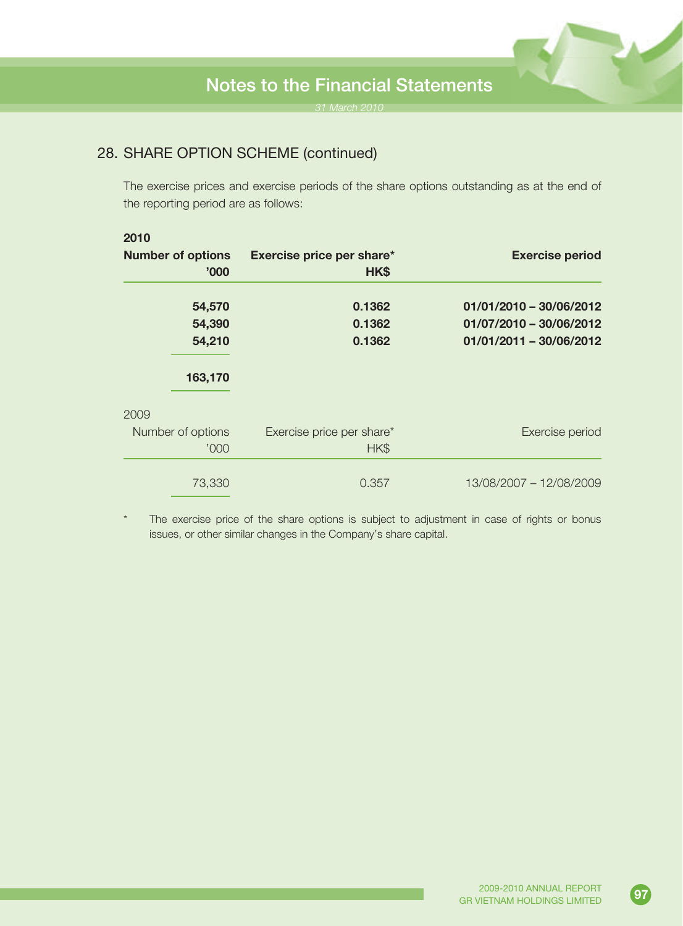

1arch 2010

# 28. SHARE OPTION SCHEME (continued)

The exercise prices and exercise periods of the share options outstanding as at the end of the reporting period are as follows:

| 2010                     |                           |                           |
|--------------------------|---------------------------|---------------------------|
| <b>Number of options</b> | Exercise price per share* | <b>Exercise period</b>    |
| '000'                    | HK\$                      |                           |
| 54,570                   | 0.1362                    | $01/01/2010 - 30/06/2012$ |
| 54,390                   | 0.1362                    | 01/07/2010 - 30/06/2012   |
| 54,210                   | 0.1362                    | 01/01/2011 - 30/06/2012   |
| 163,170                  |                           |                           |
| 2009                     |                           |                           |
| Number of options        | Exercise price per share* | Exercise period           |
| '000'                    | HK\$                      |                           |
| 73,330                   | 0.357                     | 13/08/2007 - 12/08/2009   |

The exercise price of the share options is subject to adjustment in case of rights or bonus issues, or other similar changes in the Company's share capital.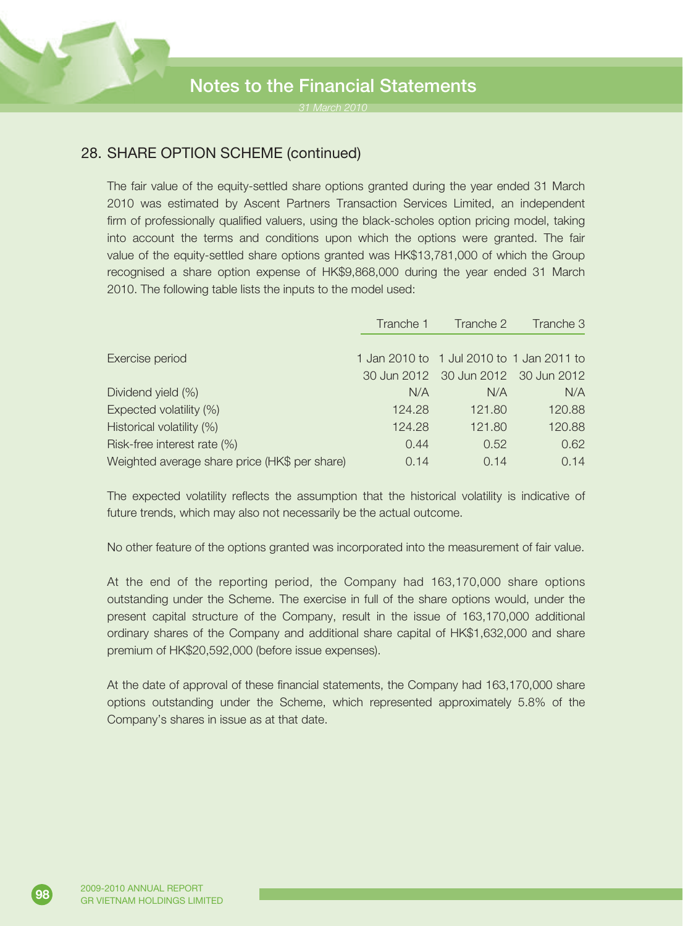

31 March 2010

### 28. SHARE OPTION SCHEME (continued)

The fair value of the equity-settled share options granted during the year ended 31 March 2010 was estimated by Ascent Partners Transaction Services Limited, an independent firm of professionally qualified valuers, using the black-scholes option pricing model, taking into account the terms and conditions upon which the options were granted. The fair value of the equity-settled share options granted was HK\$13,781,000 of which the Group recognised a share option expense of HK\$9,868,000 during the year ended 31 March 2010. The following table lists the inputs to the model used:

|                                               | Tranche 1                                 | Tranche 2 | Tranche 3                           |
|-----------------------------------------------|-------------------------------------------|-----------|-------------------------------------|
|                                               |                                           |           |                                     |
| Exercise period                               | 1 Jan 2010 to 1 Jul 2010 to 1 Jan 2011 to |           |                                     |
|                                               |                                           |           | 30 Jun 2012 30 Jun 2012 30 Jun 2012 |
| Dividend yield (%)                            | N/A                                       | N/A       | N/A                                 |
| Expected volatility (%)                       | 124.28                                    | 121.80    | 120.88                              |
| Historical volatility (%)                     | 124.28                                    | 121.80    | 120.88                              |
| Risk-free interest rate (%)                   | 0.44                                      | 0.52      | 0.62                                |
| Weighted average share price (HK\$ per share) | 0.14                                      | 0.14      | 0.14                                |

The expected volatility reflects the assumption that the historical volatility is indicative of future trends, which may also not necessarily be the actual outcome.

No other feature of the options granted was incorporated into the measurement of fair value.

At the end of the reporting period, the Company had 163,170,000 share options outstanding under the Scheme. The exercise in full of the share options would, under the present capital structure of the Company, result in the issue of 163,170,000 additional ordinary shares of the Company and additional share capital of HK\$1,632,000 and share premium of HK\$20,592,000 (before issue expenses).

At the date of approval of these financial statements, the Company had 163,170,000 share options outstanding under the Scheme, which represented approximately 5.8% of the Company's shares in issue as at that date.

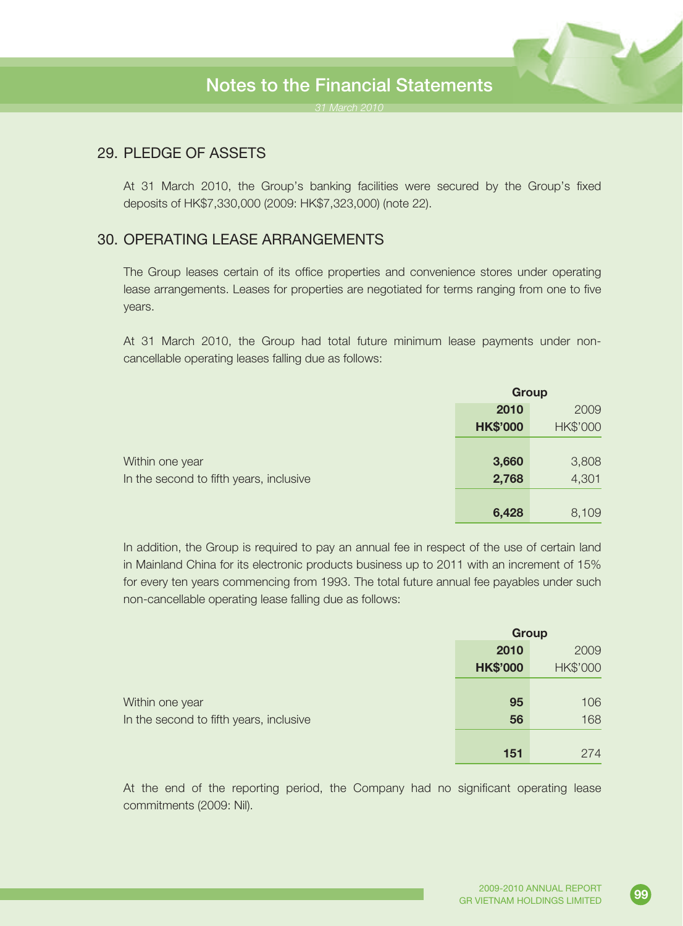

31 March 2010

### 29. PLEDGE OF ASSETS

At 31 March 2010, the Group's banking facilities were secured by the Group's fixed deposits of HK\$7,330,000 (2009: HK\$7,323,000) (note 22).

### 30. OPERATING LEASE ARRANGEMENTS

The Group leases certain of its office properties and convenience stores under operating lease arrangements. Leases for properties are negotiated for terms ranging from one to five years.

At 31 March 2010, the Group had total future minimum lease payments under noncancellable operating leases falling due as follows:

|                                         | <b>Group</b>    |                 |
|-----------------------------------------|-----------------|-----------------|
|                                         | 2010            | 2009            |
|                                         | <b>HK\$'000</b> | <b>HK\$'000</b> |
|                                         |                 |                 |
| Within one year                         | 3,660           | 3,808           |
| In the second to fifth years, inclusive | 2,768           | 4,301           |
|                                         |                 |                 |
|                                         | 6,428           | 8,109           |

In addition, the Group is required to pay an annual fee in respect of the use of certain land in Mainland China for its electronic products business up to 2011 with an increment of 15% for every ten years commencing from 1993. The total future annual fee payables under such non-cancellable operating lease falling due as follows:

|                                         | <b>Group</b>    |                 |
|-----------------------------------------|-----------------|-----------------|
|                                         | 2010            | 2009            |
|                                         | <b>HK\$'000</b> | <b>HK\$'000</b> |
|                                         |                 |                 |
| Within one year                         | 95              | 106             |
| In the second to fifth years, inclusive | 56              | 168             |
|                                         |                 |                 |
|                                         | 151             | 274             |

At the end of the reporting period, the Company had no significant operating lease commitments (2009: Nil).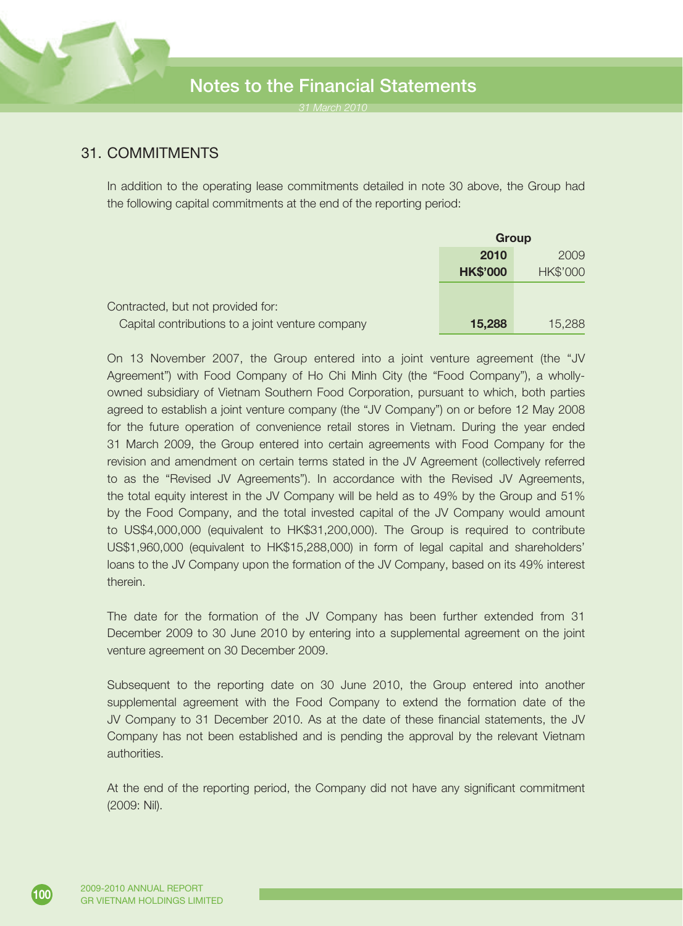

### 31. COMMITMENTS

In addition to the operating lease commitments detailed in note 30 above, the Group had the following capital commitments at the end of the reporting period:

|                                                  | Group           |                 |
|--------------------------------------------------|-----------------|-----------------|
|                                                  | 2010<br>2009    |                 |
|                                                  | <b>HK\$'000</b> | <b>HK\$'000</b> |
|                                                  |                 |                 |
| Contracted, but not provided for:                |                 |                 |
| Capital contributions to a joint venture company | 15,288          | 15,288          |

On 13 November 2007, the Group entered into a joint venture agreement (the "JV Agreement") with Food Company of Ho Chi Minh City (the "Food Company"), a whollyowned subsidiary of Vietnam Southern Food Corporation, pursuant to which, both parties agreed to establish a joint venture company (the "JV Company") on or before 12 May 2008 for the future operation of convenience retail stores in Vietnam. During the year ended 31 March 2009, the Group entered into certain agreements with Food Company for the revision and amendment on certain terms stated in the JV Agreement (collectively referred to as the "Revised JV Agreements"). In accordance with the Revised JV Agreements, the total equity interest in the JV Company will be held as to 49% by the Group and 51% by the Food Company, and the total invested capital of the JV Company would amount to US\$4,000,000 (equivalent to HK\$31,200,000). The Group is required to contribute US\$1,960,000 (equivalent to HK\$15,288,000) in form of legal capital and shareholders' loans to the JV Company upon the formation of the JV Company, based on its 49% interest therein.

The date for the formation of the JV Company has been further extended from 31 December 2009 to 30 June 2010 by entering into a supplemental agreement on the joint venture agreement on 30 December 2009.

Subsequent to the reporting date on 30 June 2010, the Group entered into another supplemental agreement with the Food Company to extend the formation date of the JV Company to 31 December 2010. As at the date of these financial statements, the JV Company has not been established and is pending the approval by the relevant Vietnam authorities.

At the end of the reporting period, the Company did not have any significant commitment (2009: Nil).

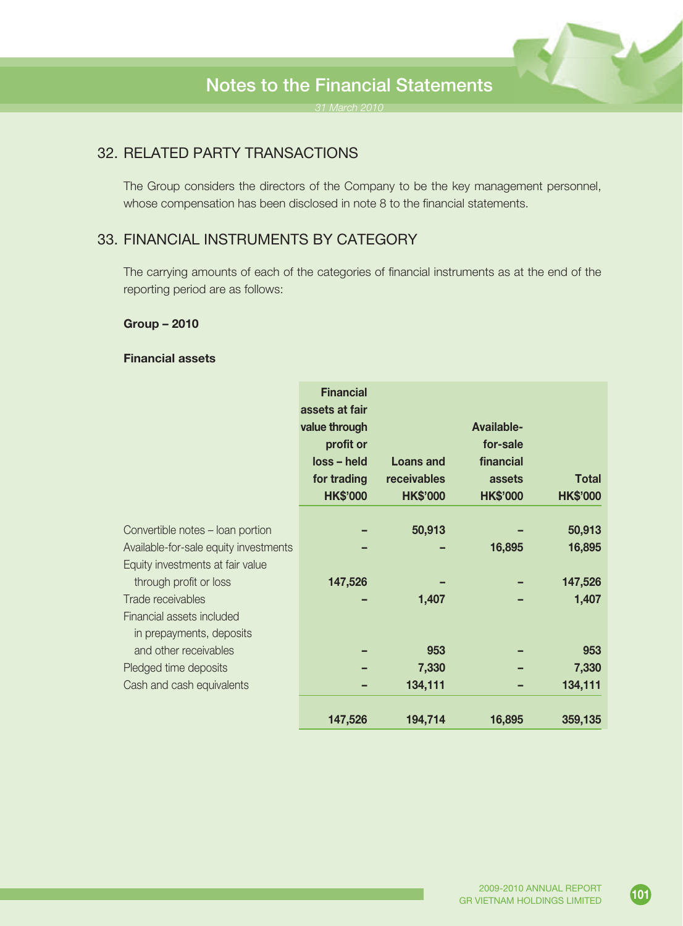

## 32. RELATED PARTY TRANSACTIONS

The Group considers the directors of the Company to be the key management personnel, whose compensation has been disclosed in note 8 to the financial statements.

### 33. FINANCIAL INSTRUMENTS BY CATEGORY

The carrying amounts of each of the categories of financial instruments as at the end of the reporting period are as follows:

#### **Group – 2010**

#### **Financial assets**

|                                       | <b>Financial</b><br>assets at fair<br>value through<br>profit or<br>loss - held<br>for trading<br><b>HK\$'000</b> | <b>Loans and</b><br>receivables<br><b>HK\$'000</b> | <b>Available-</b><br>for-sale<br>financial<br>assets<br><b>HK\$'000</b> | <b>Total</b><br><b>HK\$'000</b> |
|---------------------------------------|-------------------------------------------------------------------------------------------------------------------|----------------------------------------------------|-------------------------------------------------------------------------|---------------------------------|
| Convertible notes - loan portion      |                                                                                                                   | 50,913                                             |                                                                         | 50,913                          |
| Available-for-sale equity investments |                                                                                                                   |                                                    | 16,895                                                                  | 16,895                          |
| Equity investments at fair value      |                                                                                                                   |                                                    |                                                                         |                                 |
| through profit or loss                | 147,526                                                                                                           |                                                    |                                                                         | 147,526                         |
| Trade receivables                     |                                                                                                                   | 1,407                                              |                                                                         | 1,407                           |
| Financial assets included             |                                                                                                                   |                                                    |                                                                         |                                 |
| in prepayments, deposits              |                                                                                                                   |                                                    |                                                                         |                                 |
| and other receivables                 |                                                                                                                   | 953                                                |                                                                         | 953                             |
| Pledged time deposits                 |                                                                                                                   | 7,330                                              |                                                                         | 7,330                           |
| Cash and cash equivalents             |                                                                                                                   | 134,111                                            |                                                                         | 134,111                         |
|                                       | 147,526                                                                                                           | 194,714                                            | 16,895                                                                  | 359,135                         |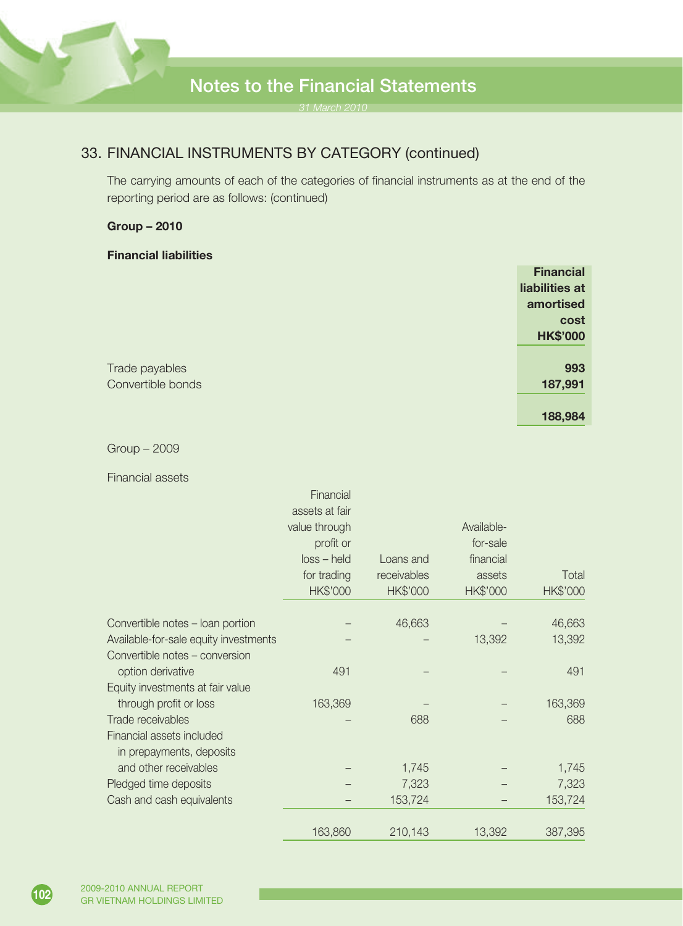

# 33. FINANCIAL INSTRUMENTS BY CATEGORY (continued)

The carrying amounts of each of the categories of financial instruments as at the end of the reporting period are as follows: (continued)

#### **Group – 2010**

#### **Financial liabilities**

|                   | <b>Financial</b> |
|-------------------|------------------|
|                   | liabilities at   |
|                   | amortised        |
|                   | cost             |
|                   | <b>HK\$'000</b>  |
|                   |                  |
| Trade payables    | 993              |
| Convertible bonds | 187,991          |
|                   |                  |
|                   | 188,984          |

Group – 2009

Financial assets

|                                       | Financial       |                 |                 |          |
|---------------------------------------|-----------------|-----------------|-----------------|----------|
|                                       | assets at fair  |                 |                 |          |
|                                       | value through   |                 | Available-      |          |
|                                       | profit or       |                 | for-sale        |          |
|                                       | $loss - held$   | Loans and       | financial       |          |
|                                       | for trading     | receivables     | assets          | Total    |
|                                       | <b>HK\$'000</b> | <b>HK\$'000</b> | <b>HK\$'000</b> | HK\$'000 |
|                                       |                 |                 |                 |          |
| Convertible notes - loan portion      |                 | 46,663          |                 | 46,663   |
| Available-for-sale equity investments |                 |                 | 13,392          | 13,392   |
| Convertible notes - conversion        |                 |                 |                 |          |
| option derivative                     | 491             |                 |                 | 491      |
| Equity investments at fair value      |                 |                 |                 |          |
| through profit or loss                | 163,369         |                 |                 | 163,369  |
| Trade receivables                     |                 | 688             |                 | 688      |
| Financial assets included             |                 |                 |                 |          |
| in prepayments, deposits              |                 |                 |                 |          |
| and other receivables                 |                 | 1,745           |                 | 1,745    |
| Pledged time deposits                 |                 | 7,323           |                 | 7,323    |
| Cash and cash equivalents             |                 | 153,724         |                 | 153,724  |
|                                       | 163,860         | 210,143         | 13,392          | 387,395  |

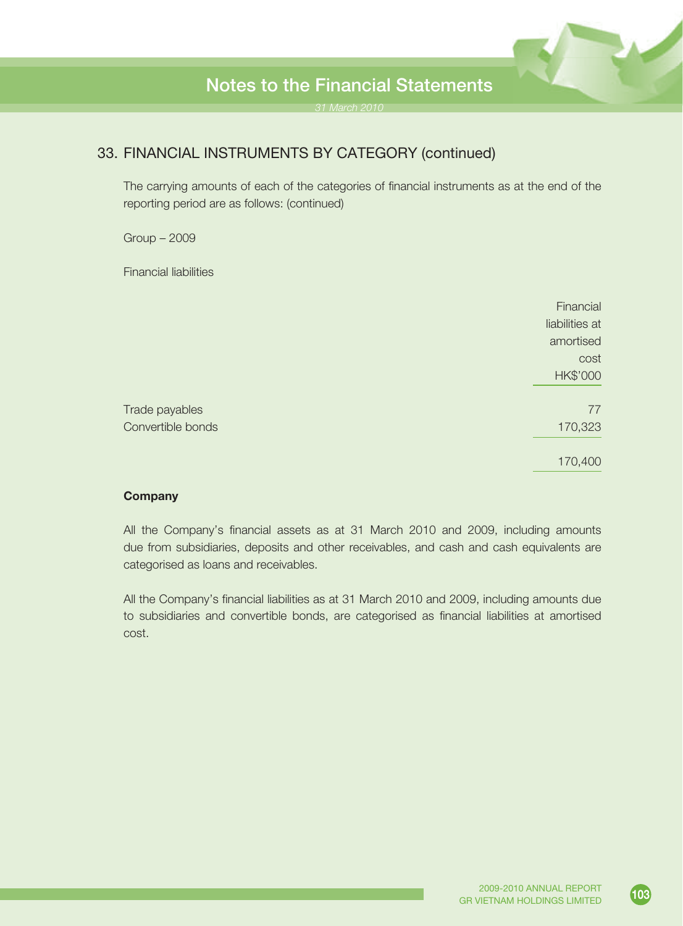

# 33. FINANCIAL INSTRUMENTS BY CATEGORY (continued)

The carrying amounts of each of the categories of financial instruments as at the end of the reporting period are as follows: (continued)

Group – 2009

Financial liabilities

| Financial       |
|-----------------|
| liabilities at  |
| amortised       |
| cost            |
| <b>HK\$'000</b> |
|                 |
| 77              |
| 170,323         |
|                 |
| 170,400         |
|                 |

#### **Company**

All the Company's financial assets as at 31 March 2010 and 2009, including amounts due from subsidiaries, deposits and other receivables, and cash and cash equivalents are categorised as loans and receivables.

All the Company's financial liabilities as at 31 March 2010 and 2009, including amounts due to subsidiaries and convertible bonds, are categorised as financial liabilities at amortised cost.

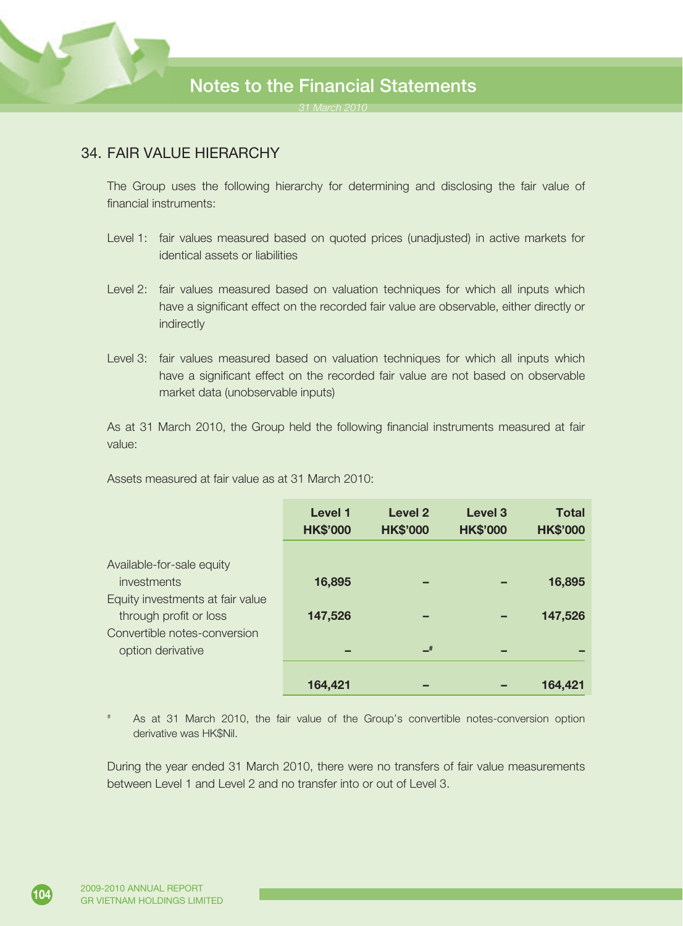

31 March 2010

# 34. FAIR VALUE HIERARCHY

The Group uses the following hierarchy for determining and disclosing the fair value of financial instruments:

- Level 1: fair values measured based on quoted prices (unadjusted) in active markets for identical assets or liabilities
- Level 2: fair values measured based on valuation techniques for which all inputs which have a significant effect on the recorded fair value are observable, either directly or indirectly
- Level 3: fair values measured based on valuation techniques for which all inputs which have a significant effect on the recorded fair value are not based on observable market data (unobservable inputs)

As at 31 March 2010, the Group held the following financial instruments measured at fair value:

Assets measured at fair value as at 31 March 2010:

|                                  | Level 1<br><b>HK\$'000</b> | Level <sub>2</sub><br><b>HK\$'000</b> | Level <sub>3</sub><br><b>HK\$'000</b> | <b>Total</b><br><b>HK\$'000</b> |
|----------------------------------|----------------------------|---------------------------------------|---------------------------------------|---------------------------------|
| Available-for-sale equity        |                            |                                       |                                       |                                 |
| <i>investments</i>               | 16,895                     |                                       |                                       | 16,895                          |
| Equity investments at fair value |                            |                                       |                                       |                                 |
| through profit or loss           | 147,526                    |                                       |                                       | 147,526                         |
| Convertible notes-conversion     |                            |                                       |                                       |                                 |
| option derivative                |                            | $-$ #                                 |                                       |                                 |
|                                  |                            |                                       |                                       |                                 |
|                                  | 164,421                    |                                       |                                       | 164,421                         |

# As at 31 March 2010, the fair value of the Group's convertible notes-conversion option derivative was HK\$Nil.

During the year ended 31 March 2010, there were no transfers of fair value measurements between Level 1 and Level 2 and no transfer into or out of Level 3.

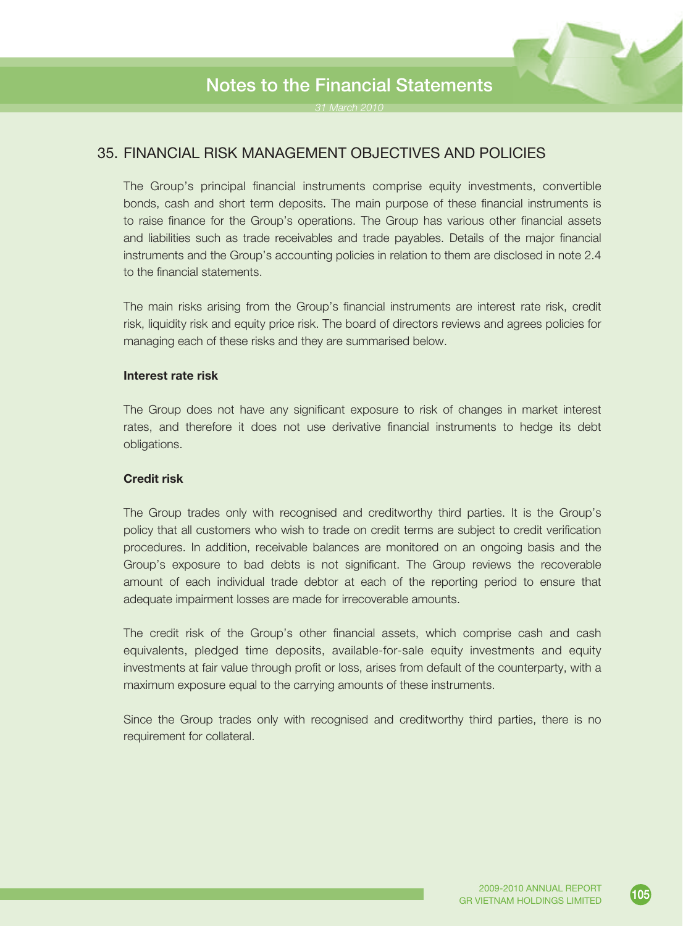

31 March 2010

### 35. FINANCIAL RISK MANAGEMENT OBJECTIVES AND POLICIES

The Group's principal financial instruments comprise equity investments, convertible bonds, cash and short term deposits. The main purpose of these financial instruments is to raise finance for the Group's operations. The Group has various other financial assets and liabilities such as trade receivables and trade payables. Details of the major financial instruments and the Group's accounting policies in relation to them are disclosed in note 2.4 to the financial statements.

The main risks arising from the Group's financial instruments are interest rate risk, credit risk, liquidity risk and equity price risk. The board of directors reviews and agrees policies for managing each of these risks and they are summarised below.

#### **Interest rate risk**

The Group does not have any significant exposure to risk of changes in market interest rates, and therefore it does not use derivative financial instruments to hedge its debt obligations.

#### **Credit risk**

The Group trades only with recognised and creditworthy third parties. It is the Group's policy that all customers who wish to trade on credit terms are subject to credit verification procedures. In addition, receivable balances are monitored on an ongoing basis and the Group's exposure to bad debts is not significant. The Group reviews the recoverable amount of each individual trade debtor at each of the reporting period to ensure that adequate impairment losses are made for irrecoverable amounts.

The credit risk of the Group's other financial assets, which comprise cash and cash equivalents, pledged time deposits, available-for-sale equity investments and equity investments at fair value through profit or loss, arises from default of the counterparty, with a maximum exposure equal to the carrying amounts of these instruments.

Since the Group trades only with recognised and creditworthy third parties, there is no requirement for collateral.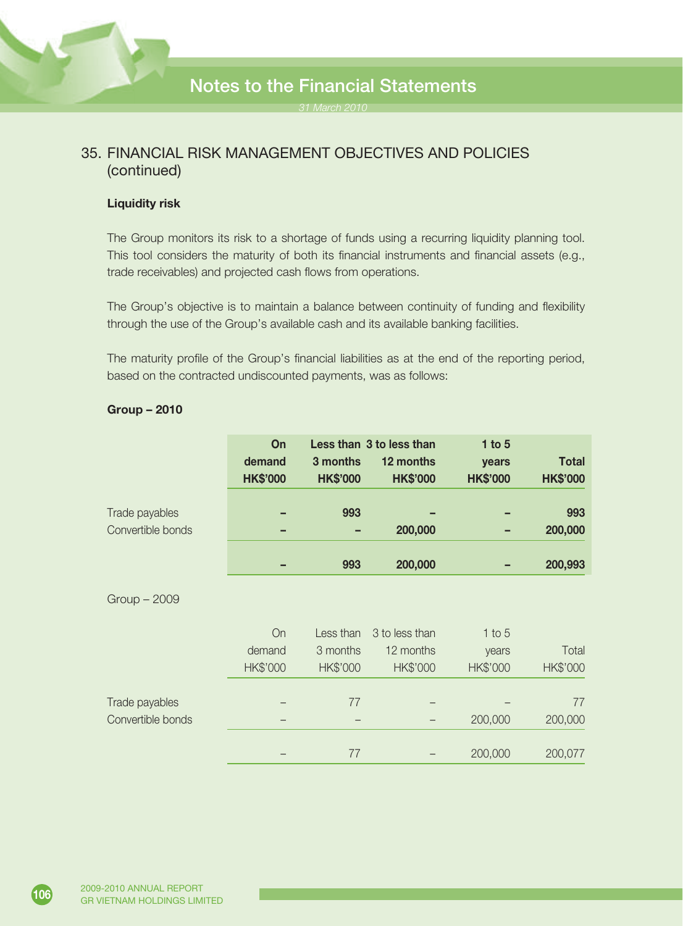

## 35. FINANCIAL RISK MANAGEMENT OBJECTIVES AND POLICIES (continued)

#### **Liquidity risk**

The Group monitors its risk to a shortage of funds using a recurring liquidity planning tool. This tool considers the maturity of both its financial instruments and financial assets (e.g., trade receivables) and projected cash flows from operations.

The Group's objective is to maintain a balance between continuity of funding and flexibility through the use of the Group's available cash and its available banking facilities.

The maturity profile of the Group's financial liabilities as at the end of the reporting period, based on the contracted undiscounted payments, was as follows:

#### **Group – 2010**

|                   | On<br>demand<br><b>HK\$'000</b> | 3 months<br><b>HK\$'000</b> | Less than 3 to less than<br>12 months<br><b>HK\$'000</b> | 1 to $5$<br>years<br><b>HK\$'000</b> | <b>Total</b><br><b>HK\$'000</b> |
|-------------------|---------------------------------|-----------------------------|----------------------------------------------------------|--------------------------------------|---------------------------------|
| Trade payables    | -                               | 993                         | -                                                        | -                                    | 993                             |
| Convertible bonds | -                               | -                           | 200,000                                                  | -                                    | 200,000                         |
|                   |                                 | 993                         | 200,000                                                  |                                      | 200,993                         |

#### Group – 2009

|                   | On              | Less than       | 3 to less than  | $1$ to $5$      |                 |
|-------------------|-----------------|-----------------|-----------------|-----------------|-----------------|
|                   | demand          | 3 months        | 12 months       | years           | Total           |
|                   | <b>HK\$'000</b> | <b>HK\$'000</b> | <b>HK\$'000</b> | <b>HK\$'000</b> | <b>HK\$'000</b> |
|                   |                 |                 |                 |                 |                 |
| Trade payables    |                 | 77              |                 |                 | 77              |
| Convertible bonds |                 |                 |                 | 200,000         | 200,000         |
|                   |                 |                 |                 |                 |                 |
|                   |                 | 77              |                 | 200,000         | 200,077         |

**106**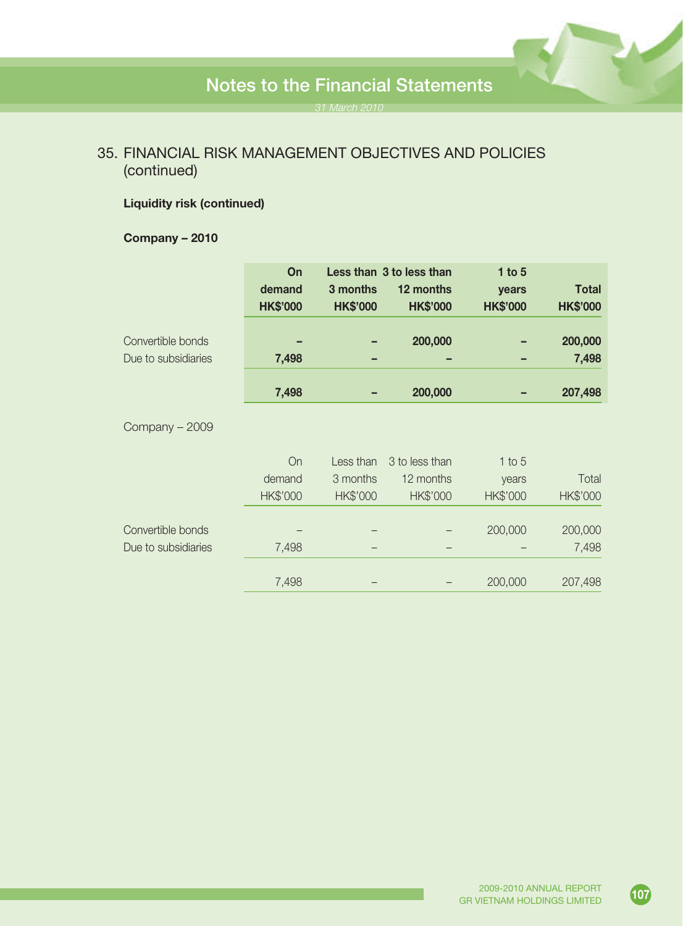

# 35. FINANCIAL RISK MANAGEMENT OBJECTIVES AND POLICIES (continued)

### **Liquidity risk (continued)**

#### **Company – 2010**

|                     | On              |                 | Less than 3 to less than | 1 to $5$        |                 |
|---------------------|-----------------|-----------------|--------------------------|-----------------|-----------------|
|                     | demand          | 3 months        | 12 months                | years           | <b>Total</b>    |
|                     | <b>HK\$'000</b> | <b>HK\$'000</b> | <b>HK\$'000</b>          | <b>HK\$'000</b> | <b>HK\$'000</b> |
|                     |                 |                 |                          |                 |                 |
| Convertible bonds   |                 |                 | 200,000                  |                 | 200,000         |
| Due to subsidiaries | 7,498           |                 |                          |                 | 7,498           |
|                     |                 |                 |                          |                 |                 |
|                     | 7,498           |                 | 200,000                  |                 | 207,498         |
|                     |                 |                 |                          |                 |                 |
| Company - 2009      |                 |                 |                          |                 |                 |
|                     |                 |                 |                          |                 |                 |
|                     | On              | Less than       | 3 to less than           | $1$ to $5$      |                 |
|                     | demand          | 3 months        | 12 months                | years           | Total           |
|                     | <b>HK\$'000</b> | <b>HK\$'000</b> | <b>HK\$'000</b>          | <b>HK\$'000</b> | <b>HK\$'000</b> |
|                     |                 |                 |                          |                 |                 |
| Convertible bonds   |                 |                 |                          | 200,000         | 200,000         |
| Due to subsidiaries | 7,498           |                 |                          |                 | 7,498           |
|                     |                 |                 |                          |                 |                 |
|                     | 7,498           |                 |                          | 200,000         | 207,498         |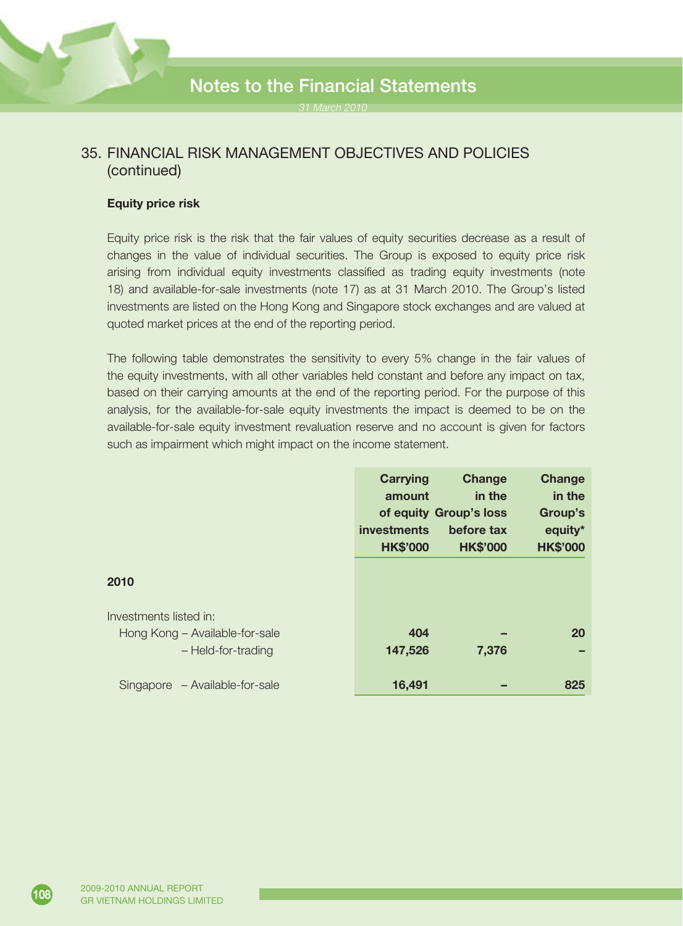

# 35. FINANCIAL RISK MANAGEMENT OBJECTIVES AND POLICIES (continued)

### **Equity price risk**

Equity price risk is the risk that the fair values of equity securities decrease as a result of changes in the value of individual securities. The Group is exposed to equity price risk arising from individual equity investments classified as trading equity investments (note 18) and available-for-sale investments (note 17) as at 31 March 2010. The Group's listed investments are listed on the Hong Kong and Singapore stock exchanges and are valued at quoted market prices at the end of the reporting period.

The following table demonstrates the sensitivity to every 5% change in the fair values of the equity investments, with all other variables held constant and before any impact on tax, based on their carrying amounts at the end of the reporting period. For the purpose of this analysis, for the available-for-sale equity investments the impact is deemed to be on the available-for-sale equity investment revaluation reserve and no account is given for factors such as impairment which might impact on the income statement.

|                                                          | <b>Carrying</b><br>amount             | <b>Change</b><br>in the                                 | <b>Change</b><br>in the               |
|----------------------------------------------------------|---------------------------------------|---------------------------------------------------------|---------------------------------------|
|                                                          | <b>investments</b><br><b>HK\$'000</b> | of equity Group's loss<br>before tax<br><b>HK\$'000</b> | Group's<br>equity*<br><b>HK\$'000</b> |
| 2010                                                     |                                       |                                                         |                                       |
| Investments listed in:<br>Hong Kong - Available-for-sale | 404                                   |                                                         | <b>20</b>                             |
| - Held-for-trading<br>- Available-for-sale<br>Singapore  | 147,526<br>16,491                     | 7,376                                                   | 825                                   |

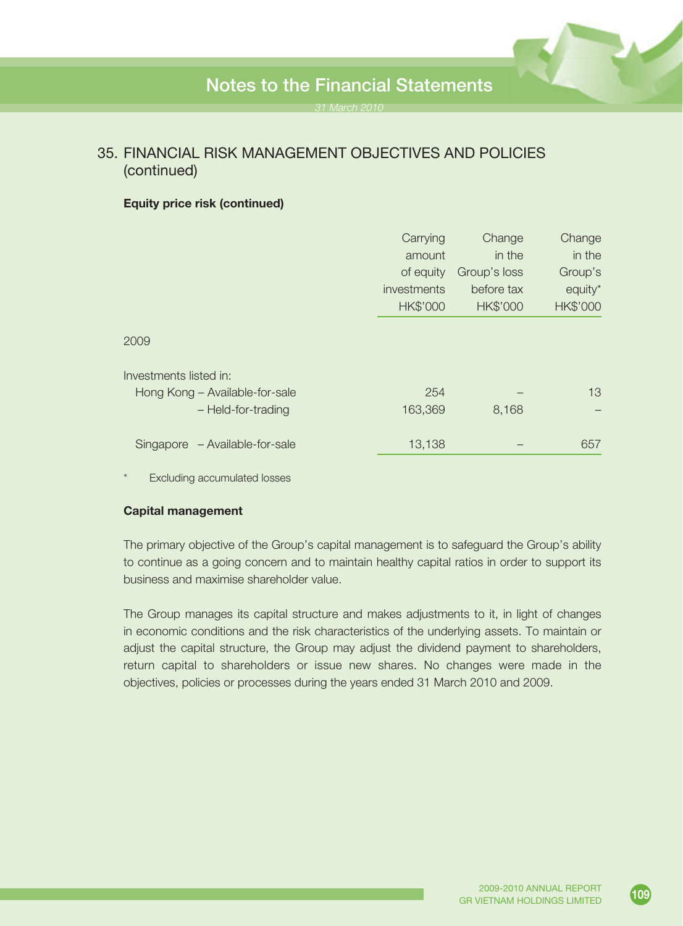

31 March 2010

# 35. FINANCIAL RISK MANAGEMENT OBJECTIVES AND POLICIES (continued)

### **Equity price risk (continued)**

|                                   | Carrying        | Change       | Change          |
|-----------------------------------|-----------------|--------------|-----------------|
|                                   | amount          | in the       | in the          |
|                                   | of equity       | Group's loss | Group's         |
|                                   | investments     | before tax   | equity*         |
|                                   | <b>HK\$'000</b> | HK\$'000     | <b>HK\$'000</b> |
|                                   |                 |              |                 |
| 2009                              |                 |              |                 |
|                                   |                 |              |                 |
| Investments listed in:            |                 |              |                 |
| Hong Kong - Available-for-sale    | 254             |              | 13              |
| - Held-for-trading                | 163,369         | 8,168        |                 |
|                                   |                 |              |                 |
| - Available-for-sale<br>Singapore | 13,138          |              | 657             |
|                                   |                 |              |                 |

**Excluding accumulated losses** 

#### **Capital management**

The primary objective of the Group's capital management is to safeguard the Group's ability to continue as a going concern and to maintain healthy capital ratios in order to support its business and maximise shareholder value.

The Group manages its capital structure and makes adjustments to it, in light of changes in economic conditions and the risk characteristics of the underlying assets. To maintain or adjust the capital structure, the Group may adjust the dividend payment to shareholders, return capital to shareholders or issue new shares. No changes were made in the objectives, policies or processes during the years ended 31 March 2010 and 2009.